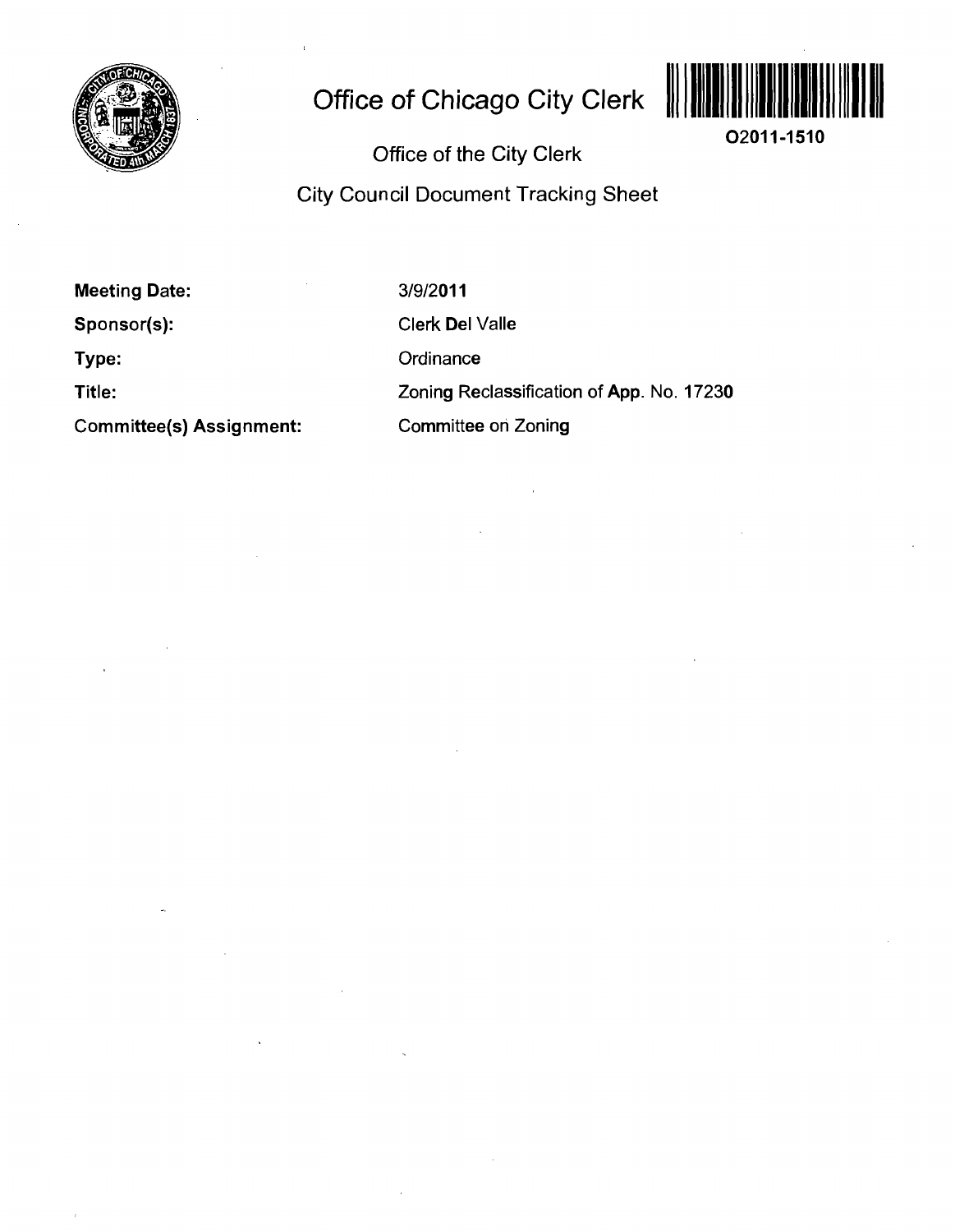

# **Office of Chicago City Clerk**



**02011-1510** 

Office of the City Clerk

City Council Document Tracking Sheet

**Meeting Date: Sponsor(s): Type: Title: Committee(s) Assignment:**  3/9/2011 Clerk Del Valle **Ordinance** Zoning Reclassification of App. No. 17230 Committee oh Zoning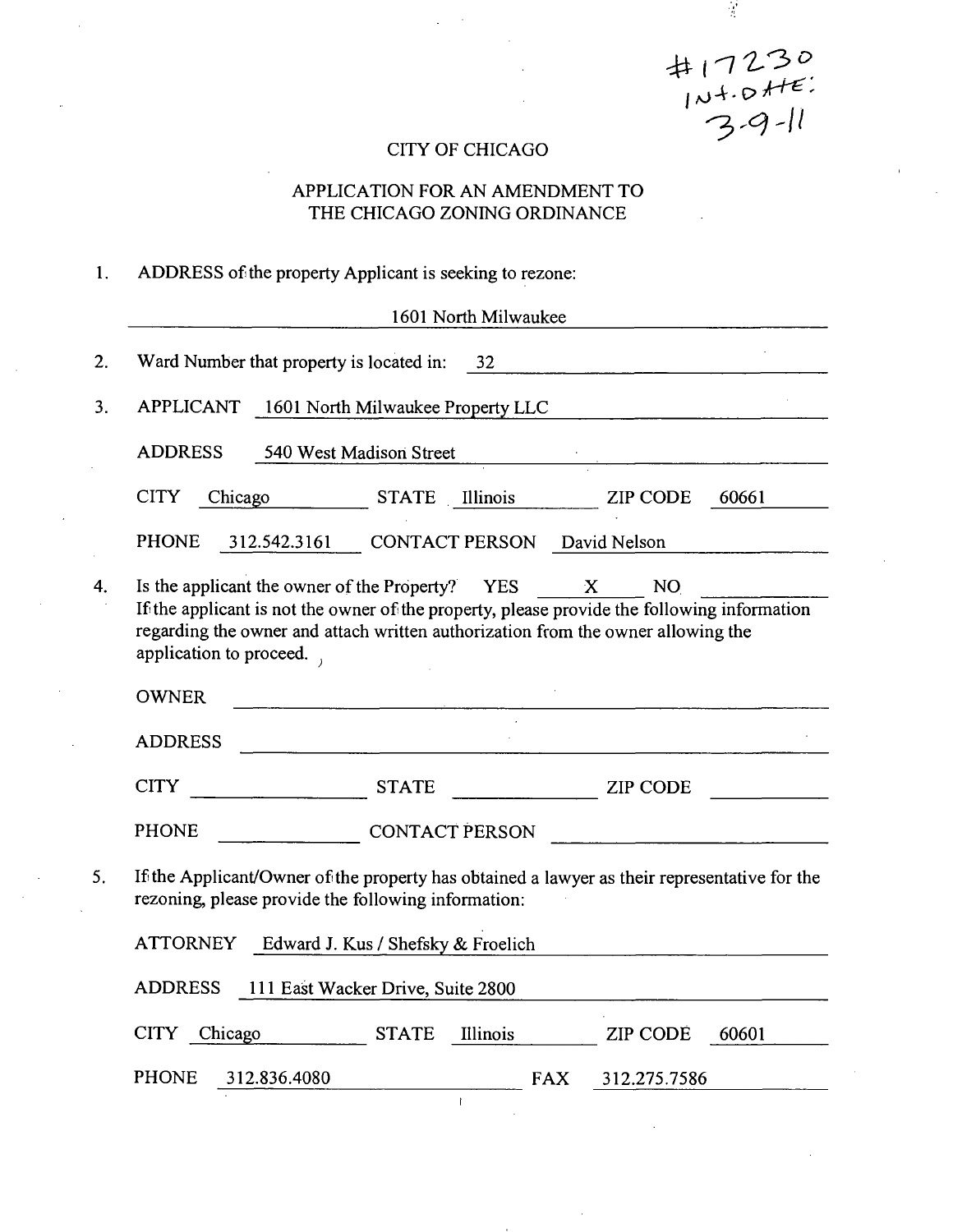$#17230$  $7,9 - 11$ 

 $\frac{1}{2}$ 

### CITY OF CHICAGO

### APPLICATION FOR AN AMENDMENT TO THE CHICAGO ZONING ORDINANCE

### 1. ADDRESS of the property Applicant is seeking to rezone:

|    | 1601 North Milwaukee                                                                                                                                                                                                                                                                |  |  |  |  |
|----|-------------------------------------------------------------------------------------------------------------------------------------------------------------------------------------------------------------------------------------------------------------------------------------|--|--|--|--|
| 2. | Ward Number that property is located in: 32                                                                                                                                                                                                                                         |  |  |  |  |
| 3. | APPLICANT 1601 North Milwaukee Property LLC                                                                                                                                                                                                                                         |  |  |  |  |
|    | <b>ADDRESS</b><br>540 West Madison Street                                                                                                                                                                                                                                           |  |  |  |  |
|    | <b>CITY</b><br>STATE Illinois ZIP CODE<br>Chicago<br>60661                                                                                                                                                                                                                          |  |  |  |  |
|    | <b>PHONE</b><br>CONTACT PERSON David Nelson<br>312.542.3161                                                                                                                                                                                                                         |  |  |  |  |
| 4. | NO<br>Is the applicant the owner of the Property? YES<br>$\mathbf{X}$<br>If the applicant is not the owner of the property, please provide the following information<br>regarding the owner and attach written authorization from the owner allowing the<br>application to proceed. |  |  |  |  |
|    | <b>OWNER</b>                                                                                                                                                                                                                                                                        |  |  |  |  |
|    | <b>ADDRESS</b>                                                                                                                                                                                                                                                                      |  |  |  |  |
|    | <b>CITY</b><br><b>STATE</b><br><b>ZIP CODE</b>                                                                                                                                                                                                                                      |  |  |  |  |
|    | <b>PHONE</b><br><b>CONTACT PERSON</b>                                                                                                                                                                                                                                               |  |  |  |  |
| 5. | If the Applicant/Owner of the property has obtained a lawyer as their representative for the<br>rezoning, please provide the following information:                                                                                                                                 |  |  |  |  |
|    | ATTORNEY Edward J. Kus / Shefsky & Froelich                                                                                                                                                                                                                                         |  |  |  |  |
|    | <b>ADDRESS</b><br>111 East Wacker Drive, Suite 2800                                                                                                                                                                                                                                 |  |  |  |  |
|    | <b>STATE</b><br>Illinois<br>CITY Chicago<br><b>ZIP CODE</b><br>60601                                                                                                                                                                                                                |  |  |  |  |
|    | <b>PHONE</b><br>312.836.4080<br><b>FAX</b><br>312.275.7586                                                                                                                                                                                                                          |  |  |  |  |
|    | $\mathbf{I}$                                                                                                                                                                                                                                                                        |  |  |  |  |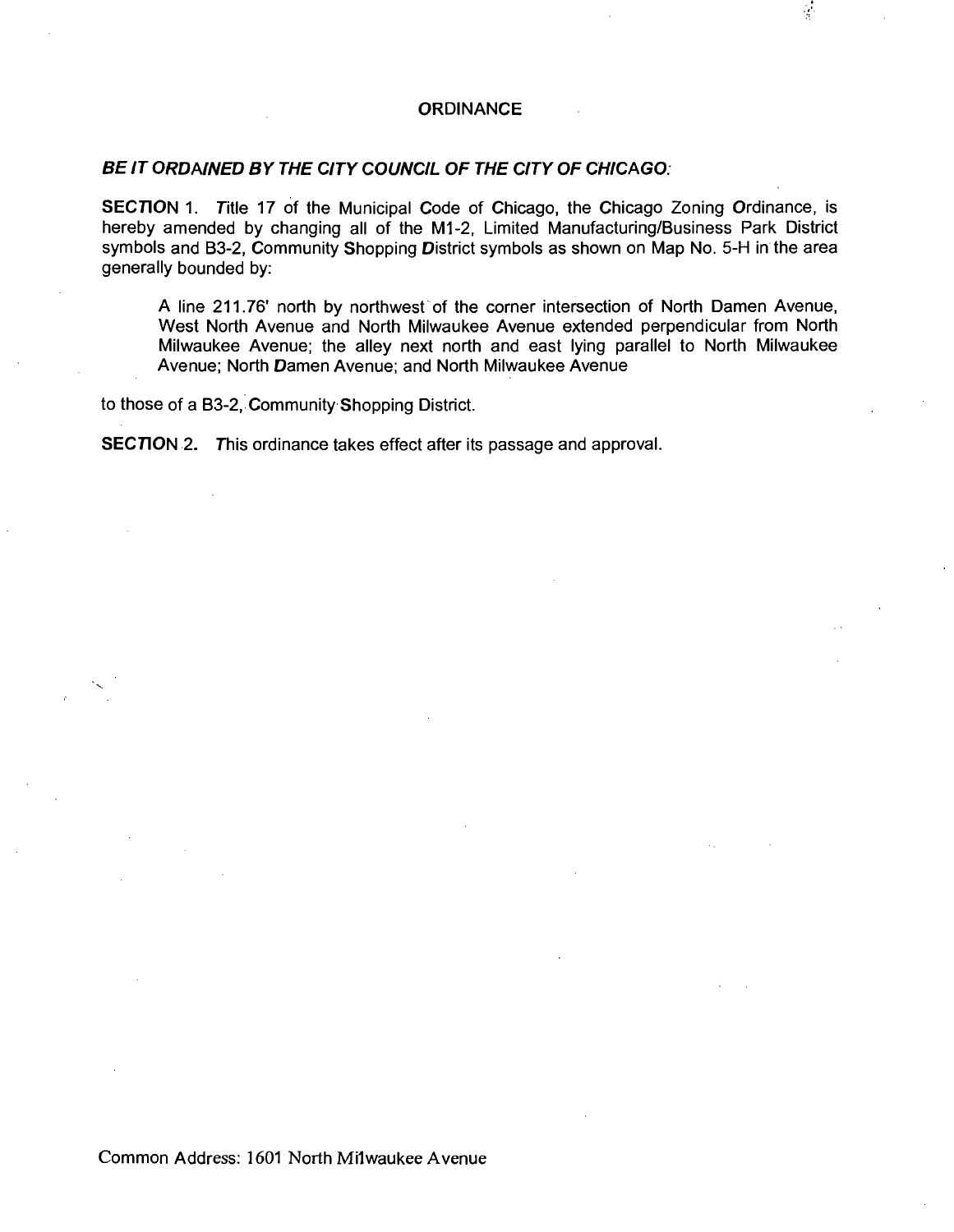#### **ORDINANCE**

### **BE IT ORDAINED BY THE CITY COUNCIL OF THE CITY OF CHICAGO:**

SECTION 1. Title 17 of the Municipal Code of Chicago, the Chicago Zoning Ordinance, is hereby amended by changing all of the M1-2, Limited Manufacturing/Business Park District symbols and B3-2, Community Shopping District symbols as shown on Map No. 5-H in the area generally bounded by:

A line 211.76' north by northwest of the corner intersection of North Damen Avenue, West North Avenue and North Milwaukee Avenue extended perpendicular from North Milwaukee Avenue; the alley next north and east lying parallel to North Milwaukee Avenue; North Damen Avenue; and North Milwaukee Avenue

to those of a 83-2, Community Shopping District.

SECTION 2. This ordinance takes effect after its passage and approval.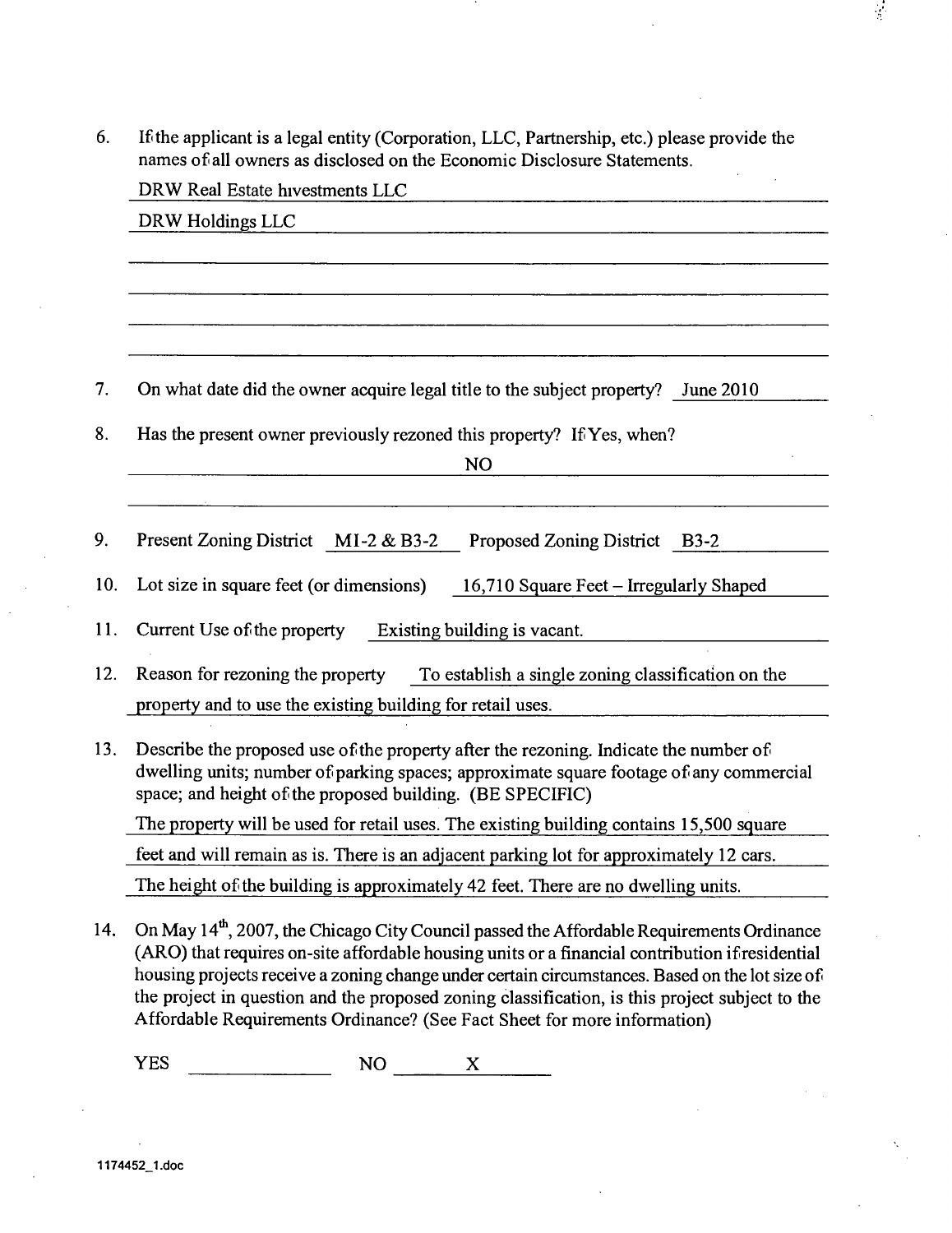Ifthe applicant is a legal entity (Corporation, LLC, Partnership, etc.) please provide the 6. names of all owners as disclosed on the Economic Disclosure Statements.

 $\frac{1}{2}$ 

|     | DRW Real Estate hivestments LLC                                                                                                                                                                                                             |  |  |  |  |
|-----|---------------------------------------------------------------------------------------------------------------------------------------------------------------------------------------------------------------------------------------------|--|--|--|--|
|     | DRW Holdings LLC                                                                                                                                                                                                                            |  |  |  |  |
|     |                                                                                                                                                                                                                                             |  |  |  |  |
|     |                                                                                                                                                                                                                                             |  |  |  |  |
|     |                                                                                                                                                                                                                                             |  |  |  |  |
|     |                                                                                                                                                                                                                                             |  |  |  |  |
| 7.  | On what date did the owner acquire legal title to the subject property? June 2010                                                                                                                                                           |  |  |  |  |
| 8.  | Has the present owner previously rezoned this property? If Yes, when?                                                                                                                                                                       |  |  |  |  |
|     | <b>NO</b>                                                                                                                                                                                                                                   |  |  |  |  |
|     |                                                                                                                                                                                                                                             |  |  |  |  |
| 9.  | <b>Present Zoning District</b><br>$MI-2 & B3-2$<br><b>Proposed Zoning District</b><br>$B3-2$                                                                                                                                                |  |  |  |  |
| 10. | Lot size in square feet (or dimensions)<br>16,710 Square Feet – Irregularly Shaped                                                                                                                                                          |  |  |  |  |
| 11. | Current Use of the property<br>Existing building is vacant.                                                                                                                                                                                 |  |  |  |  |
| 12. | Reason for rezoning the property<br>To establish a single zoning classification on the                                                                                                                                                      |  |  |  |  |
|     | property and to use the existing building for retail uses.                                                                                                                                                                                  |  |  |  |  |
| 13. | Describe the proposed use of the property after the rezoning. Indicate the number of<br>dwelling units; number of parking spaces; approximate square footage of any commercial<br>space; and height of the proposed building. (BE SPECIFIC) |  |  |  |  |
|     | The property will be used for retail uses. The existing building contains 15,500 square                                                                                                                                                     |  |  |  |  |
|     | feet and will remain as is. There is an adjacent parking lot for approximately 12 cars.                                                                                                                                                     |  |  |  |  |
|     | The height of the building is approximately 42 feet. There are no dwelling units.                                                                                                                                                           |  |  |  |  |
| 14. | On May 14 <sup>th</sup> , 2007, the Chicago City Council passed the Affordable Requirements Ordinance<br>$(ADO)$ that requires an either fordable bouging units and financial contribution if reaidertial                                   |  |  |  |  |

(ARO) that requires on-site affordable housing units or a financial contribution if residential housing projects receive a zoning change under certain circumstances. Based on the lot size of the project in question and the proposed zoning classification, is this project subject to the Affordable Requirements Ordinance? (See Fact Sheet for more information)

 $YES$  NO  $X$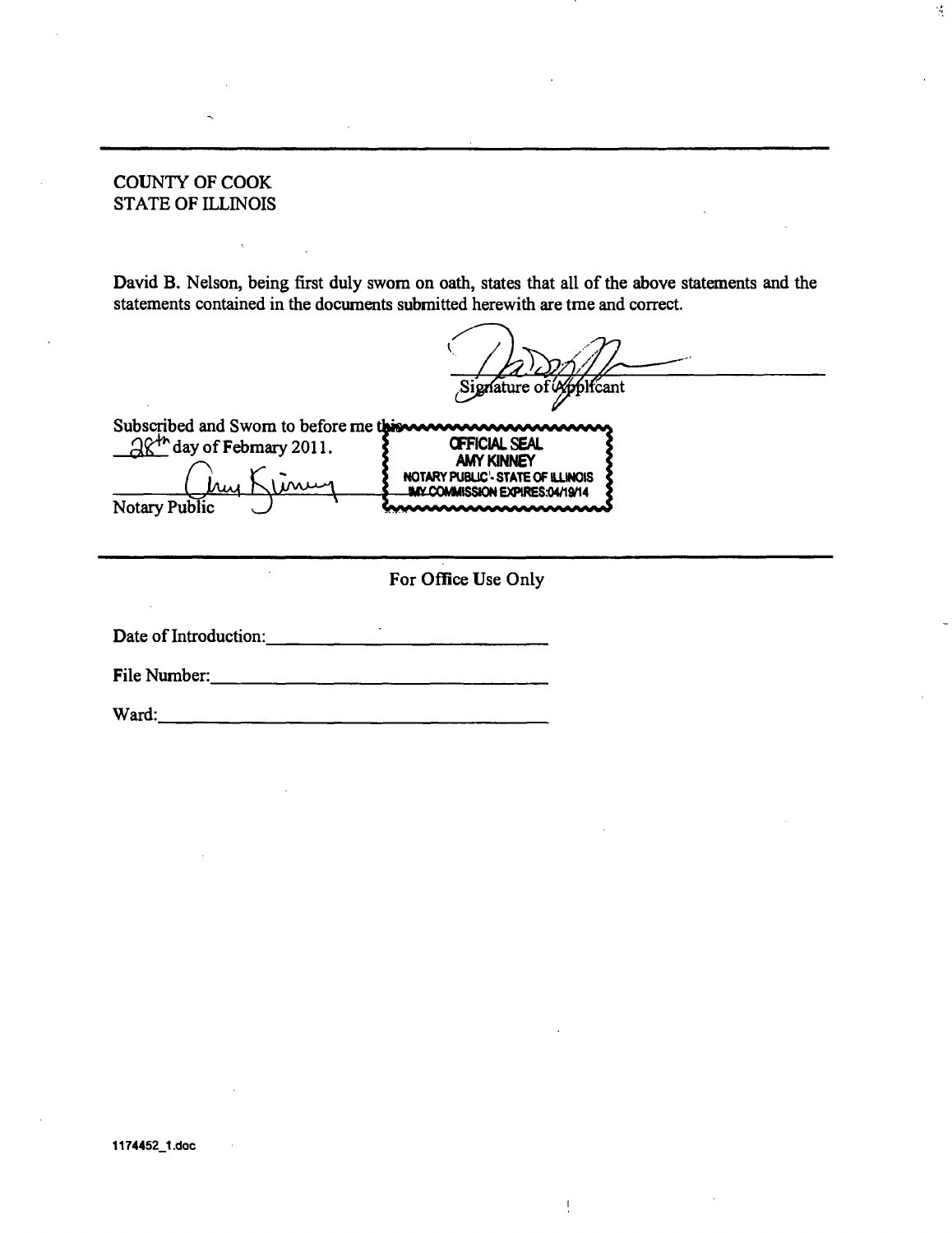#### COUNTY OF COOK STATE OF ILLINOIS

David B. Nelson, being first duly swom on oath, states that all of the above statements and the statements contained in the documents submitted herewith are tme and correct.

Signature of W blfcant

 $\mathcal{A}$ 



 $\mathbf{I}$ 

Date of Introduction: 

File Number:

Ward: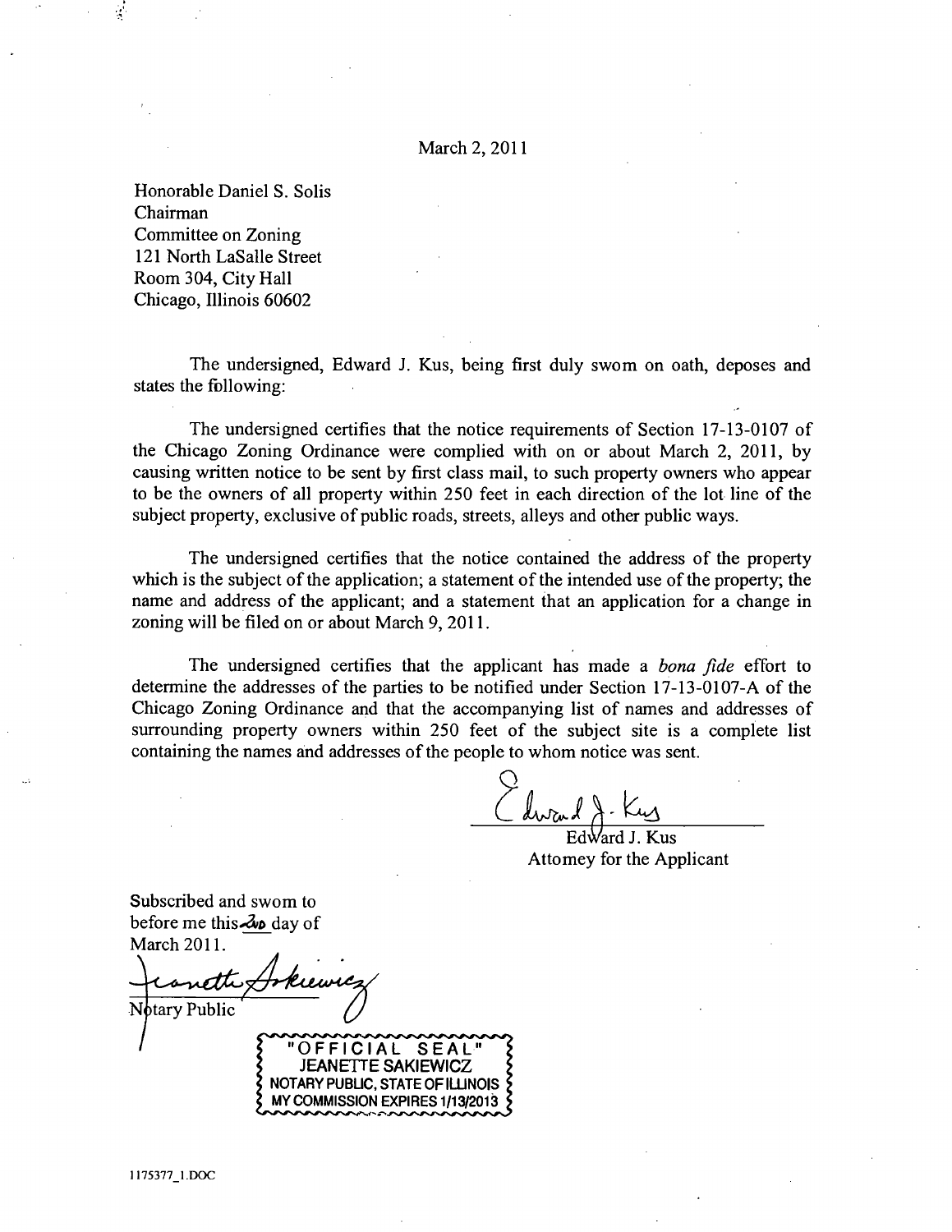#### March 2, 2011

Honorable Daniel S. Solis Chairman Committee on Zoning 121 North LaSalle Street Room 304, City Hall Chicago, Illinois 60602

The undersigned, Edward J. Kus, being first duly swom on oath, deposes and states the following:

The undersigned certifies that the notice requirements of Section 17-13-0107 of the Chicago Zoning Ordinance were complied with on or about March 2, 2011, by causing written notice to be sent by first class mail, to such property owners who appear to be the owners of all property within 250 feet in each direction of the lot line of the subject property, exclusive of public roads, streets, alleys and other public ways.

The undersigned certifies that the notice contained the address of the property which is the subject of the application; a statement of the intended use of the property; the name and address of the applicant; and a statement that an application for a change in zoning will be filed on or about March 9, 2011.

The undersigned certifies that the applicant has made a *bona fide* effort to determine the addresses of the parties to be notified under Section 17-13-0107-A of the Chicago Zoning Ordinance and that the accompanying list of names and addresses of surrounding property owners within 250 feet of the subject site is a complete list containing the names and addresses of the people to whom notice was sent.

Edward J. Kus Attomey for the Applicant

Subscribed and swom to before me this  $\lambda$  day of March 2011.

Notary Public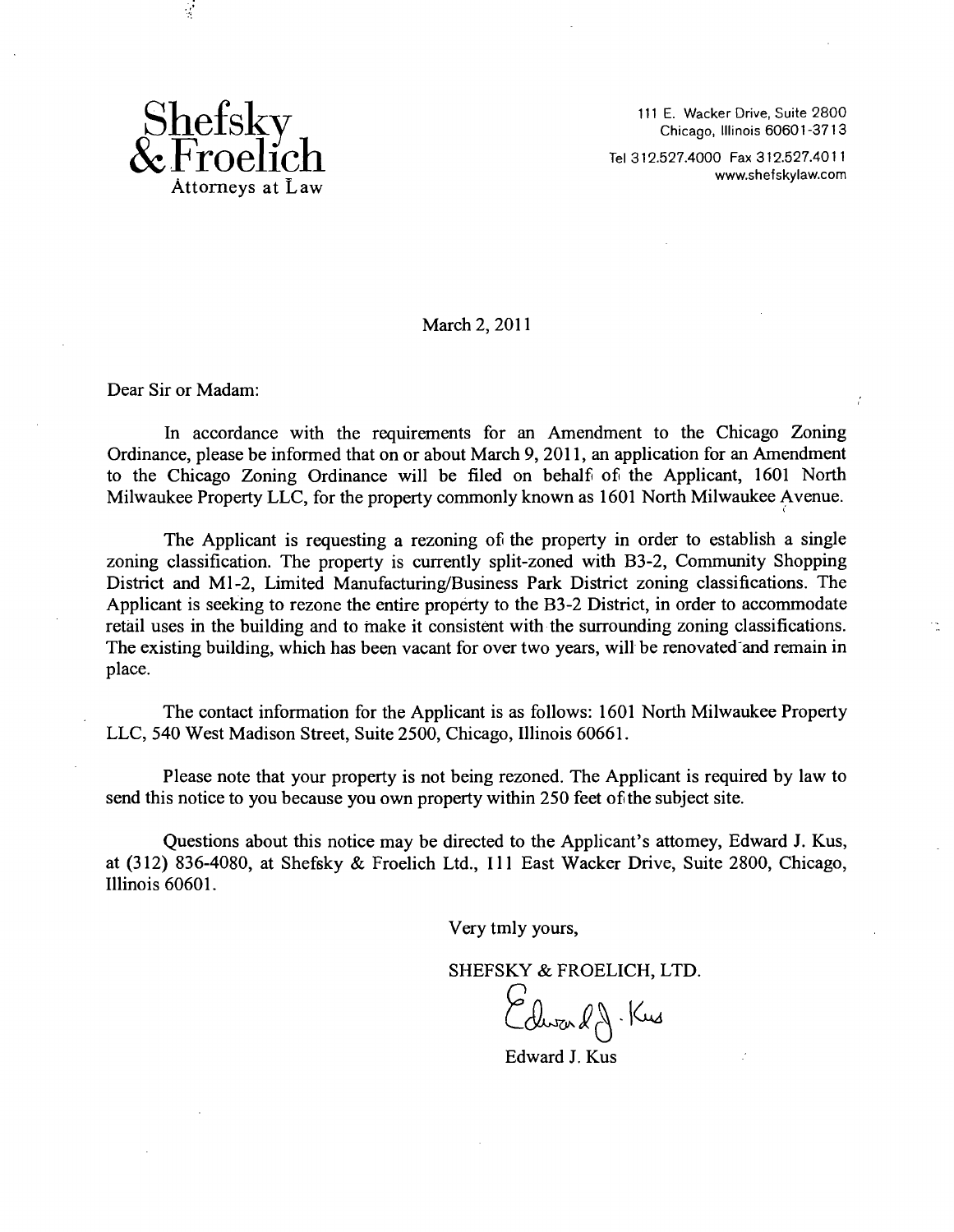

 $\mathcal{L}$ 

111 E. Wacker Drive, Suite 2800 Chicago, Illinois 60601-3713

Tel 312.527.4000 Fax 312.527.4011 . \_ www.shefskylaw.com

March 2, 2011

Dear Sir or Madam:

In accordance with the requirements for an Amendment to the Chicago Zoning Ordinance, please be informed that on or about March 9, 2011, an application for an Amendment to the Chicago Zoning Ordinance will be filed on behalf of the Applicant, 1601 North Milwaukee Property LLC, for the property commonly known as 1601 North Milwaukee Avenue.

The Applicant is requesting a rezoning of the property in order to establish a single zoning classification. The property is currently split-zoned with B3-2, Community Shopping District and Ml-2, Limited Manufacturing/Business Park District zoning classifications. The Applicant is seeking to rezone the entire property to the B3-2 District, in order to accommodate retail uses in the building and to make it consistent with the surrounding zoning classifications. The existing building, which has been vacant for over two years, will be renovated'and remain in place.

The contact information for the Applicant is as follows: 1601 North Milwaukee Property LLC, 540 West Madison Street, Suite 2500, Chicago, Illinois 60661.

Please note that your property is not being rezoned. The Applicant is required by law to send this notice to you because you own property within 250 feet of the subject site.

Questions about this notice may be directed to the Applicant's attomey, Edward J. Kus, at (312) 836-4080, at Shefsky & Froelich Ltd., Ill East Wacker Drive, Suite 2800, Chicago, Illinois 60601.

Very tmly yours,

SHEFSKY & FROELICH, LTD.

Edward J. Kus

Edward J. Kus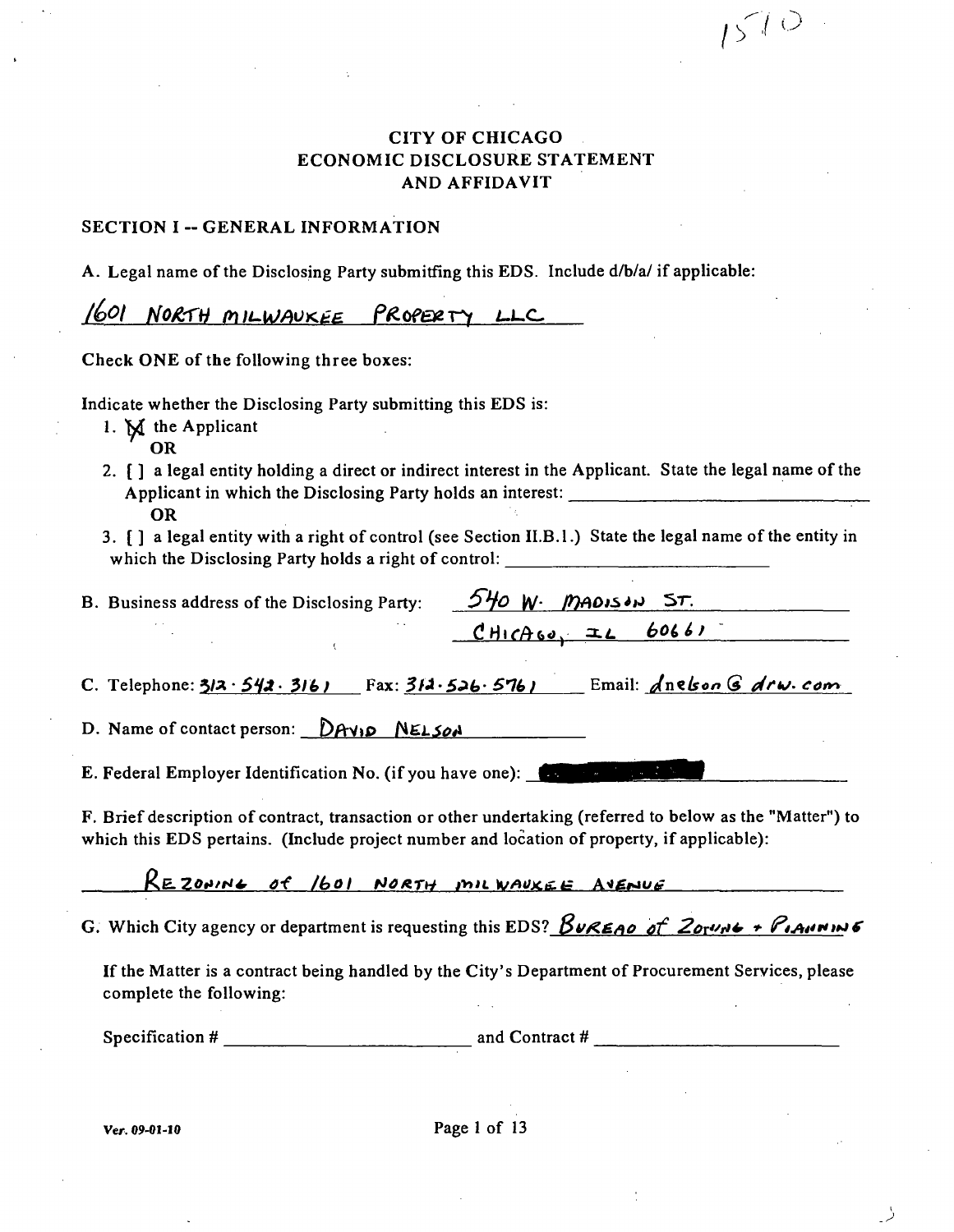### **CITY OF CHICAGO ECONOMIC DISCLOSURE STATEMENT AND AFFIDAVIT**

 $\sqrt{5}$ <sup> $\sqrt{0}$ </sup>

#### **SECTION I -- GENERAL INFORMATION**

**A. Legal name of the Disclosing Party submitfing this EDS. Include d/b/a/ if applicable:** 

1601 NORTH MILWAUKEE PROPERTY LLC

Check ONE of the following three boxes:

**Indicate whether the Disclosing Party submitting this EDS is:** 

- **1. M the Applicant OR**
- **2. [ ] a legal entity holding a direct or indirect interest in the Applicant. State the legal name ofthe Applicant in which the Disclosing Party holds an interest: OR**
- **3. [ ] a legal entity with a right of control (see Section II.B.l.) State the legal name of the entity in**  which the Disclosing Party holds a right of control: <u>\_\_\_\_\_\_</u>

| B. Business address of the Disclosing Party: $5\frac{1}{9}$ W. MADISIN ST. |                       |
|----------------------------------------------------------------------------|-----------------------|
|                                                                            | $CHICAlso = IL 60661$ |

*C. Telephone: 312 · 542 · 3161* Fax: 311 · 526 · 5761 Email: <u>Anelson G Arw. com</u>

*D.* Name of contact person: DAVID NELSON

**E. Federal Employer Identification No. (if you have one):** 

**F. Brief description of contract, transaction or other undertaking (referred to below as the "Matter") to**  which this EDS pertains. (Include project number and location of property, if applicable):

REZONING OF 16OI NORTH INIL WAUKEE AVENUE

*G.* Which City agency or department is requesting this EDS?  $\beta$ UREAO af  $2\alpha r$  $\theta$   $\neq \beta$ 

**Ifthe Matter is a contract being handled by the City's Department of Procurement Services, please complete the following:** 

**Specification # and Contract #**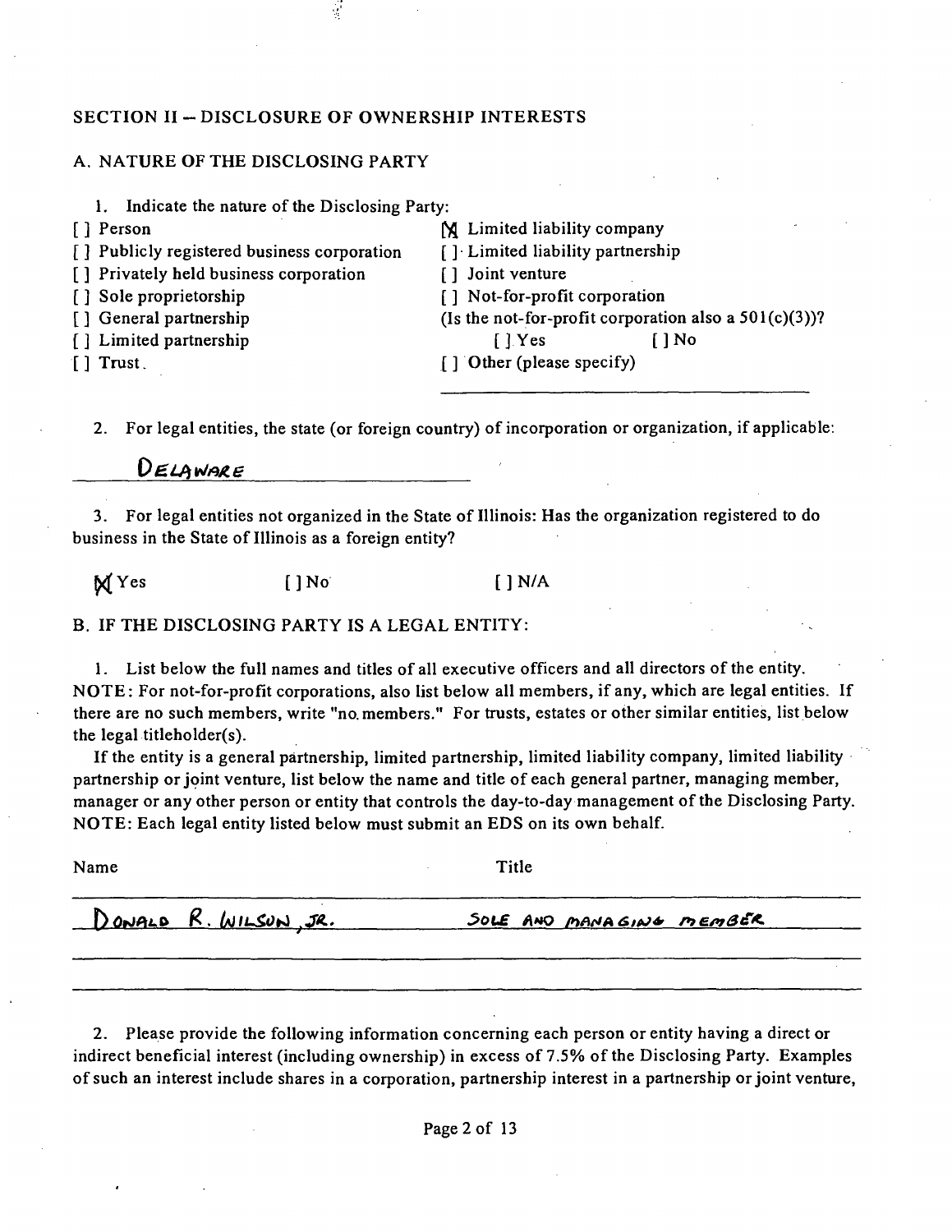#### SECTION II - DISCLOSURE OF OWNERSHIP INTERESTS

#### A. NATURE OF THE DISCLOSING PARTY

- 1. Indicate the nature of the Disclosing Party:
- 
- 
- [ ] Publicly registered business corporation [ ] Limited liabil<br>[ ] Privately held business corporation [ ] Joint venture
- [ ] Privately held business corporation [ ] Sole proprietorship
- 
- 
- [ ] Limited partnership<br>[ ] Trust
- 
- [] Person [1] Person [1] Person [1] Person [1] Person [1] Publicly registered business corporation [1] Limited liability partnership [ ] Sole proprietorship [ ] Not-for-profit corporation [ ] General partnership (Is the not-for-profit corporation (Is the not-for-profit corporation also a  $501(c)(3)$ )?<br>[] No  $\lceil \cdot \rceil$  Other (please specify)

2. For legal entities, the state (or foreign country) of incorporation or organization, if applicable:

### DELAWARE

3. For legal entities not organized in the State of Illinois: Has the organization registered to do business in the State of Illinois as a foreign entity?

 $\mathbb{M}$  Yes []No []N/A

B. IF THE DISCLOSING PARTY IS A LEGAL ENTITY:

1. List below the full names and titles of all executive officers and all directors of the entity. NOTE: For not-for-profit corporations, also list below all members, if any, which are legal entities. If there are no such members, write "no. members." For trusts, estates or other similar entities, list below the legal titleholder(s).

If the entity is a general partnership, limited partnership, limited liability company, limited liability partnership or joint venture, list below the name and title of each general partner, managing member, manager or any other person or entity that controls the day-to-day management of the Disclosing Party. NOTE: Each legal entity listed below must submit an EDS on its own behalf.

| Name |                       | Title                    |  |
|------|-----------------------|--------------------------|--|
|      | DONALD R. WILSON, JR. | SOLE AND MANAGING MEMBER |  |
|      |                       |                          |  |

2. Please provide the following information concerning each person or entity having a direct or indirect beneficial interest (including ownership) in excess of 7.5% of the Disclosing Party. Examples of such an interest include shares in a corporation, partnership interest in a partnership or joint venture.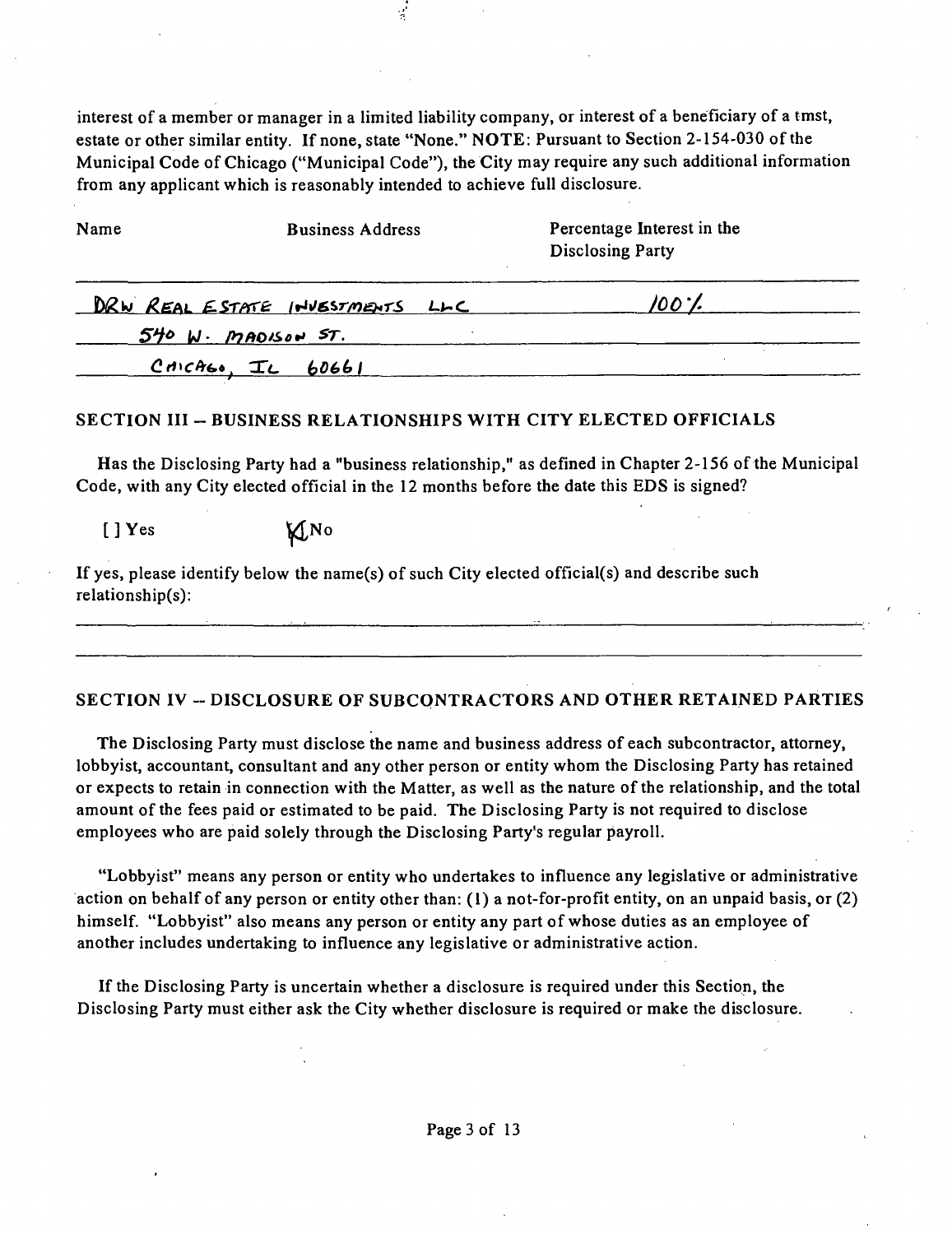interest of a member or manager in a limited liability company, or interest of a beneficiary of a tmst, estate or other similar entity. If none, state "None." NOTE: Pursuant to Section 2-154-030 of the Municipal Code of Chicago ("Municipal Code"), the City may require any such additional information from any applicant which is reasonably intended to achieve full disclosure.

| Name                       | <b>Business Address</b>         | Percentage Interest in the<br><b>Disclosing Party</b> |  |
|----------------------------|---------------------------------|-------------------------------------------------------|--|
|                            | DRW REAL ESTATE INVESTMENTS LLC | 100'I                                                 |  |
|                            | $540$ $N$ . MADISON ST.         |                                                       |  |
| $P$ dicAL <sub>a</sub> $T$ |                                 |                                                       |  |

### SECTION III – BUSINESS RELATIONSHIPS WITH CITY ELECTED OFFICIALS

Has the Disclosing Party had a "business relationship," as defined in Chapter 2-156 of the Municipal Code, with any City elected official in the 12 months before the date this EDS is signed?

[ ] Yes **\Mexi** 

If yes, please identify below the name(s) of such City elected official(s) and describe such relationship(s):

### SECTION IV -- DISCLOSURE OF SUBCONTRACTORS AND OTHER RETAINED PARTIES

The Disclosing Party must disclose the name and business address of each subcontractor, attorney, lobbyist, accountant, consultant and any other person or entity whom the Disclosing Party has retained or expects to retain in connection with the Matter, as well as the nature ofthe relationship, and the total amount of the fees paid or estimated to be paid. The Disclosing Party is not required to disclose employees who are paid solely through the Disclosing Party's regular payroll.

"Lobbyist" means any person or entity who undertakes to influence any legislative or administrative action on behalf of any person or entity other than: (I) a not-for-profit entity, on an unpaid basis, or (2) himself. "Lobbyist" also means any person or entity any part of whose duties as an employee of another includes undertaking to influence any legislative or administrative action.

If the Disclosing Party is uncertain whether a disclosure is required under this Section, the Disclosing Party must either ask the City whether disclosure is required or make the disclosure.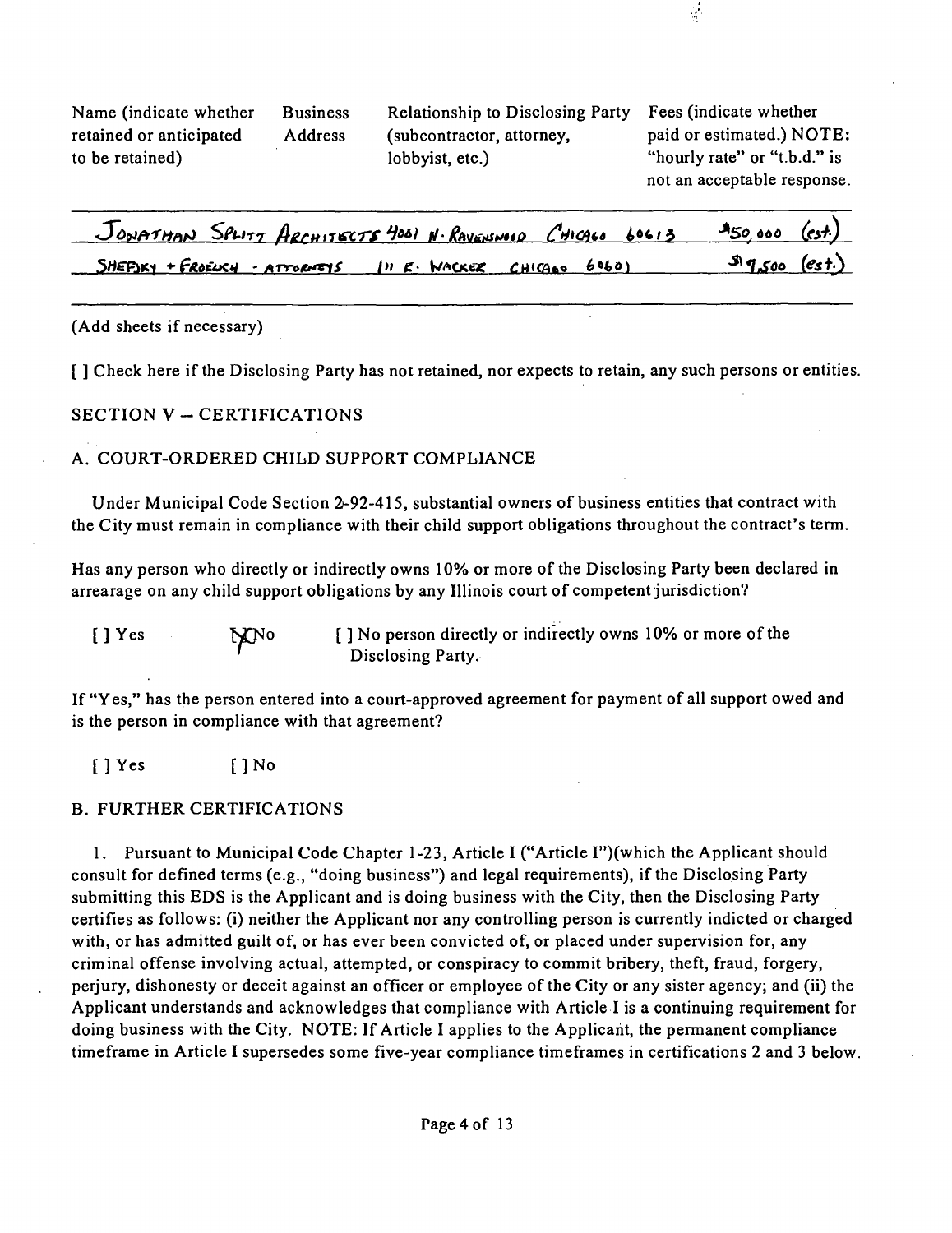Name (indicate whether Business Relationship to Disclosing Party Fees (indicate whether retained or anticipated Address (subcontractor, attorney, paid or estimated.) NOTE: to be retained) lobbyist, etc.) "hourly rate" or "t.b.d." is

not an acceptable response.

 $\frac{1}{2}$ 

| JONATHAN SPLITT ARCHITECTS 4001 N. RAVENSWOOD CHICAGO 60613 \$50,000 (est.) |  |                |  |
|-----------------------------------------------------------------------------|--|----------------|--|
| SHEFIXY + FROELICH - ATTORNEYS IN E. WACKER CHICAGO 6060)                   |  | $9.500$ (est.) |  |

### (Add sheets if necessary)

**[ ] Check here if the Disclosing Party has not retained, nor expects to retain, any such persons or entities.** 

### **SECTION V - CERTIFICATIONS**

### A. COURT-ORDERED CHILD SUPPORT COMPLIANCE

Under Municipal Code Section 2-92-415, substantial owners of business entities that contract with the City must remain in compliance with their child support obligations throughout the contract's term.

Has any person who directly or indirectly owns 10% or more of the Disclosing Party been declared in arrearage on any child support obligations by any Illinois court of competent jurisdiction?

[] Yes MNO [] No person directly or indirectly owns 10% or more of the Disclosing Party.

If "Yes," has the person entered into a court-approved agreement for payment of all support owed and is the person in compliance with that agreement?

[ ] Yes [ ] No

### B. FURTHER CERTIFICATIONS

1. Pursuant to Municipal Code Chapter 1-23, Article I ("Article I")(which the Applicant should consult for defined terms (e.g., "doing business") and legal requirements), if the Disclosing Party submitting this EDS is the Applicant and is doing business with the City, then the Disclosing Party certifies as follows: (i) neither the Applicant nor any controlling person is currently indicted or charged with, or has admitted guilt of, or has ever been convicted of, or placed under supervision for, any criminal offense involving actual, attempted, or conspiracy to commit bribery, theft, fraud, forgery, perjury, dishonesty or deceit against an officer or employee of the City or any sister agency; and (ii) the Applicant understands and acknowledges that compliance with Article I is a continuing requirement for doing business with the City. NOTE: If Article I applies to the Applicant, the permanent compliance timeframe in Article I supersedes some five-year compliance timeframes in certifications 2 and 3 below.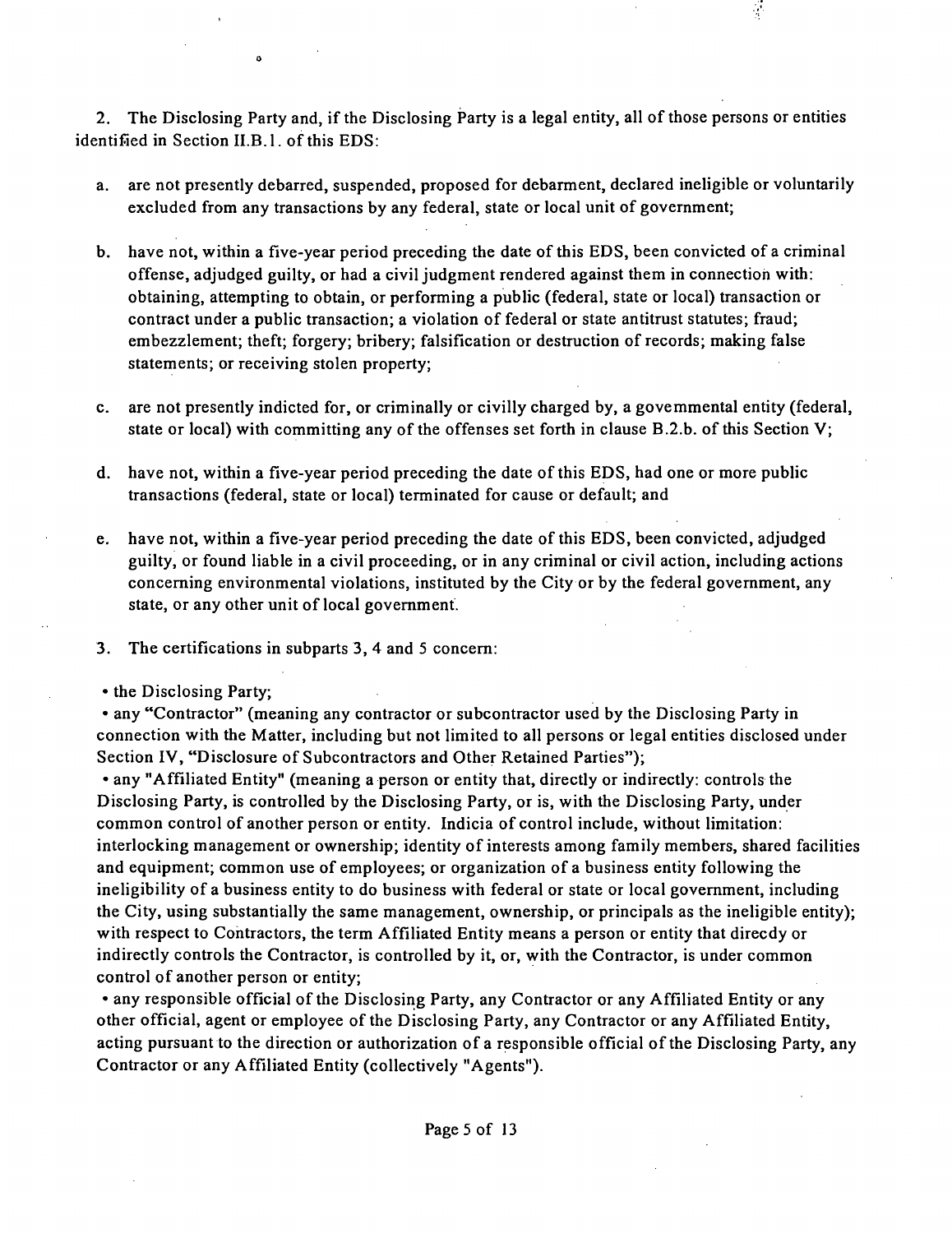2. The Disclosing Party and, if the Disclosing Party is a legal entity, all of those persons or entities identified in Section II.B.1. of this EDS:

- a. are not presently debarred, suspended, proposed for debarment, declared ineligible or voluntarily excluded from any transactions by any federal, state or local unit of government;
- b. have not, within a five-year period preceding the date of this EDS, been convicted of a criminal offense, adjudged guilty, or had a civil judgment rendered against them in connection with: obtaining, attempting to obtain, or performing a public (federal, state or local) transaction or contract under a public transaction; a violation of federal or state antitrust statutes; fraud; embezzlement; theft; forgery; bribery; falsification or destruction of records; making false statements; or receiving stolen property;
- c. are not presently indicted for, or criminally or civilly charged by, a govemmental entity (federal, state or local) with committing any of the offenses set forth in clause B.2.b. ofthis Section V;
- d. have not, within a five-year period preceding the date ofthis EDS, had one or more public transactions (federal, state or local) terminated for cause or default; and
- e. have not, within a five-year period preceding the date of this EDS, been convicted, adjudged guilty, or found liable in a civil proceeding, or in any criminal or civil action, including actions conceming environmental violations, instituted by the City or by the federal government, any state, or any other unit of local govemment.
- 3. The certifications in subparts 3, 4 and 5 concem:
- the Disclosing Party;

• any "Contractor" (meaning any contractor or subcontractor used by the Disclosing Party in connection with the Matter, including but not limited to all persons or legal entities disclosed under Section IV, "Disclosure of Subcontractors and Other Retained Parties");

• any "Affiliated Entity" (meaning a person or entity that, directly or indirectly: controls the Disclosing Party, is controlled by the Disclosing Party, or is, with the Disclosing Party, under common control of another person or entity. Indicia of control include, without limitation: interlocking management or ownership; identity of interests among family members, shared facilities and equipment; common use of employees; or organization of a business entity following the ineligibility of a business entity to do business with federal or state or local govemment, including the City, using substantially the same management, ownership, or principals as the ineligible entity); with respect to Contractors, the term Affiliated Entity means a person or entity that direcdy or indirectly controls the Contractor, is controlled by it, or, with the Contractor, is under common control of another person or entity;

• any responsible official of the Disclosing Party, any Contractor or any Affiliated Entity or any other official, agent or employee of the Disclosing Party, any Contractor or any Affiliated Entity, acting pursuant to the direction or authorization of a responsible official of the Disclosing Party, any Contractor or any Affiliated Entity (collectively "Agents").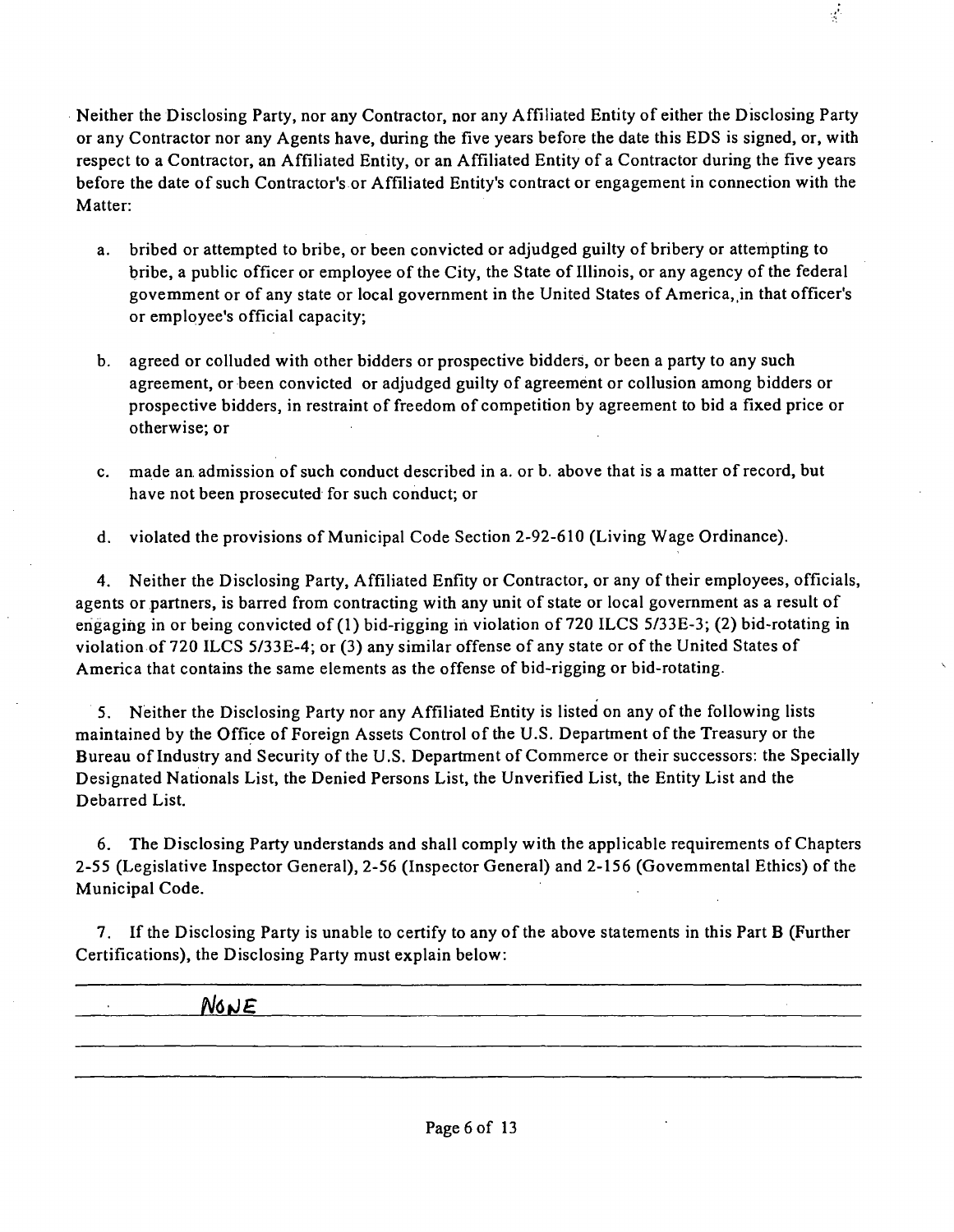Neither the Disclosing Party, nor any Contractor, nor any Affiliated Entity of either the Disclosing Party or any Contractor nor any Agents have, during the five years before the date this EDS is signed, or, with respect to a Contractor, an Affiliated Entity, or an Affiliated Entity of a Contractor during the five years before the date of such Contractor's or Affiliated Entity's contract or engagement in connection with the Matter:

- a. bribed or attempted to bribe, or been convicted or adjudged guilty of bribery or attempting to bribe, a public officer or employee of the City, the State of Illinois, or any agency of the federal govemment or of any state or local government in the United States of America, in that officer's or employee's official capacity;
- b. agreed or colluded with other bidders or prospective bidders, or been a party to any such agreement, or been convicted or adjudged guilty of agreement or collusion among bidders or prospective bidders, in restraint of freedom of competition by agreement to bid a fixed price or otherwise; or
- c. made an admission of such conduct described in a. or b. above that is a matter of record, but have not been prosecuted for such conduct; or
- d. violated the provisions of Municipal Code Section 2-92-610 (Living Wage Ordinance).

4. Neither the Disclosing Party, Affiliated Enfity or Contractor, or any of their employees, officials, agents or partners, is barred from contracting with any unit of state or local government as a result of engaging in or being convicted of (1) bid-rigging in violation of 720 ILCS 5/33E-3; (2) bid-rotating in violation of 720 ILCS 5/33E-4; or (3) any similar offense of any state or of the United States of America that contains the same elements as the offense of bid-rigging or bid-rotating.

5. Neither the Disclosing Party nor any Affiliated Entity is listed on any of the following lists maintained by the Office of Foreign Assets Control of the U.S. Department of the Treasury or the Bureau of Industry and Security of the U.S. Department of Commerce or their successors: the Specially Designated Nationals List, the Denied Persons List, the Unverified List, the Entity List and the Debarred List.

6. The Disclosing Party understands and shall comply with the applicable requirements of Chapters 2-55 (Legislative Inspector General), 2-56 (Inspector General) and 2-156 (Govemmental Ethics) of the Municipal Code.

7. Ifthe Disclosing Party is unable to certify to any of the above statements in this Part B (Further Certifications), the Disclosing Party must explain below:

**• N61JE**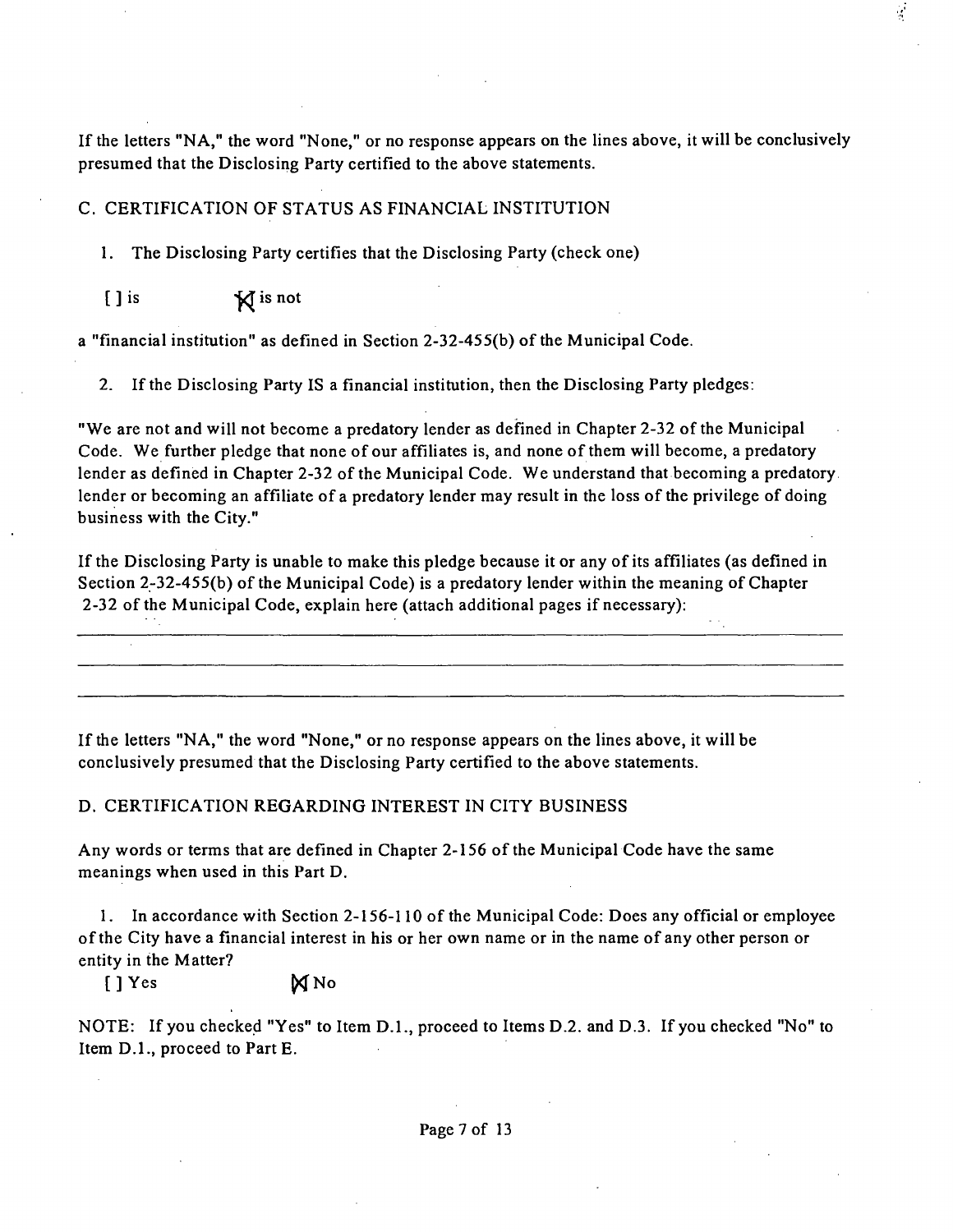If the letters "NA," the word "None," or no response appears on the lines above, it will be conclusively presumed that the Disclosing Party certified to the above statements.

### C. CERTIFICATION OF STATUS AS FINANCIAL INSTITUTION

*1. The Disclosing Party certifies that the Disclosing Party (check one)* 

*[ ] is ^* 

a "financial insfitution" as defined in Section 2-32-455(b) of the Municipal Code.

2. If the Disclosing Party IS a financial institution, then the Disclosing Party pledges:

"We are not and will not become a predatory lender as defined in Chapter 2-32 of the Municipal Code. We further pledge that none of our affiliates is, and none of them will become, a predatory lender as defined in Chapter 2-32 of the Municipal Code. We understand that becoming a predatory. lender or becoming an affiliate of a predatory lender may result in the loss of the privilege of doing business with the City."

If the Disclosing Party is unable to make this pledge because it or any of its affiliates (as defined in Section 2-32-455(b) of the Municipal Code) is a predatory lender within the meaning of Chapter 2-32 of the Municipal Code, explain here (attach additional pages if necessary):

If the letters "NA, " the word "None," or no response appears on the lines above, it will be conclusively presumed that the Disclosing Party certified to the above statements.

### D. CERTIFICATION REGARDING INTEREST IN CITY BUSINESS

Any words or terms that are defined in Chapter 2-156 of the Municipal Code have the same meanings when used in this Part D.

1. In accordance with Section 2-156-110 of the Municipal Code: Does any official or employee ofthe City have a financial interest in his or her own name or in the name of any other person or entity in the Matter?

 $[$   $]$   $Y$  es  $\mathbb{N}$  No

NOTE: If you checked "Yes" to Item D.L, proceed to Items D.2. and D.3. If you checked "No" to Item D.L, proceed to Part E.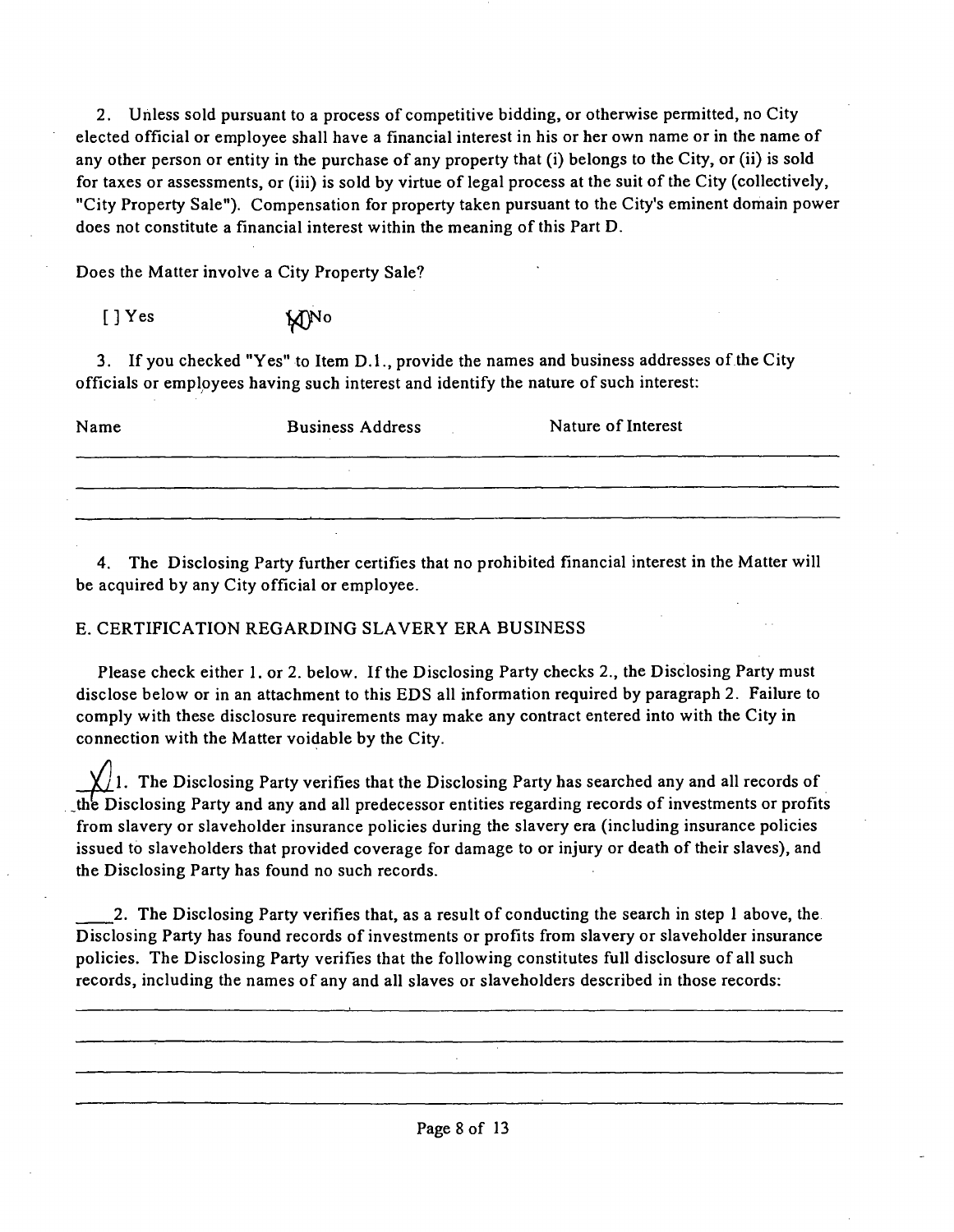2. Unless sold pursuant to a process of competitive bidding, or otherwise permitted, no City elected official or employee shall have a financial interest in his or her own name or in the name of any other person or entity in the purchase of any property that (i) belongs to the City, or (ii) is sold for taxes or assessments, or (iii) is sold by virtue of legal process at the suit of the City (collectively, "City Property Sale"). Compensation for property taken pursuant to the City's eminent domain power does not constitute a financial interest within the meaning of this Part D.

Does the Matter involve a City Property Sale?

| $[$ ] Yes | <b>M<sub>NO</sub></b> |
|-----------|-----------------------|
|           |                       |

3. If you checked "Yes" to Item D.1., provide the names and business addresses of the City officials or employees having such interest and identify the nature of such interest:

| Name | <b>Business Address</b> | Nature of Interest |
|------|-------------------------|--------------------|
|      |                         |                    |
|      |                         |                    |

4. The Disclosing Party further certifies that no prohibited financial interest in the Matter will be acquired by any City official or employee.

### E. CERTIFICATION REGARDING SLAVERY ERA BUSINESS

Please check either 1. or 2. below. If the Disclosing Party checks 2., the Disclosing Party must disclose below or in an attachment to this EDS all information required by paragraph 2. Failure to comply with these disclosure requirements may make any contract entered into with the City in connection with the Matter voidable by the City.

 $\bigcup$ 1. The Disclosing Party verifies that the Disclosing Party has searched any and all records of \_the Disclosing Party and any and all predecessor entities regarding records of investments or profits from slavery or slaveholder insurance policies during the slavery era (including insurance policies issued to slaveholders that provided coverage for damage to or injury or death of their slaves), and the Disclosing Party has found no such records.

2. The Disclosing Party verifies that, as a result of conducting the search in step 1 above, the Disclosing Party has found records of investments or profits from slavery or slaveholder insurance policies. The Disclosing Party verifies that the following constitutes full disclosure of all such records, including the names of any and all slaves or slaveholders described in those records: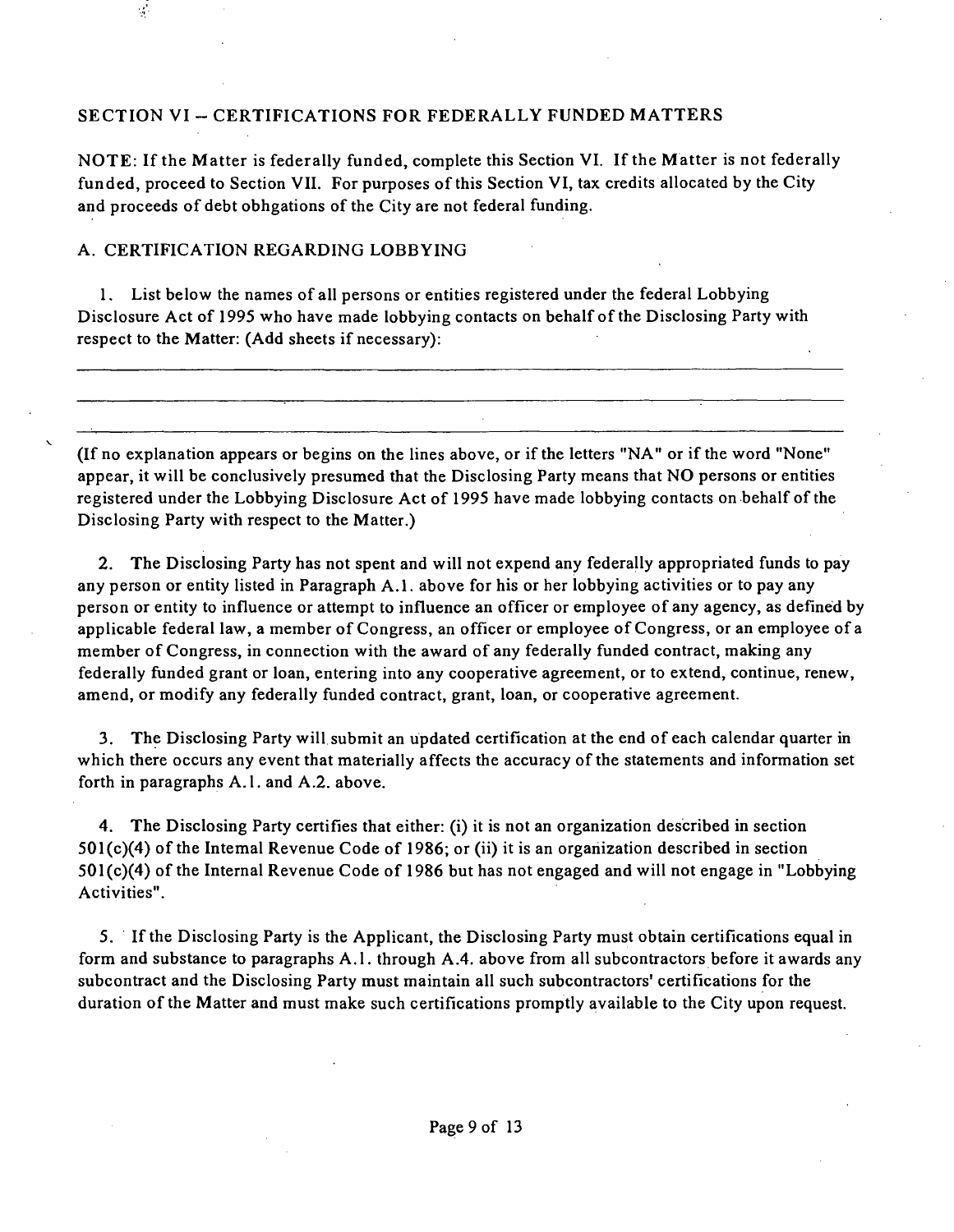#### **SECTION VI - CERTIFICATIONS FOR FEDERALLY FUNDED MATTERS**

NOTE: If the Matter is federally funded, complete this Section VI. If the Matter is not federally funded, proceed to Section VII. For purposes of this Section VI, tax credits allocated by the City and proceeds of debt obhgations of the City are not federal funding.

#### A. CERTIFICATION REGARDING LOBBYING

 $\mathcal{L}$ 

1, List below the names of all persons or entities registered under the federal Lobbying Disclosure Act of 1995 who have made lobbying contacts on behalf of the Disclosing Party with respect to the Matter: (Add sheets if necessary):

(If no explanation appears or begins on the lines above, or if the letters "NA" or if the word "None" appear, it will be conclusively presumed that the Disclosing Party means that NO persons or entities registered under the Lobbying Disclosure Act of 1995 have made lobbying contacts on behalf of the Disclosing Party with respect to the Matter.)

2. The Disclosing Party has not spent and will not expend any federally appropriated funds to pay any person or entity listed in Paragraph A.1. above for his or her lobbying activities or to pay any person or entity to influence or attempt to influence an officer or employee of any agency, as defined by applicable federal law, a member of Congress, an officer or employee of Congress, or an employee of a member of Congress, in connection with the award of any federally funded contract, making any federally funded grant or loan, entering into any cooperative agreement, or to extend, continue, renew, amend, or modify any federally funded contract, grant, loan, or cooperative agreement.

3. The Disclosing Party will submit an updated certification at the end of each calendar quarter in which there occurs any event that materially affects the accuracy of the statements and information set forth in paragraphs A.l . and A.2. above.

4. The Disclosing Party certifies that either: (i) it is not an organization described in section  $501(c)(4)$  of the Intemal Revenue Code of 1986; or (ii) it is an organization described in section  $501(c)(4)$  of the Internal Revenue Code of 1986 but has not engaged and will not engage in "Lobbying Activities".

5. If the Disclosing Party is the Applicant, the Disclosing Party must obtain certifications equal in form and substance to paragraphs A.l . through A.4. above from all subcontractors before it awards any subcontract and the Disclosing Party must maintain all such subcontractors' certifications for the duration of the Matter and must make such certifications promptly available to the City upon request.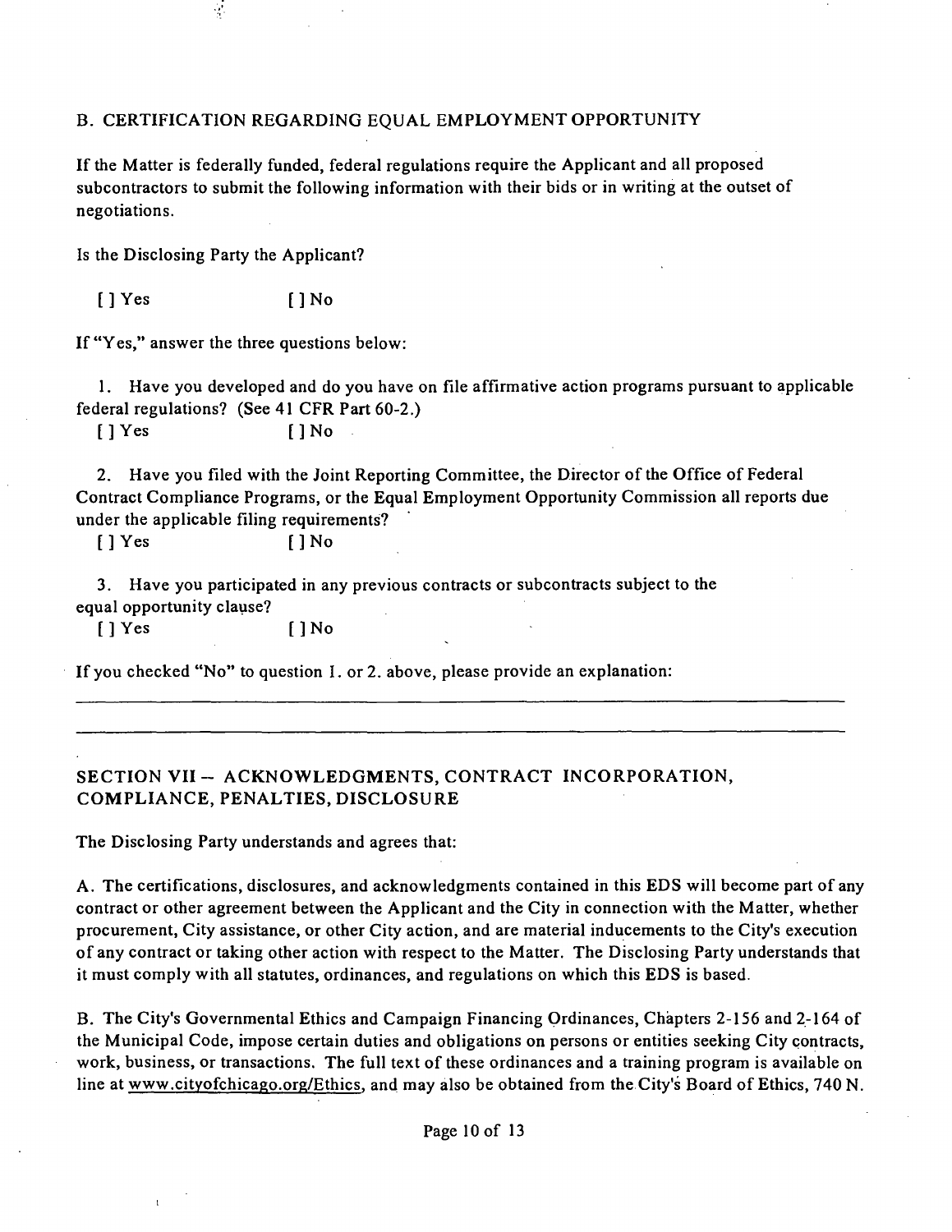#### B. CERTIFICATION REGARDING EQUAL EMPLOYMENT OPPORTUNITY

If the Matter is federally funded, federal regulations require the Applicant and all proposed subcontractors to submit the following information with their bids or in writing at the outset of negotiations.

Is the Disclosing Party the Applicant?

 $\frac{1}{2}$ 

[] Yes [] No

If "Yes," answer the three questions below:

1. Have you developed and do you have on file affirmative action programs pursuant to applicable federal regulations? (See 41 CFR Part 60-2.)

 $[$  ] Yes  $[$   $]$  No

2. Have you filed with the Joint Reporting Committee, the Director of the Office of Federal Contract Compliance Programs, or the Equal Employment Opportunity Commission all reports due under the applicable filing requirements?

 $[$  ]  $Y$ es  $[$   $]$  No

3. Have you participated in any previous contracts or subcontracts subject to the equal opportunity clause?

[ ] Yes [ ] No

If you checked "No" to question I. or 2. above, please provide an explanation:

### **SECTION VII - ACKNOWLEDGMENTS, CONTRACT INCORPORATION, COMPLIANCE, PENALTIES, DISCLOSURE**

The Disclosing Party understands and agrees that:

A. The certifications, disclosures, and acknowledgments contained in this EDS will become part of any contract or other agreement between the Applicant and the City in connection with the Matter, whether procurement. City assistance, or other City action, and are material inducements to the City's execution of any contract or taking other action with respect to the Matter. The Disclosing Party understands that it must comply with all statutes, ordinances, and regulations on which this EDS is based.

B. The City's Governmental Ethics and Campaign Financing Ordinances, Chapters 2-156 and 2-164 of the Municipal Code, impose certain duties and obligations on persons or entities seeking City contracts, work, business, or transactions. The full text of these ordinances and a training program is available on line at www.cityofchicago.org/Ethics. and may also be obtained from the City's Board of Ethics, 740 N.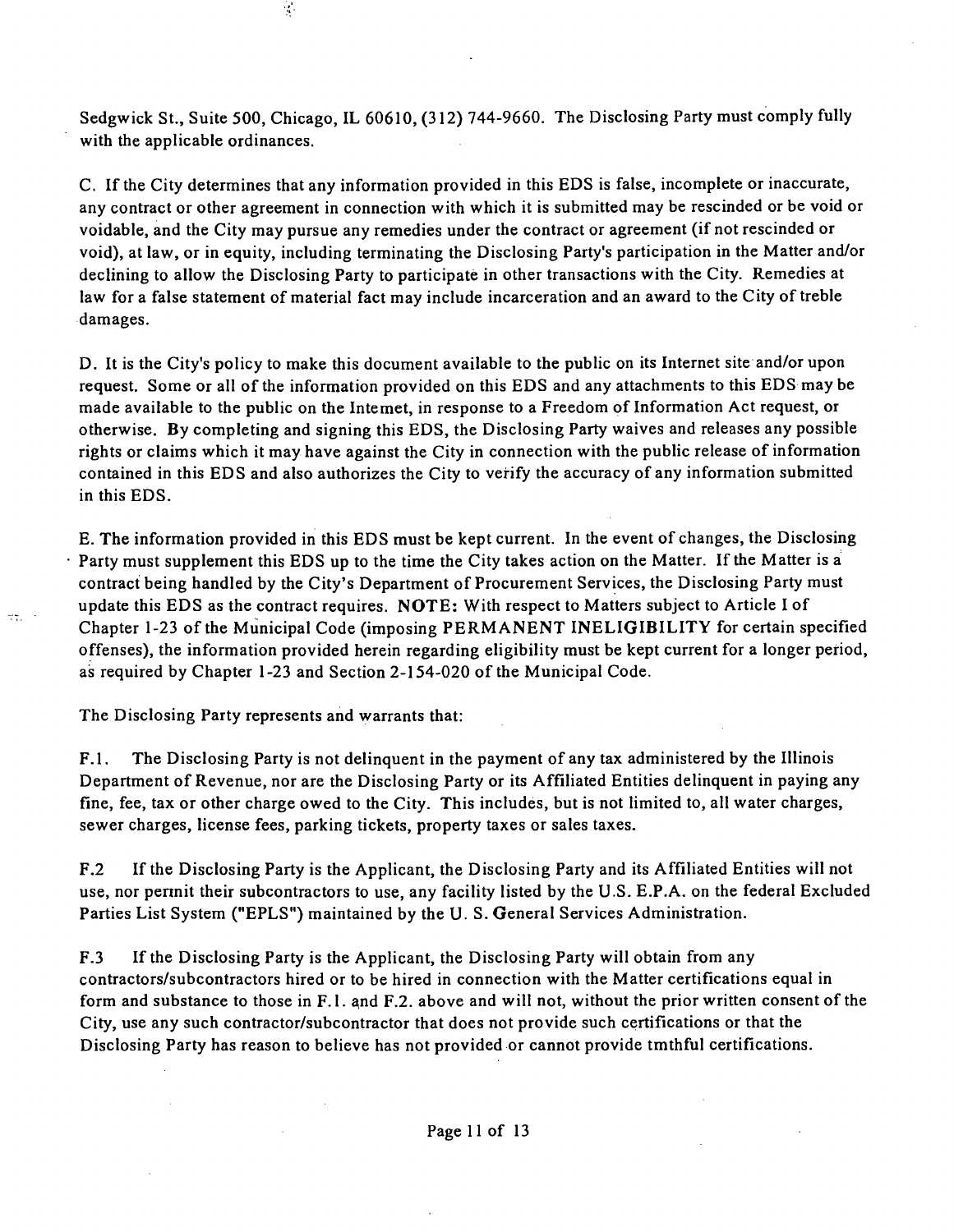Sedgwick St., Suite 500, Chicago, IL 60610, (312) 744-9660. The Disclosing Party must comply fully with the applicable ordinances.

C. If the City determines that any information provided in this EDS is false, incomplete or inaccurate, any contract or other agreement in connection with which it is submitted may be rescinded or be void or voidable, and the City may pursue any remedies under the contract or agreement (if not rescinded or void), at law, or in equity, including terminating the Disclosing Party's participation in the Matter and/or declining to allow the Disclosing Party to participate in other transactions with the City. Remedies at law for a false statement of material fact may include incarceration and an award to the City of treble damages.

D. It is the City's policy to make this document available to the public on its Internet site and/or upon request. Some or all of the information provided on this EDS and any attachments to this EDS may be made available to the public on the Intemet, in response to a Freedom of Information Act request, or otherwise. By completing and signing this EDS, the Disclosing Party waives and releases any possible rights or claims which it may have against the City in connection with the public release of information contained in this EDS and also authorizes the City to verify the accuracy of any information submitted in this EDS.

E. The information provided in this EDS must be kept current. In the event of changes, the Disclosing Party must supplement this EDS up to the time the City takes action on the Matter. If the Matter is a contract being handled by the City's Department of Procurement Services, the Disclosing Party must update this EDS as the contract requires. NOTE: With respect to Matters subject to Article I of Chapter 1-23 of the Municipal Code (imposing PERMANENT INELIGIBILITY for certain specified offenses), the information provided herein regarding eligibility must be kept current for a longer period, as required by Chapter 1-23 and Section 2-154-020 of the Municipal Code.

The Disclosing Party represents and warrants that:

 $\overline{\mathcal{L}}(\overline{\mathcal{L}})$  .

 $\mathcal{L}$ 

F.1. The Disclosing Party is not delinquent in the payment of any tax administered by the Illinois Department of Revenue, nor are the Disclosing Party or its Affiliated Entities delinquent in paying any fine, fee, tax or other charge owed to the City. This includes, but is not limited to, all water charges, sewer charges, license fees, parking tickets, property taxes or sales taxes.

F.2 Ifthe Disclosing Party is the Applicant, the Disclosing Party and its Affiliated Entities will not use, nor pennit their subcontractors to use, any facility listed by the U.S. E.P.A. on the federal Excluded Parties List System ("EPLS") maintained by the U. S. General Services Administration.

F.3 Ifthe Disclosing Party is the Applicant, the Disclosing Party will obtain from any contractors/subcontractors hired or to be hired in connection with the Matter certifications equal in form and substance to those in F.l . and F.2. above and will not, without the prior written consent of the City, use any such contractor/subcontractor that does not provide such certifications or that the Disclosing Party has reason to believe has not provided or cannot provide tmthful certifications.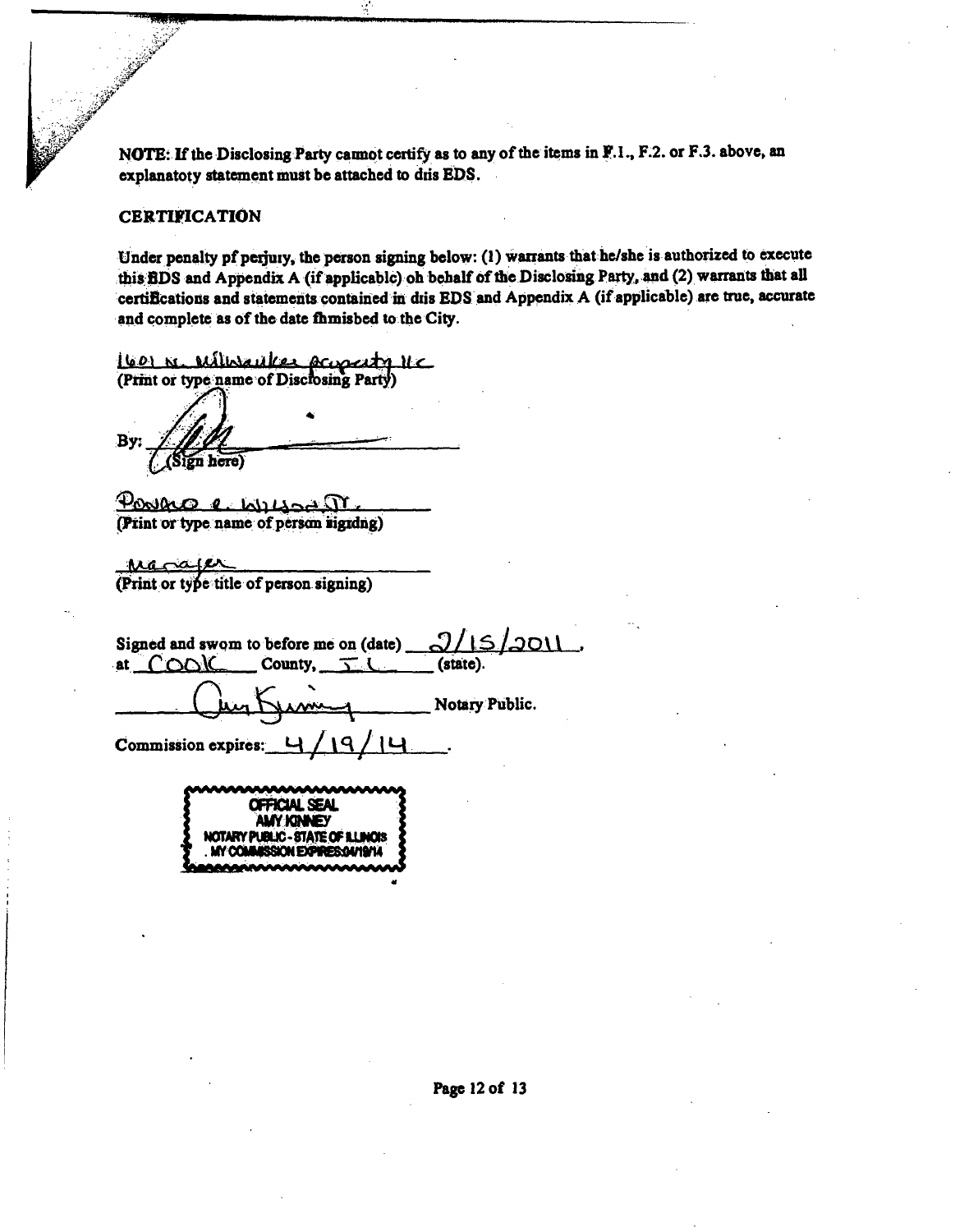**NOTE: If the Disclosing Party cannot certify as to any of the items in F.I., F.2. or F.3. above, an** explanatoty statement must be attached to dris EDS.

#### **CERTIFICATION**

*'.mm"* 

Under penalty pf perjury, the person signing below: (1) warrants that he/she is authorized to execute this **fiDS** and Appendix A (if applicablc) oh behalf of the Disclosing Party, and (2) warrants that all certifications and statements contained in dris EDS and Appendix A (if applicable) are true, accurate **and complete as of the date fhmisbed to the City.** 

**(60) K. Willen** *Mere Acceptary*  $\mathcal{U} \subset \mathcal{U}$  (Print or type name of Discrosing Party)

By: Sign here)

**Postace e**  $\omega_1 \omega_2 \sqrt{1 - \omega_1}$ <br>(**Print or type name of person signing**)

**MjG^jr^o2^ (Print or type title of person signing)** 

| Signed and swom to before me on (date) $9/15/2011$ . |                |
|------------------------------------------------------|----------------|
| at $COO$ County, $T($ (state).                       |                |
| Kimmy                                                | Notary Public. |
| Commission expires: 4/19/14                          |                |

**OFROALSEAL AMyKMCy NOTMYPUaK-CTATEOFUMOIS**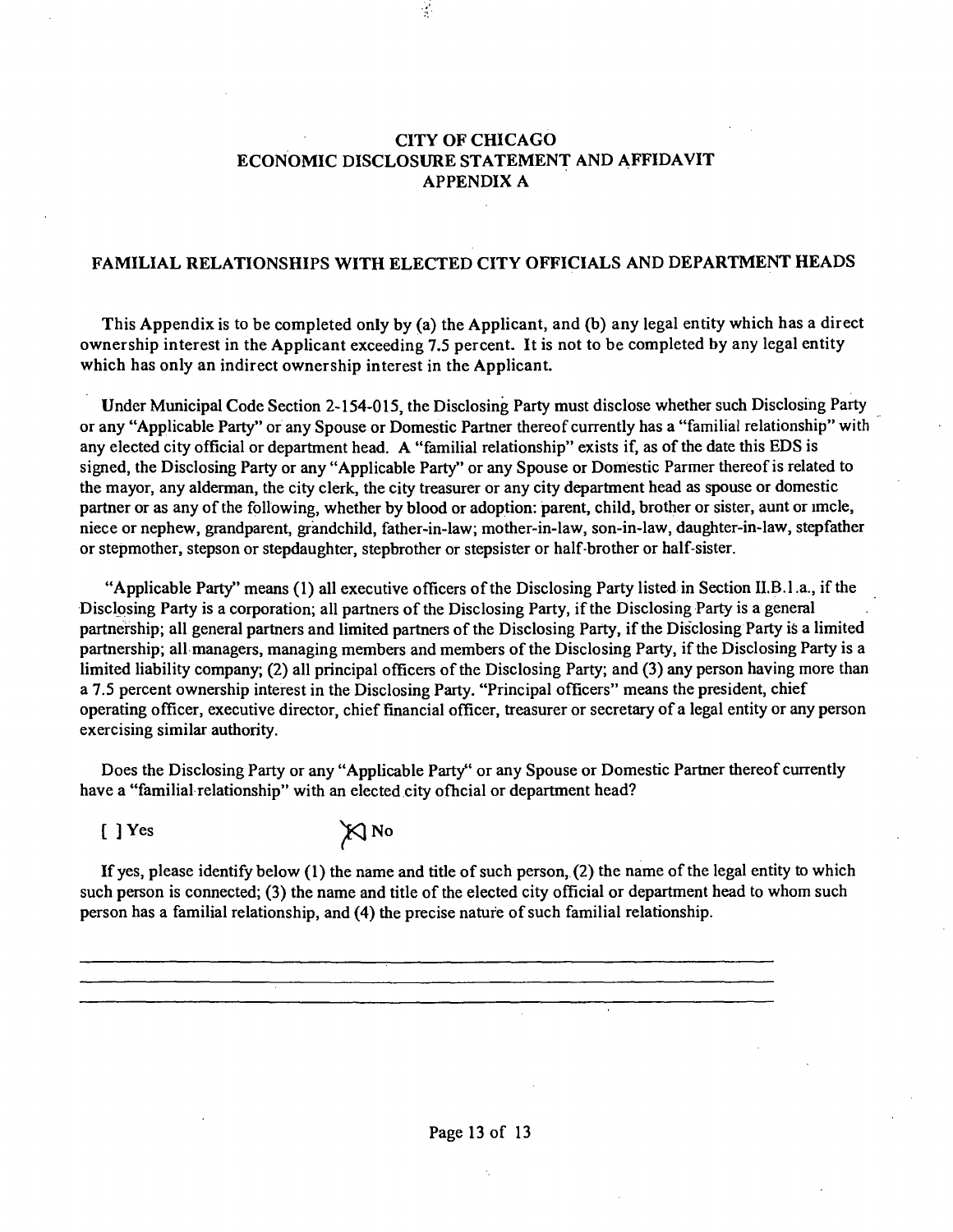#### **CITY OF CHICAGO ECONOMIC DISCLOSURE STATEMENT AND AFFIDAVIT APPENDIX A**

 $\frac{1}{2}$ 

#### **FAMILIAL RELATIONSHIPS WITH ELECTED CITY OFFICIALS AND DEPARTMENT HEADS**

**This Appendix is to be completed only by (a) the Applicant, and (b) any legal entity which has a direct ownership interest in the Applicant exceeding 7.5 percent. It is not to be completed by any legal entity which has only an indirect ownership interest in the Applicant.** 

Under Municipal Code Section 2-154-015, the Disclosing Party must disclose whether such Disclosing Party or any "Applicable Party" or any Spouse or Domestic Partner thereof currently has a "familial relationship" with any elected city official or department head. A "familial relationship" exists if, as of the date this EDS is signed, the Disclosing Party or any "Applicable Party" or any Spouse or Domestic Parmer thereof is related to the mayor, any alderman, the city clerk, the city treasurer or any city department head as spouse or domestic partner or as any of the following, whether by blood or adoption: parent, child, brother or sister, aunt or imcle, niece or nephew, grandparent, grandchild, father-in-law; mother-in-law, son-in-law, daughter-in-law, stepfather or stepmother, stepson or stepdaughter, stepbrother or stepsister or half-brother or half-sister.

"Applicable Party" means (1) all executive officers of the Disclosing Party listed in Section II.B.1.a., if the Disclosing Party is a corporation; all partners of the Disclosing Party, if the Disclosing Party is a general partnership; all general partners and limited partners of the Disclosing Party, if the Disclosing Party is a limited partnership; all managers, managing members and members of the Disclosing Party, if the Disclosing Party is a limited liability company; (2) all principal officers of the Disclosing Party; and (3) any person having more than a 7.5 percent ownership interest in the Disclosing Party. "Principal officers" means the president, chief operating officer, executive director, chief financial officer, treasurer or secretary of a legal entity or any person exercising similar authority.

Does the Disclosing Party or any "Applicable Party" or any Spouse or Domestic Partner thereof currently have a "familial relationship" with an elected city ofhcial or department head?

[ ] Yes  $\chi$  No

If yes, please identify below (1) the name and title of such person, (2) the name ofthe legal entity to which such person is connected; (3) the name and title of the elected city official or department head to whom such person has a familial relationship, and (4) the precise nature of such familial relationship.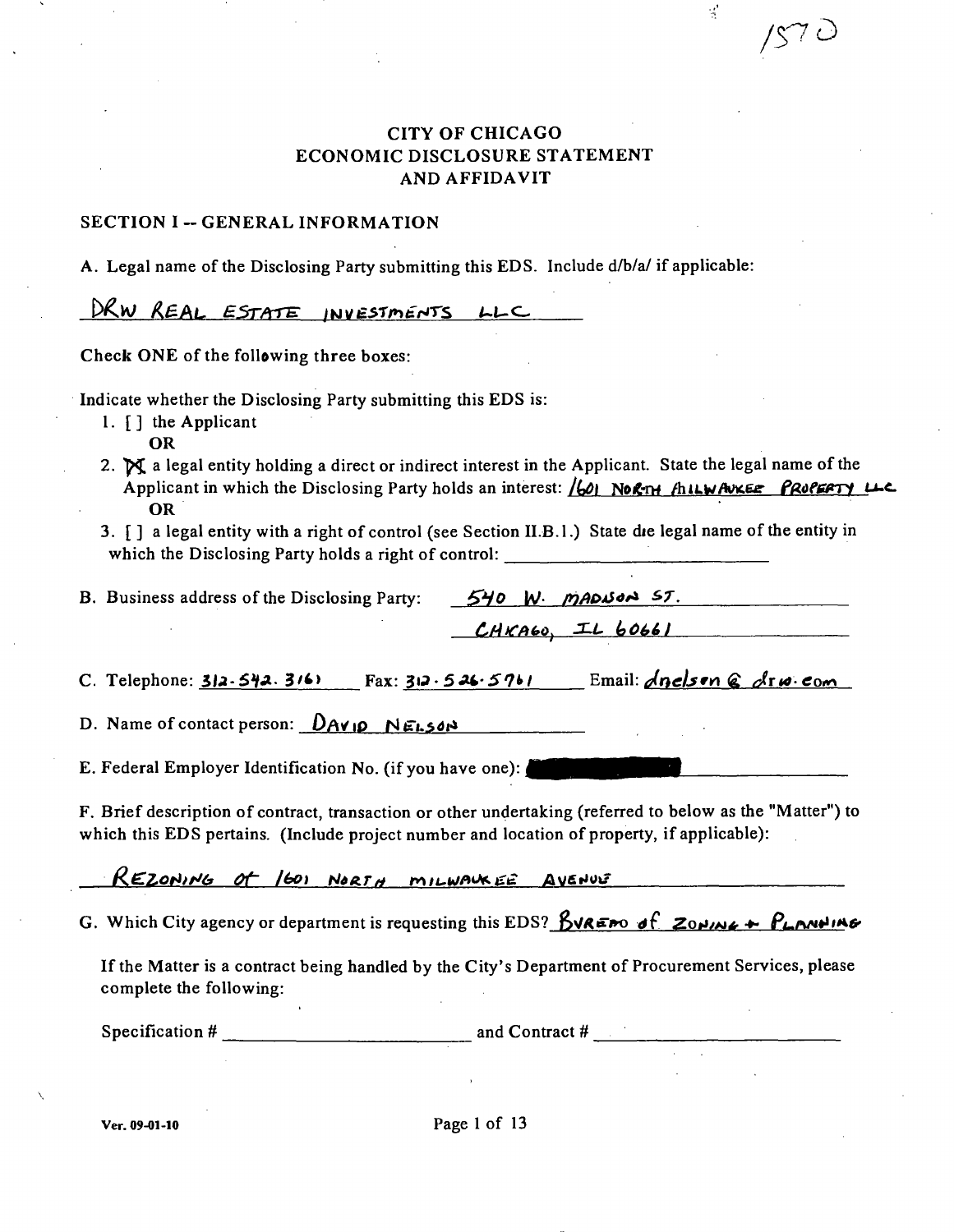**A 7D** 

 $\frac{1}{\sqrt{2}}$ 

### **CITY OF CHICAGO ECONOMIC DISCLOSURE STATEMENT AND AFFIDAVIT**

#### **SECTION I -- GENERAL INFORMATION**

**A. Legal name of the Disclosing Party submitting this EDS. Include d/b/a/ if applicable:** 

DRW REAL ESTATE INVESTMENTS LLC

**Check ONE of the following three boxes:** 

**Indicate whether the Disclosing Party submitting this EDS is:** 

**1. [ ] the Applicant** 

**OR** 

- 2.  $\mathbb{N}$  a legal entity holding a direct or indirect interest in the Applicant. State the legal name of the *Applicant in which the Disclosing Party holds an interest: (60)* North-*flut Avker PROPERTY U-C* **OR**
- **3. [ ] a legal entity with a right of control (see Section II.B.l.) State die legal name ofthe entity in which the Disclosing Party holds a right of control:**

| B. Business address of the Disclosing Party:             |  | 540 W. MADISON ST.                                       |
|----------------------------------------------------------|--|----------------------------------------------------------|
|                                                          |  | $CHKA60$ , IL 60661                                      |
| C. Telephone: $312.542.3161$<br>Fax: 312.526.5761        |  | Email: $\triangle$ nelson $\triangle$ $\triangle$ rw.com |
| D. Name of contact person: $\Delta A \vee I \rho$ NELSON |  |                                                          |

**E. Federal Employer Identification No. (if you have one):** 

**F. Brief description of contract, transaction or other undertaking (referred to below as the "Matter") to which this EDS pertains. (Include project number and location of property, if applicable):** 

REZONING OF 1601 NORTH MILWAUKEE AVENUE

**G.** Which City agency or department is requesting this EDS?  $\beta$ VREPO of ZONING + PLANNING

If the Matter is a contract being handled by the City's Department of Procurement Services, please **complete the following:** 

Specification # <u>2000 and Contract # 2000 and Contract # 2000</u>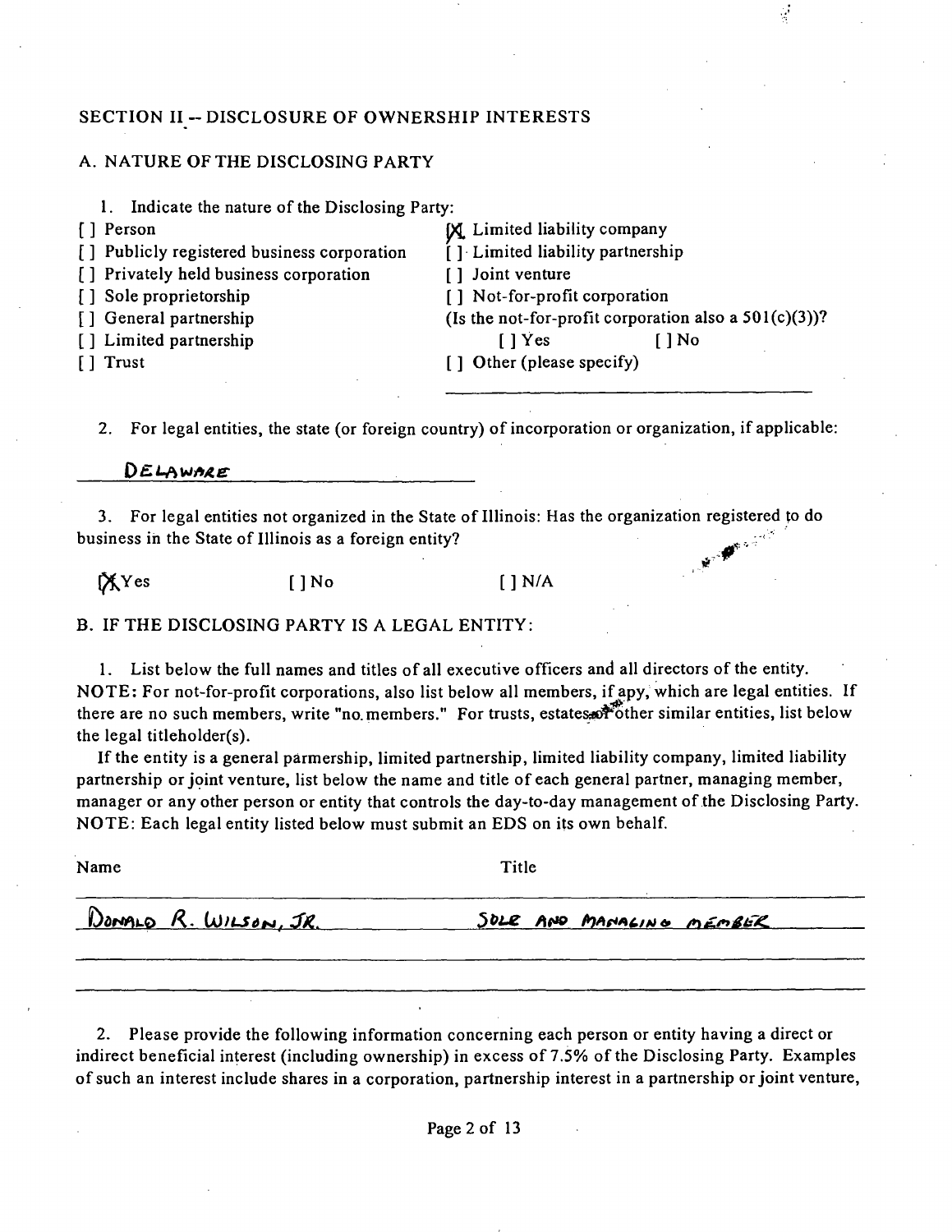### SECTION II -- DISCLOSURE OF OWNERSHIP INTERESTS

#### A. NATURE OF THE DISCLOSING PARTY

|  | Indicate the nature of the Disclosing Party: |  |  |  |
|--|----------------------------------------------|--|--|--|
|--|----------------------------------------------|--|--|--|

- [] Person [X] Limited liability company
- [] Privately held business corporation [] Joint venture
- 
- 
- 

] Publicly registered business corporation [ ] Limited liability partnership [ ] Sole proprietorship [ ] Not-for-profit corporation [] General partnership (Is the not-for-profit corporation also a 501(c)(3))? [ ] Limited partnership [ ] [ ] Yes [ ] No [ ] Trust [ ] Other (please specify)

2. For legal entities, the state (or foreign country) of incorporation or organization, if applicable:

DELAWARE

3. For legal entities not organized in the State of Illinois: Has the organization registered to do business in the State of Illinois as a foreign entity? *^.'"^* 

 $[\text{X} \text{Yes}$  [ ] No [ ] N/A

B. IF THE DISCLOSING PARTY IS A LEGAL ENTITY:

1. List below the full names and titles of all executive officers and all directors of the entity. NOTE : For not-for-profit corporations, also list below all members, if apy, which are legal entities. If there are no such members, write "no members." For trusts, estates of other similar entities, list below the legal titleholder(s).

If the entity is a general parmership, limited partnership, limited liability company, limited liability partnership or joint venture, list below the name and title of each general partner, managing member, manager or any other person or entity that controls the day-to-day management of the Disclosing Party. NOTE: Each legal entity listed below must submit an EDS on its own behalf.

| Name                  | Title                    |  |
|-----------------------|--------------------------|--|
| DONALO R. WILSON, JR. | SOLE AND MANALING MEMBER |  |

2. Please provide the following information concerning each person or entity having a direct or indirect beneficial interest (including ownership) in excess of 7.5% of the Disclosing Party. Examples of such an interest include shares in a corporation, partnership interest in a partnership or joint venture.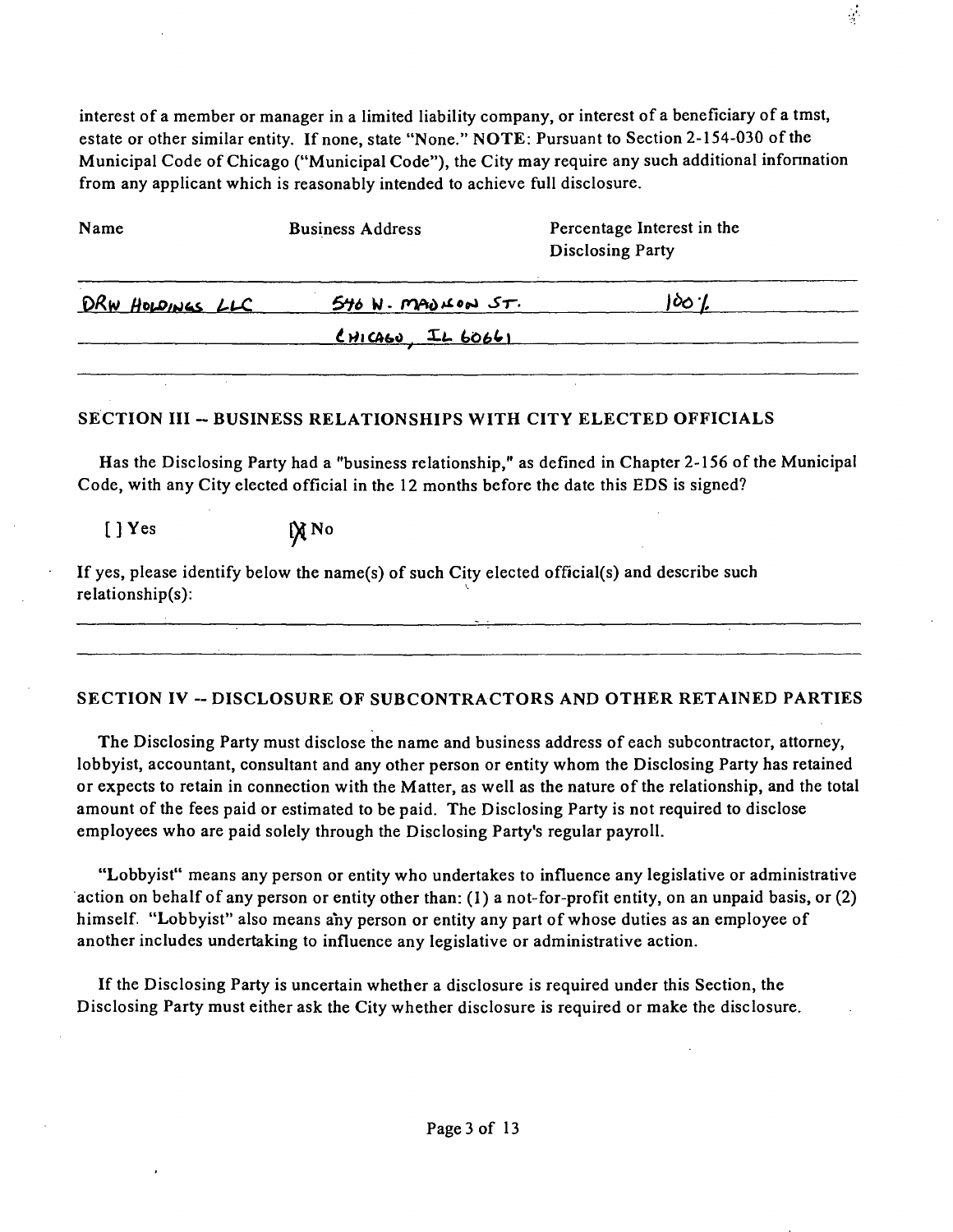interest of a member or manager in a limited liability company, or interest of a beneficiary of a tmst, estate or other similar entity. If none, state "None." NOTE: Pursuant to Section 2-154-030 of the Municipal Code of Chicago ("Municipal Code"), the City may require any such additional infonnation from any applicant which is reasonably intended to achieve full disclosure.

 $\frac{1}{2}$ 

| Name             | <b>Business Address</b> | Percentage Interest in the<br>Disclosing Party |
|------------------|-------------------------|------------------------------------------------|
| DRW HOLDINGS LLC | $546$ N. MADLON $5T$ .  |                                                |
|                  | $C$ HICAGO, IL 60661    |                                                |
|                  |                         |                                                |

### SECTION III -- BUSINESS RELATIONSHIPS WITH CITY ELECTED OFFICIALS

Has the Disclosing Party had a "business relationship," as defined in Chapter 2-156 of the Municipal Code, with any City elected official in the 12 months before the date this EDS is signed?

 $[$  ] Yes  $\mathbb{X}$  No

If yes, please identify below the name(s) of such City elected official(s) and describe such relationship(s):

### SECTION IV -- DISCLOSURE OF SUBCONTRACTORS AND OTHER RETAINED PARTIES

The Disclosing Party must disclose the name and business address of each subcontractor, attorney, lobbyist, accountant, consultant and any other person or entity whom the Disclosing Party has retained or expects to retain in connection with the Matter, as well as the nature ofthe relationship, and the total amount of the fees paid or estimated to be paid. The Disclosing Party is not required to disclose employees who are paid solely through the Disclosing Party's regular payroll.

"Lobbyist" means any person or entity who undertakes to influence any legislative or administrative action on behalf of any person or entity other than: (I) a not-for-profit entity, on an unpaid basis, or (2) himself. "Lobbyist" also means any person or entity any part of whose duties as an employee of another includes undertaking to influence any legislative or administrative action.

If the Disclosing Party is uncertain whether a disclosure is required under this Section, the Disclosing Party must either ask the City whether disclosure is required or make the disclosure.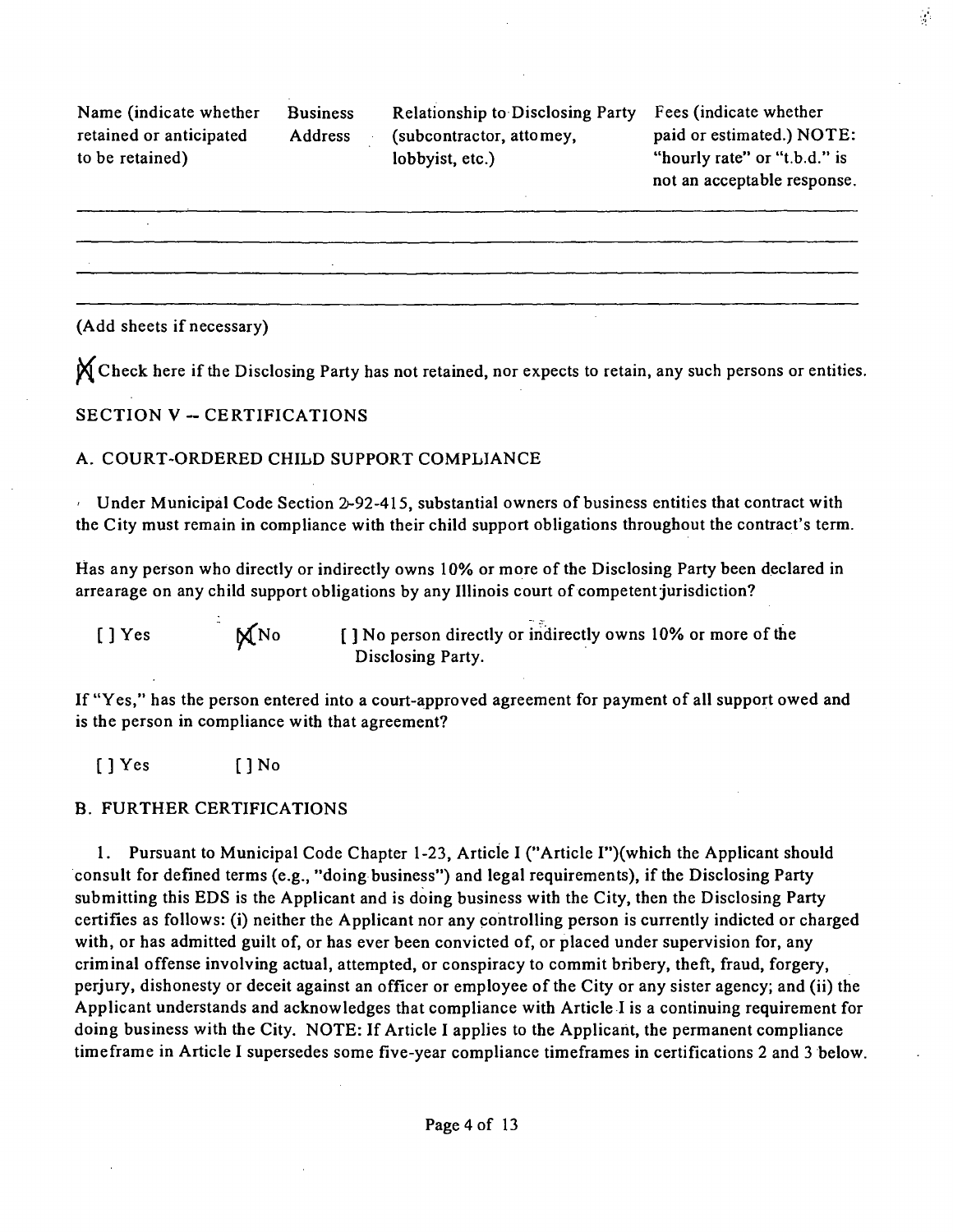Name (indicate whether Business retained or anticipated Address to be retained)

Relationship to Disclosing Party Fees (indicate whether (subcontractor, attomey, lobbyist, etc.)

paid or estimated.) NOTE: "hourly rate" or "t.b.d." is not an acceptable response.  $\frac{1}{2}$  .

(Add sheets if necessary)

**X** Check here if the Disclosing Party has not retained, nor expects to retain, any such persons or entities.

#### **SECTION V - CERTIFICATIONS**

### A. COURT-ORDERED CHILD SUPPORT COMPLIANCE

Under Municipal Code Section 2-92-415, substantial owners of business entities that contract with the City must remain in compliance with their child support obligations throughout the contract's term.

Has any person who directly or indirectly owns 10% or more of the Disclosing Party been declared in arrearage on any child support obligations by any Illinois court of competent jurisdiction?

 $[ ]$  Yes  $\mathbb{N}$  No  $[ ]$  No person directly or indirectly owns 10% or more of the Disclosing Party.

If "Yes," has the person entered into a court-approved agreement for payment of all support owed and is the person in compliance with that agreement?

[ ] Yes [ ] No

#### B. FURTHER CERTIFICATIONS

1. Pursuant to Municipal Code Chapter 1-23, Article I ("Article I")(which the Applicant should consult for defined terms (e.g., "doing business") and legal requirements), if the Disclosing Party submitting this EDS is the Applicant and is doing business with the City, then the Disclosing Party certifies as follows: (i) neither the Applicant nor any controlling person is currently indicted or charged with, or has admitted guilt of, or has ever been convicted of, or placed under supervision for, any criminal offense involving actual, attempted, or conspiracy to commit bribery, theft, fraud, forgery, perjury, dishonesty or deceit against an officer or employee of the City or any sister agency; and (ii) the Applicant understands and acknowledges that compliance with Article I is a continuing requirement for doing business with the City. NOTE: If Article I applies to the Applicant, the permanent compliance timeframe in Article I supersedes some five-year compliance timeframes in certifications 2 and 3 below.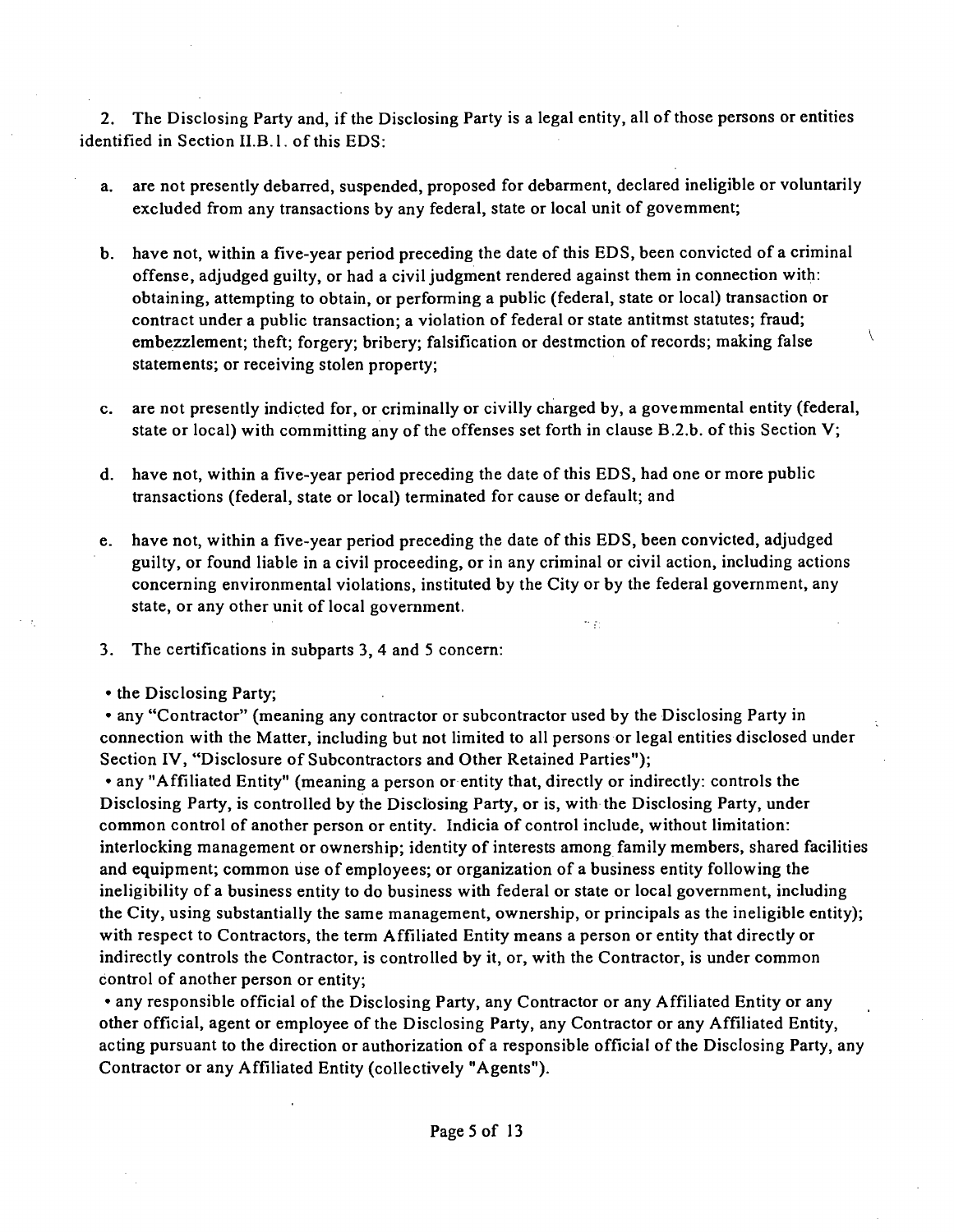2. The Disclosing Party and, if the Disclosing Party is a legal entity, all of those persons or entities identified in Section II.B.1. of this EDS:

- a. are not presently debarred, suspended, proposed for debarment, declared ineligible or voluntarily excluded from any transactions by any federal, state or local unit of govemment;
- b. have not, within a five-year period preceding the date of this EDS, been convicted of a criminal offense, adjudged guilty, or had a civil judgment rendered against them in connection with: obtaining, attempting to obtain, or performing a public (federal, state or local) transaction or contract under a public transaction; a violation of federal or state antitmst statutes; fraud; embezzlement; theft; forgery; bribery; falsification or destmction of records; making false ^ statements; or receiving stolen property;
- c. are not presently indicted for, or criminally or civilly charged by, a govemmental entity (federal, state or local) with committing any of the offenses set forth in clause B.2.b. of this Section V;
- d. have not, within a five-year period preceding the date of this EDS, had one or more public transactions (federal, state or local) terminated for cause or default; and
- e. have not, within a five-year period preceding the date of this EDS, been convicted, adjudged guilty, or found liable in a civil proceeding, or in any criminal or civil action, including actions concerning environmental violations, instituted by the City or by the federal government, any state, or any other unit of local government.

m pi

- 3. The certifications in subparts 3, 4 and 5 concern:
- the Disclosing Party;

• any "Contractor" (meaning any contractor or subcontractor used by the Disclosing Party in connection with the Matter, including but not limited to all persons or legal entities disclosed under Section IV, "Disclosure of Subcontractors and Other Retained Parties");

• any "Affiliated Entity" (meaning a person or entity that, directly or indirectly: controls the Disclosing Party, is controlled by the Disclosing Party, or is, with the Disclosing Party, under common control of another person or entity. Indicia of control include, without limitation: interlocking management or ownership; identity of interests among family members, shared facilities and equipment; common use of employees; or organization of a business entity following the ineligibility of a business entity to do business with federal or state or local government, including the City, using substantially the same management, ownership, or principals as the ineligible entity); with respect to Contractors, the term Affiliated Entity means a person or entity that directly or indirectly controls the Contractor, is controlled by it, or, with the Contractor, is under common control of another person or entity;

• any responsible official of the Disclosing Party, any Contractor or any Affiliated Entity or any other official, agent or employee of the Disclosing Party, any Contractor or any Affiliated Entity, acting pursuant to the direction or authorization of a responsible official of the Disclosing Party, any Contractor or any Affiliated Entity (collectively "Agents").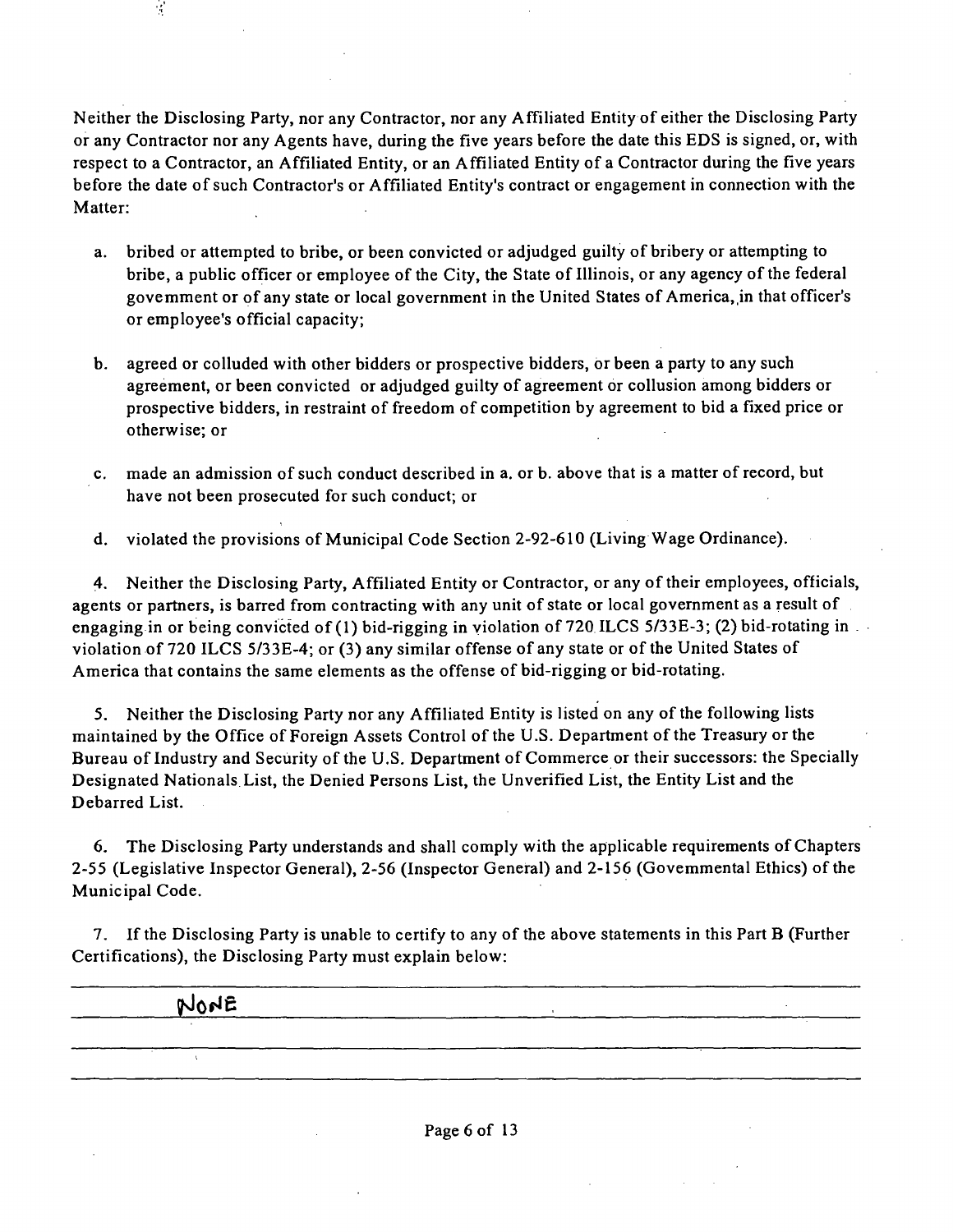Neither the Disclosing Party, nor any Contractor, nor any Affiliated Entity of either the Disclosing Party or any Contractor nor any Agents have, during the five years before the date this EDS is signed, or, with respect to a Contractor, an Affiliated Entity, or an Affiliated Entity of a Contractor during the five years before the date of such Contractor's or Affiliated Entity's contract or engagement in connection with the Matter:

- a. bribed or attempted to bribe, or been convicted or adjudged guilty of bribery or attempting to bribe, a public officer or employee of the City, the State of Illinois, or any agency of the federal govemment or of any state or local government in the United States of America, in that officer's or employee's official capacity;
- b. agreed or colluded with other bidders or prospective bidders, or been a party to any such agreement, or been convicted or adjudged guilty of agreement or collusion among bidders or prospective bidders, in restraint of freedom of competition by agreement to bid a fixed price or otherwise; or
- c. made an admission of such conduct described in a. or b. above that is a matter of record, but have not been prosecuted for such conduct; or
- d. violated the provisions of Municipal Code Section 2-92-610 (Living Wage Ordinance).

4. Neither the Disclosing Party, Affiliated Entity or Contractor, or any of their employees, officials, agents or partners, is barred from contracting with any unit of state or local government as a result of engaging in or being convicted of (1) bid-rigging in violation of 720 ILCS 5/33E-3; (2) bid-rotating in violation of 720 ILCS 5/33E-4; or (3) any similar offense of any state or of the United States of America that contains the same elements as the offense of bid-rigging or bid-rotating.

5. Neither the Disclosing Party nor any Affiliated Entity is listed on any of the following lists maintained by the Office of Foreign Assets Control of the U.S. Department of the Treasury or the Bureau of Industry and Security of the U.S. Department of Commerce or their successors: the Specially Designated Nationals List, the Denied Persons List, the Unverified List, the Entity List and the Debarred List.

6. The Disclosing Party understands and shall comply with the applicable requirements of Chapters 2-55 (Legislative Inspector General), 2-56 (Inspector General) and 2-156 (Govemmental Ethics) of the Municipal Code.

7. If the Disclosing Party is unable to certify to any of the above statements in this Part B (Further Certifications), the Disclosing Party must explain below:

*^Slpfie ,* 

 $\mathcal{C}$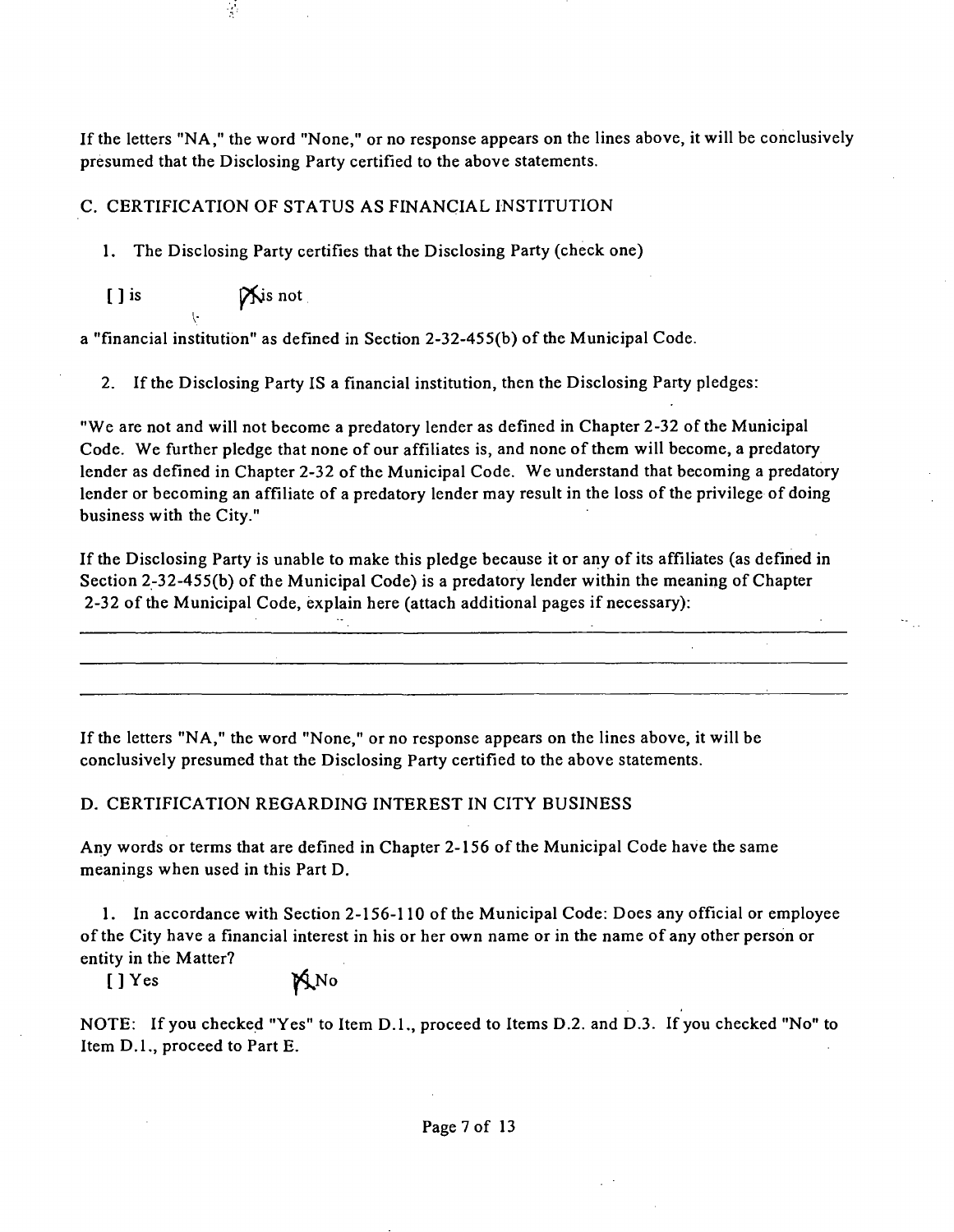If the letters "NA, " the word "None," or no response appears on the lines above, it will be conclusively presumed that the Disclosing Party certified to the above statements.

### C. CERTIFICATION OF STATUS AS FINANCIAL INSTITUTION

1. The Disclosing Party certifies that the Disclosing Party (check one)

 $[ ]$  is  $\mathbb{R}$  is not I-

 $\mathcal{L}$ 

a "financial institution" as defined in Section 2-32-455(b) of the Municipal Code.

2. If the Disclosing Party IS a financial institution, then the Disclosing Party pledges:

"We are not and will not become a predatory lender as defined in Chapter 2-32 of the Municipal Code. We further pledge that none of our affiliates is, and none of them will become, a predatory lender as defined in Chapter 2-32 of the Municipal Code. We understand that becoming a predatory lender or becoming an affiliate of a predatory lender may result in the loss of the privilege of doing business with the City."

If the Disclosing Party is unable to make this pledge because it or any of its affiliates (as defined in Section 2-32-455(b) of the Municipal Code) is a predatory lender within the meaning of Chapter 2-32 of the Municipal Code, explain here (attach additional pages if necessary):

If the letters "NA, " the word "None," or no response appears on the lines above, it will be conclusively presumed that the Disclosing Party certified to the above statements.

#### D. CERTIFICATION REGARDING INTEREST IN CITY BUSINESS

Any words or terms that are defined in Chapter 2-156 of the Municipal Code have the same meanings when used in this Part D.

1. In accordance with Section 2-156-110 of the Municipal Code: Does any official or employee of the City have a financial interest in his or her own name or in the name of any other person or entity in the Matter?

 $[$  ] Yes  $\mathbb{M}$ No

NOTE: If you checked "Yes" to Item D.L, proceed to Items D.2. and D.3. If you checked "No" to Item D.L, proceed to Part E.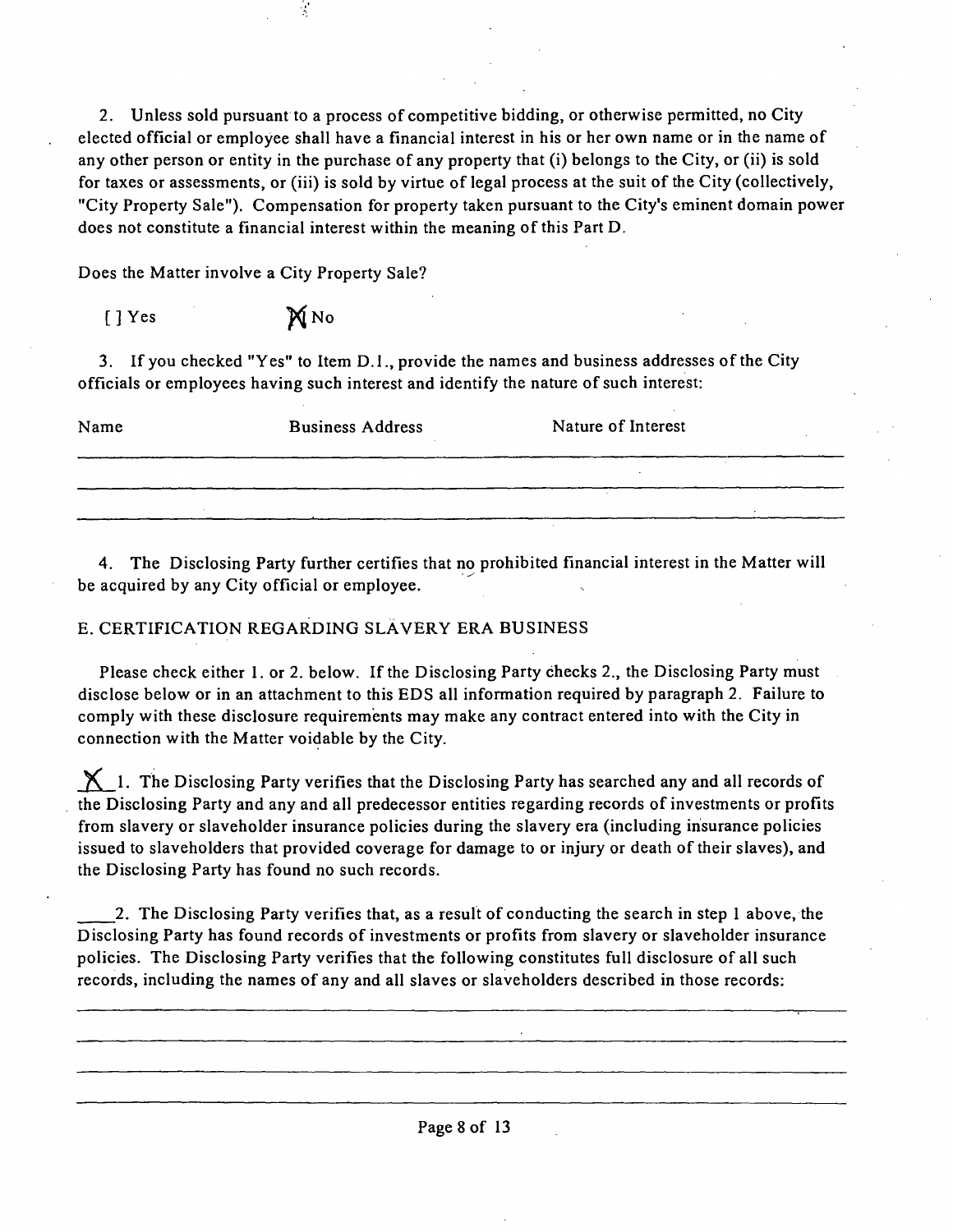2. Unless sold pursuant to a process of competitive bidding, or otherwise permitted, no City elected official or employee shall have a financial interest in his or her own name or in the name of any other person or entity in the purchase of any property that (i) belongs to the City, or (ii) is sold for taxes or assessments, or (iii) is sold by virtue of legal process at the suit of the City (collectively, "City Property Sale"). Compensation for property taken pursuant to the City's eminent domain power does not constitute a financial interest within the meaning of this Part D.

Does the Matter involve a City Property Sale?

| $[$ $]$ Yes | MNO |
|-------------|-----|
|             |     |

3. If you checked "Yes" to Item D.1., provide the names and business addresses of the City officials or employees having such interest and identify the nature of such interest:

| Name | <b>Business Address</b> | Nature of Interest |
|------|-------------------------|--------------------|
|      |                         |                    |
|      |                         |                    |

4. The Disclosing Party further certifies that no prohibited financial interest in the Matter will be acquired by any City official or employee.

### E. CERTIFICATION REGARDING SLÄVERY ERA BUSINESS

Please check either 1. or 2. below. If the Disclosing Party checks 2., the Disclosing Party must disclose below or in an attachment to this EDS all information required by paragraph 2. Failure to comply with these disclosure requirements may make any contract entered into with the City in connection with the Matter voidable by the City.

 $\boldsymbol{\times}$  1. The Disclosing Party verifies that the Disclosing Party has searched any and all records of the Disclosing Party and any and all predecessor entities regarding records of investments or profits from slavery or slaveholder insurance policies during the slavery era (including insurance policies issued to slaveholders that provided coverage for damage to or injury or death of their slaves), and the Disclosing Party has found no such records.

2. The Disclosing Party verifies that, as a result of conducting the search in step 1 above, the Disclosing Party has found records of investments or profits from slavery or slaveholder insurance policies. The Disclosing Party verifies that the following constitutes full disclosure of all such records, including the names of any and all slaves or slaveholders described in those records: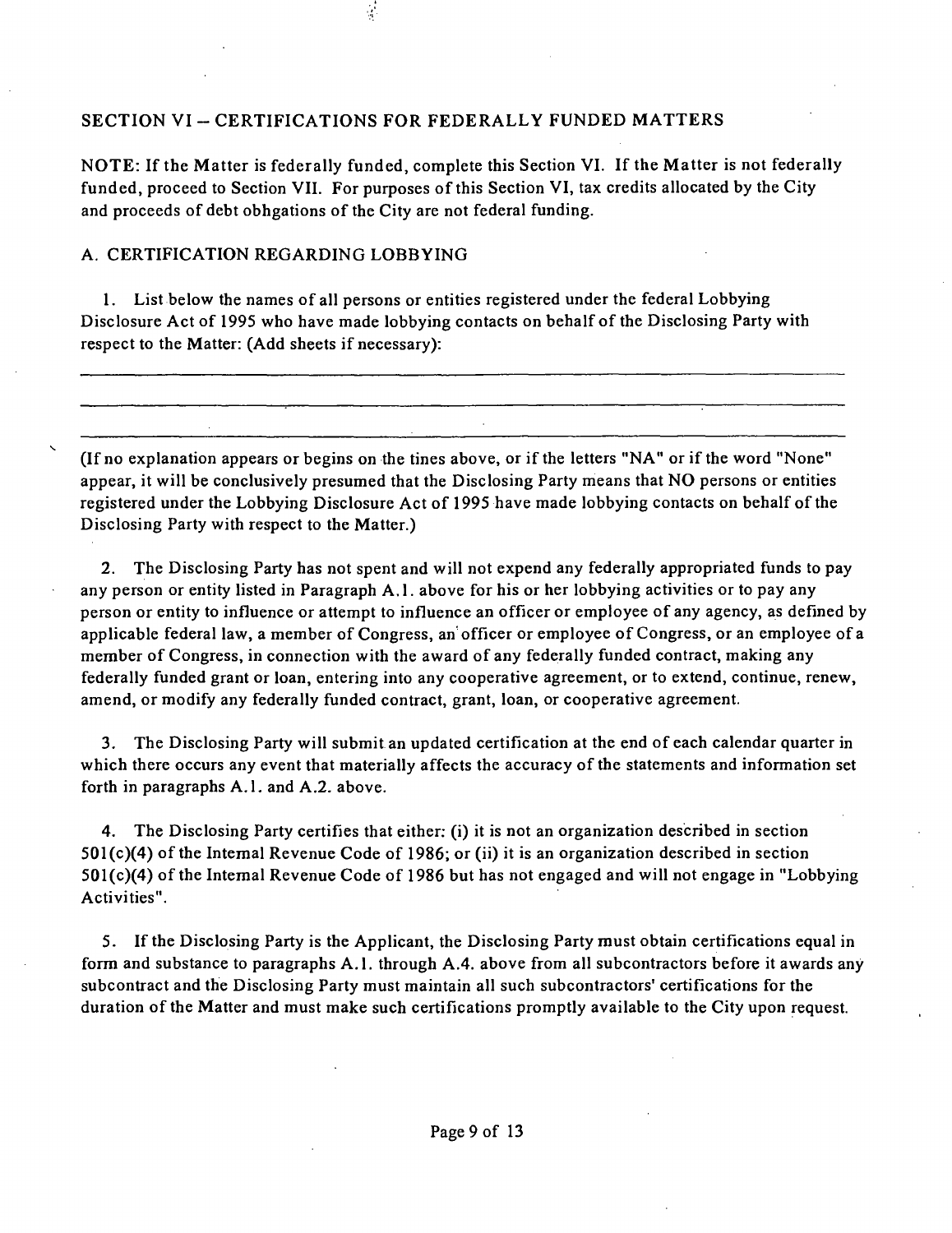### SECTION VI - CERTIFICATIONS FOR FEDERALLY FUNDED MATTERS

NOTE: If the Matter is federally funded, complete this Section VI. If the Matter is not federally funded, proceed to Section VII. For purposes of this Section VI, tax credits allocated by the City and proceeds of debt obhgations of the City are not federal funding.

### A. CERTIFICATION REGARDING LOBBYING

1. List below the names of all persons or entities registered under the federal Lobbying Disclosure Act of 1995 who have made lobbying contacts on behalf of the Disclosing Party with respect to the Matter: (Add sheets if necessary):

(If no explanation appears or begins on the tines above, or ifthe letters "NA" or ifthe word "None" appear, it will be conclusively presumed that the Disclosing Party means that NO persons or entities registered under the Lobbying Disclosure Act of 1995 have made lobbying contacts on behalf of the Disclosing Party with respect to the Matter.)

2. The Disclosing Party has not spent and will not expend any federally appropriated funds to pay any person or entity listed in Paragraph A.l . above for his or her lobbying activities or to pay any person or entity to influence or attempt to influence an officer or employee of any agency, as defined by applicable federal law, a member of Congress, an officer or employee of Congress, or an employee of a member of Congress, in connection with the award of any federally funded contract, making any federally funded grant or loan, entering into any cooperative agreement, or to extend, continue, renew, amend, or modify any federally funded contract, grant, loan, or cooperative agreement.

3. The Disclosing Party will submit an updated certification at the end of each calendar quarter in which there occurs any event that materially affects the accuracy of the statements and information set forth in paragraphs A.1. and A.2. above.

4. The Disclosing Party certifies that either; (i) it is not an organization described in section  $501(c)(4)$  of the Internal Revenue Code of 1986; or (ii) it is an organization described in section  $501(c)(4)$  of the Internal Revenue Code of 1986 but has not engaged and will not engage in "Lobbying Activities".

5. Ifthe Disclosing Party is the Applicant, the Disclosing Party must obtain certifications equal in form and substance to paragraphs A.1. through A.4. above from all subcontractors before it awards any subcontract and the Disclosing Party must maintain all such subcontractors' certifications for the duration of the Matter and must make such certifications promptly available to the City upon request.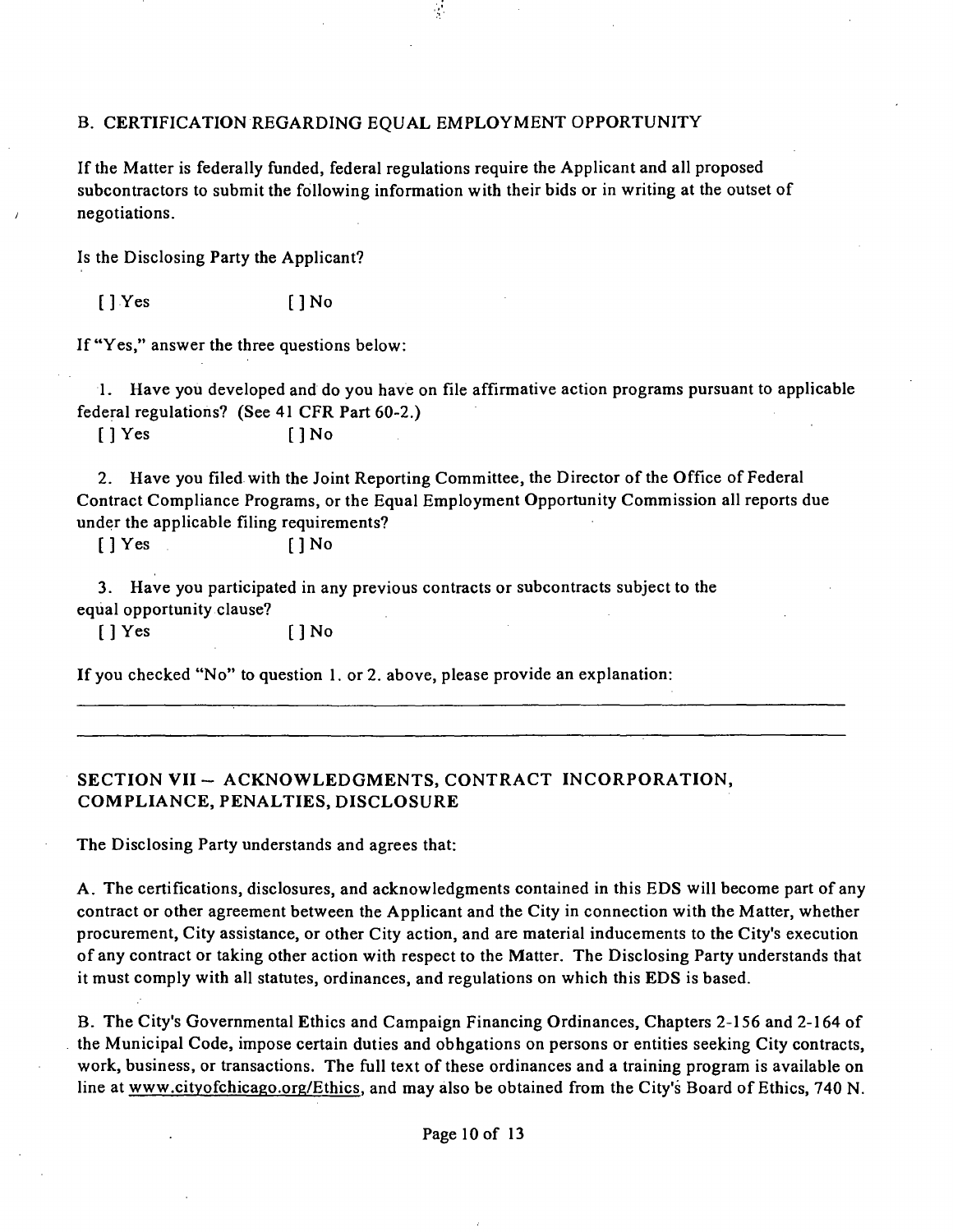#### B. CERTIFICATION REGARDING EQUAL EMPLOYMENT OPPORTUNITY

If the Matter is federally funded, federal regulations require the Applicant and all proposed subcontractors to submit the following information with their bids or in writing at the outset of negotiations.

Is the Disclosing Party the Applicant?

[] Yes [] No

If "Yes," answer the three questions below:

1. Have you developed and do you have on file affirmative action programs pursuant to applicable federal regulations? (See 41 CFR Part 60-2.)

 $[$  | Yes  $[$  | No

2. Have you filed with the Joint Reporting Committee, the Director of the Office of Federal Contract Compliance Programs, or the Equal Employment Opportunity Commission all reports due under the applicable filing requirements?

 $[$  | Yes  $[$  | No

3. Have you participated in any previous contracts or subcontracts subject to the equal opportunity clause?

[ ] Yes [ ] No

If you checked "No" to question 1. or 2. above, please provide an explanation:

### SECTION VII - ACKNOWLEDGMENTS, CONTRACT INCORPORATION, **COMPLIANCE, PENALTIES, DISCLOSURE**

The Disclosing Party understands and agrees that:

A . The certifications, disclosures, and acknowledgments contained in this EDS will become part of any contract or other agreement between the Applicant and the City in connection with the Matter, whether procurement. City assistance, or other City action, and are material inducements to the City's execution of any contract or taking other action with respect to the Matter. The Disclosing Party understands that it must comply with all statutes, ordinances, and regulations on which this EDS is based.

B. The City's Governmental Ethics and Campaign Financing Ordinances, Chapters 2-156 and 2-164 of the Municipal Code, impose certain duties and obhgations on persons or entities seeking City contracts, work, business, or transactions. The full text of these ordinances and a training program is available on line at www.cityofchicago.org/Ethics, and may also be obtained from the City's Board of Ethics, 740 N.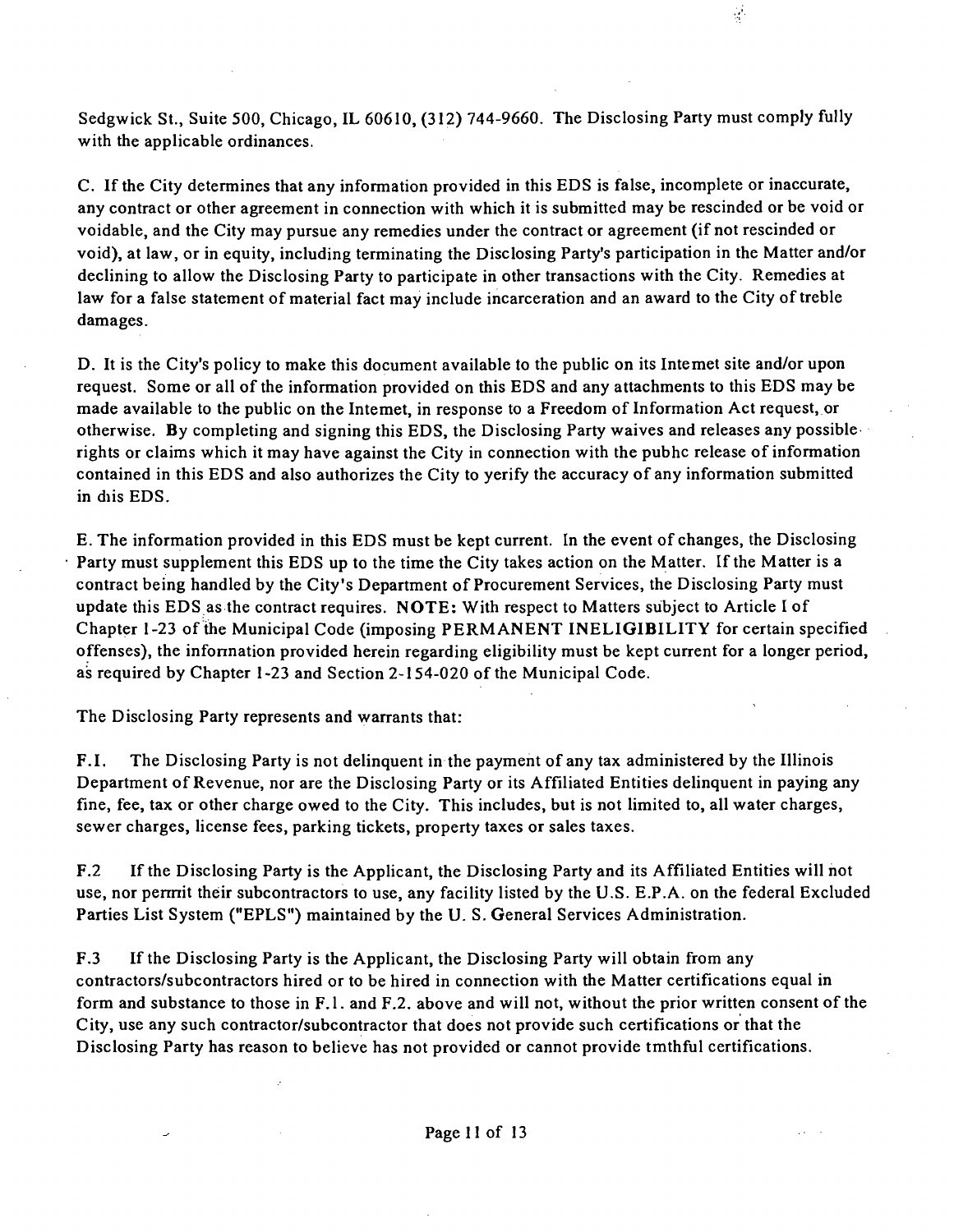Sedgwick St., Suite 500, Chicago, IL 60610, (312) 744-9660. The Disclosing Party must comply fully with the applicable ordinances.

 $\frac{1}{2}$ 

C. If the City determines that any information provided in this EDS is false, incomplete or inaccurate, any contract or other agreement in connection with which it is submitted may be rescinded or be void or voidable, and the City may pursue any remedies under the contract or agreement (if not rescinded or void), at law, or in equity, including terminating the Disclosing Party's participation in the Matter and/or declining to allow the Disclosing Party to participate in other transactions with the City. Remedies at law for a false statement of material fact may include incarceration and an award to the City of treble damages.

D. It is the City's policy to make this document available to the public on its Intemet site and/or upon request. Some or all of the information provided on this EDS and any attachments to this EDS may be made available to the public on the Intemet, in response to a Freedom of Information Act request, or otherwise. By completing and signing this EDS, the Disclosing Party waives and releases any possible rights or claims which it may have against the City in connection with the pubhc release of information contained in this EDS and also authorizes the City to yerify the accuracy of any information submitted in diis EDS.

E. The information provided in this EDS must be kept current. In the event of changes, the Disclosing Party must supplement this EDS up to the time the City takes action on the Matter. If the Matter is a contract being handled by the City's Department of Procurement Services, the Disclosing Party must update this EDS as the contract requires. NOTE: With respect to Matters subject to Article I of Chapter 1-23 of the Municipal Code (imposing PERMANENT INELIGIBILITY for certain specified offenses), the infonnation provided herein regarding eligibility must be kept current for a longer period, as required by Chapter 1-23 and Section 2-154-020 of the Municipal Code.

The Disclosing Party represents and warrants that:

F.I. The Disclosing Party is not delinquent in the payment of any tax administered by the Illinois Department of Revenue, nor are the Disclosing Party or its Affiliated Entities delinquent in paying any fine, fee, tax or other charge owed to the City. This includes, but is not limited to, all water charges, sewer charges, license fees, parking tickets, property taxes or sales taxes.

F.2 If the Disclosing Party is the Applicant, the Disclosing Party and its Affiliated Entities will not use, nor pennit their subcontractors to use, any facility listed by the U.S. E.P.A. on the federal Excluded Parties List System ("EPLS") maintained by the U. S. General Services Administration.

F.3 Ifthe Disclosing Party is the Applicant, the Disclosing Party will obtain from any contractors/subcontractors hired or to be hired in connection with the Matter certifications equal in form and substance to those in F.l . and F.2. above and will not, without the prior written consent of the City, use any such contractor/subcontractor that does not provide such certifications or that the Disclosing Party has reason to believe has not provided or cannot provide tmthful certifications.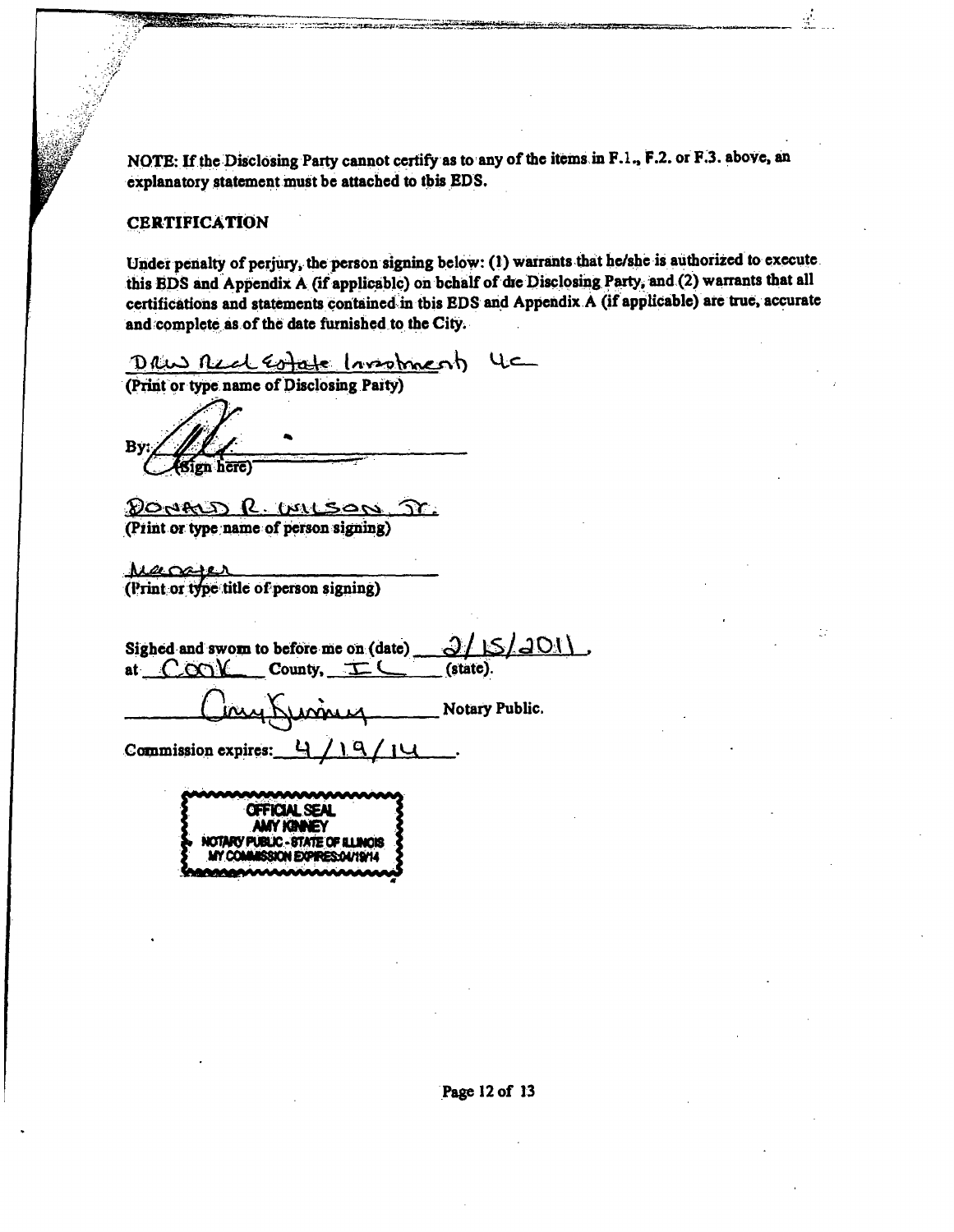**NOTE: If the Disclosing Party cannot certify as to any of the items in F.L, F.2. or F.3. above, an explanatory statement must be attached to tbis EDS.** 

#### **CERTIFICATION**

Under penalty of perjury, the person signing below: (1) warrants that he/she is authorized to execute this BDS and Appendix A (if applicable) on bchalf of die Disclosing Party, and (2) warrants that all certifications and statements contained in tbis EDS and Appendix A (if applicable) are true, accurate **and complete as of the date futnished to the City.** 

*<u>(PRIC) ALCL Estate (avactorized)</u>* 4C

Bv **here**)

**(Pint or type name of person signing)** 

Margier (Print or type title of person signing)

Sighed and swom to before me on (date)  $\frac{\partial f(S)}{\partial M}$  at  $\frac{C}{C}$  County,  $\frac{C}{C}$  (state). at  $C$  $\infty$  $\mathcal{V}$  County,  $\pm \mathcal{C}$ .

**Grand Hotary Public.** 

Commission expires: 4/19/14

**OFFICIALSEAL NOTARY PUBLIC • STATE OF ULINOB**<br>MY COMMARRION EXPIRES OUTSILL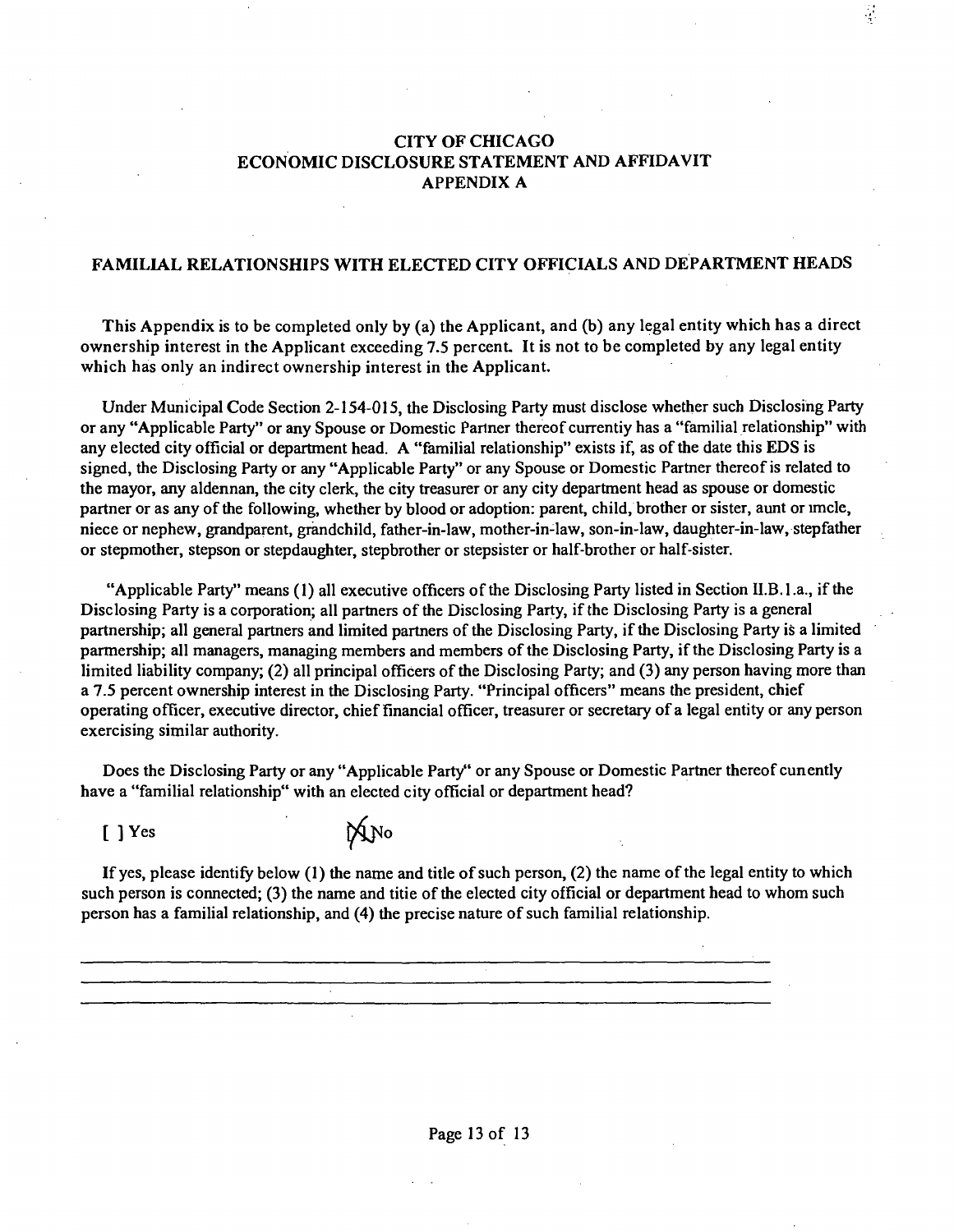### CITY OF CHICAGO ECONOMIC DISCLOSURE STATEMENT AND AFFIDAVIT APPENDIX A

 $\frac{1}{2}$ 

#### FAMILIAL RELATIONSHIPS WITH ELECTED CITY OFFICIALS AND DEPARTMENT HEADS

This Appendix is to be completed only by (a) the Applicant, and (b) any legal entity which has a direct ownership interest in the Applicant exceeding 7.5 percent. It is not to be completed by any legal entity which has only an indirect ownership interest in the Applicant.

Under Municipal Code Section 2-154-015, the Disclosing Party must disclose whether such Disclosing Party or any "Applicable Party" or any Spouse or Domestic Partner thereof currentiy has a "familial relationship" with any elected city official or department head. A "familial relationship" exists if, as ofthe date this EDS is signed, the Disclosing Party or any "Applicable Party" or any Spouse or Domestic Partner thereof is related to the mayor, any aldennan, the city clerk, the city treasurer or any city department head as spouse or domestic partner or as any of the following, whether by blood or adoption: parent, child, brother or sister, aunt or imcle, niece or nephew, grandparent, grandchild, father-in-law, mother-in-law, son-in-law, daughter-in-law, stepfather or stepmother, stepson or stepdaughter, stepbrother or stepsister or half-brother or half-sister.

"Applicable Party" means (1) all executive officers of the Disclosing Party listed in Section II.B.1.a., if the Disclosing Party is a corporation; all partners of the Disclosing Party, if the Disclosing Party is a general partnership; all general partners and limited partners of the Disclosing Party, if the Disclosing Party is a limited parmership; all managers, managing members and members of the Disclosing Party, if the Disclosing Party is a limited liability company; (2) all principal officers of the Disclosing Party; and (3) any person having more than a 7.5 percent ownership interest in the Disclosing Party. "Principal officers" means the president, chief operating officer, executive director, chief financial officer, treasurer or secretary of a legal entity or any person exercising similar authority.

Does the Disclosing Party or any "Applicable Party" or any Spouse or Domestic Partner thereof cunently have a "familial relationship" with an elected city official or department head?

 $[ ]$  Yes  $\mathbb{M}$  No

If yes, please identify below (1) the name and title of such person, (2) the name of the legal entity to which such person is connected; (3) the name and titie of the elected city official or department head to whom such person has a familial relationship, and (4) the precise nature of such familial relationship.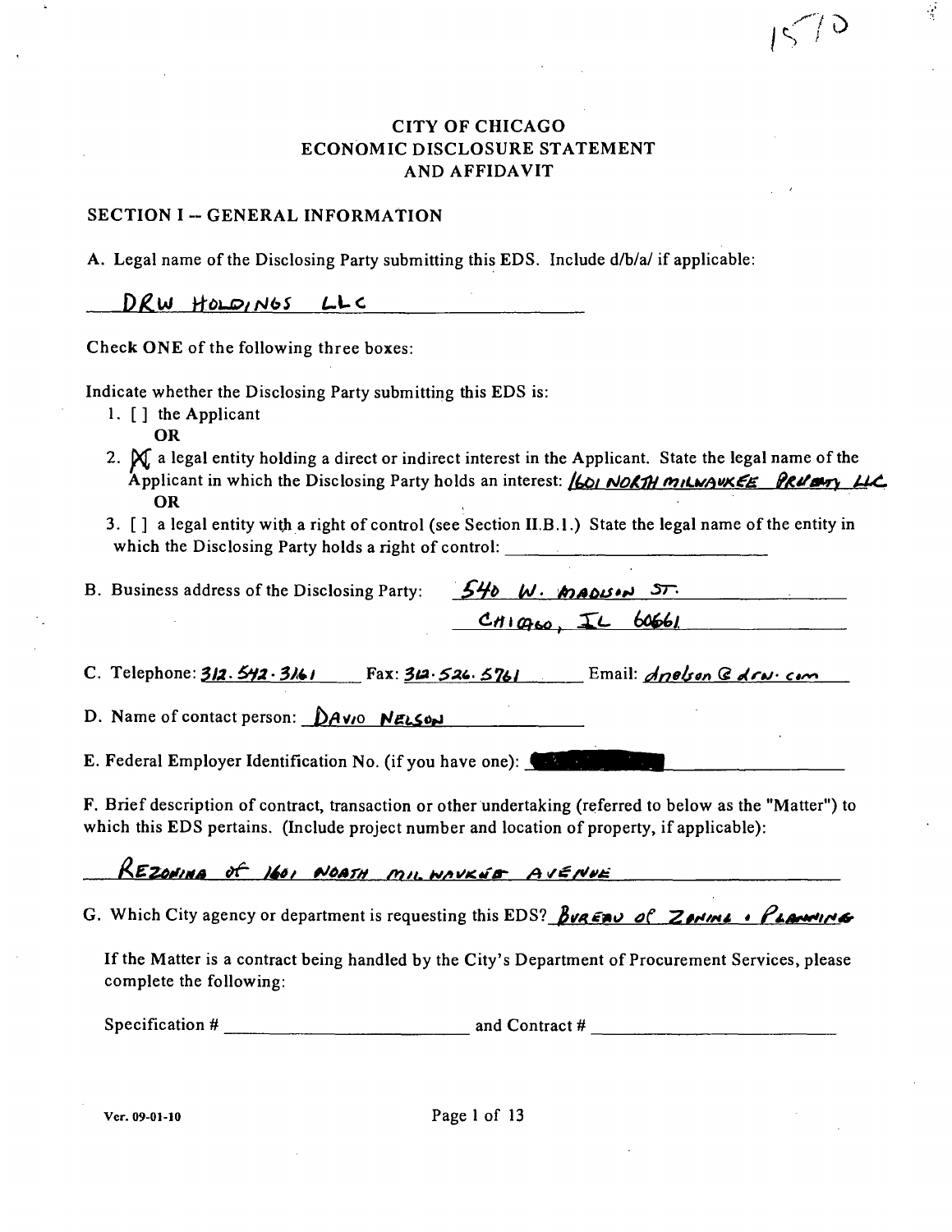### CITY OF CHICAGO ECONOMIC DISCLOSURE STATEMENT A ND AFFIDAVIT

**•^1** 

Ŷ

**1^'** 

#### SECTION I -- GENERAL INFORMATION

A. Legal name of the Disclosing Party submitting this EDS. Include d/b/a/ if applicable:

DRW HOLDINGS LLC

Check ONE of the following three boxes:

Indicate whether the Disclosing Party submitting this EDS is:

- 1. [ ] the Applicant
	- OR
- 2.  $\mathcal{X}_i$  a legal entity holding a direct or indirect interest in the Applicant. State the legal name of the Applicant in which the Disclosing Party holds an interest: **(601 NORTH MILWAUKEE PRUBLY LIC** OR
- 3. [] a legal entity with a right of control (see Section II.B.l.) State the legal name of the entity in which the Disclosing Party holds a right of control:

| B. Business address of the Disclosing Party: $540$ W. MADUM $57$ . |                        |  |
|--------------------------------------------------------------------|------------------------|--|
|                                                                    | $CH1Q_{60}$ , IL 60661 |  |

*C. Telephone: 312. 542. 3161* Fax: 312. 526. 5761 Email: *Anelson G Arw. com* 

D. Name of contact person:  $\Delta A$ V<sub>10</sub> NELSON

E. Federal Employer Identification No. (if you have one):

F. Brief description of contract, transaction or other undertaking (referred to below as the "Matter") to which this EDS pertains. (Include project number and location of property, if applicable):

REZONINA of 160, NOATH MIL. WAVKEE AVENUE

*G. Which City agency or department is requesting this EDS? Bua* $\epsilon \rightarrow \epsilon$  *Zerine \* (* $\epsilon$  */*  $\epsilon$  $\rightarrow$ 

Ifthe Matter is a contract being handled by the City's Department of Procurement Services, please complete the following:

Specification  $\#$  and Contract  $\#$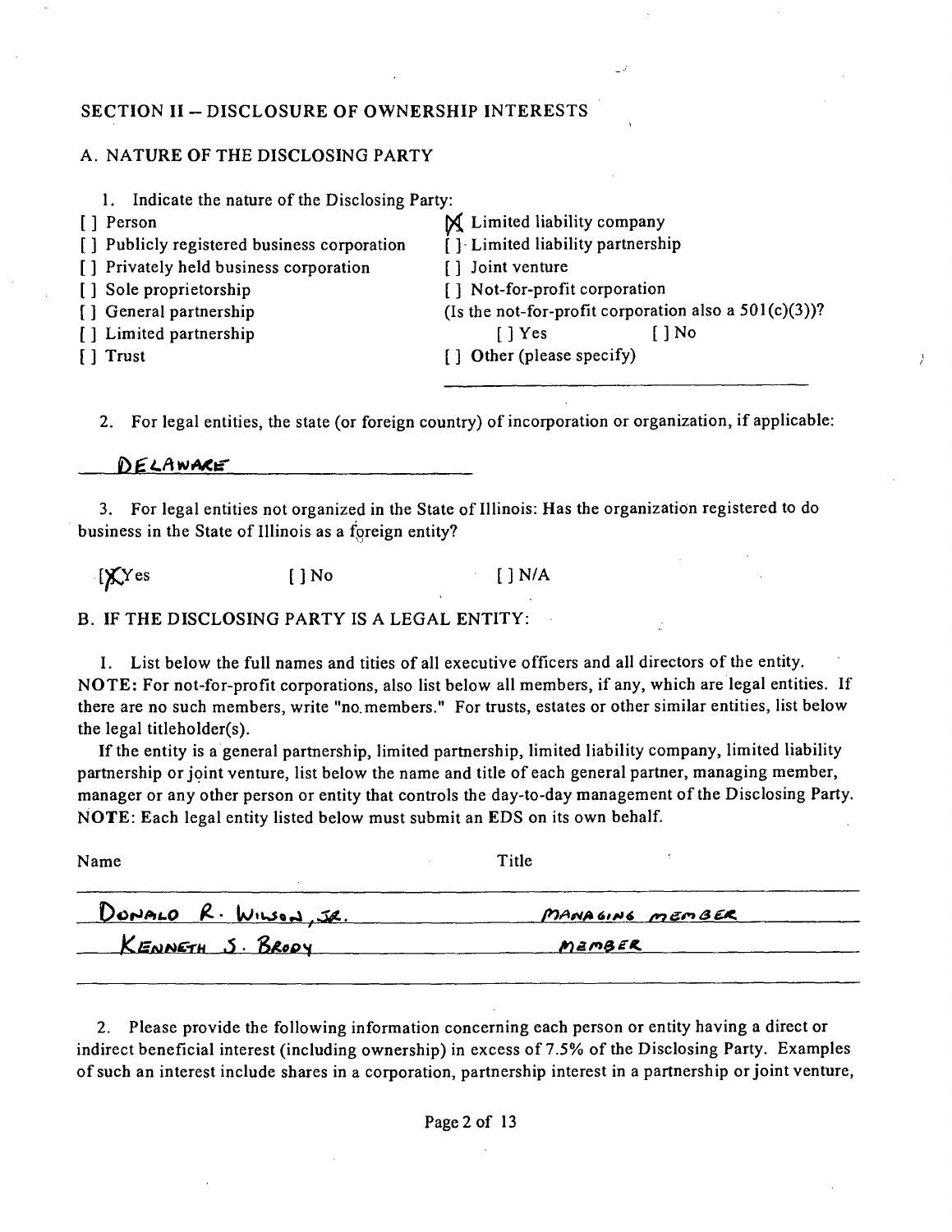### **SECTION II ~ DISCLOSURE OF OWNERSHIP INTERESTS**

#### A. NATURE OF THE DISCLOSING PARTY

1. Indicate the nature of the Disclosing Party:

- 
- [] Publicly registered business corporation [ ] Limited liability partnership
- [] Privately held business corporation [] Joint venture
- 
- 
- 

] Person ^ Limited HabiHty company [ ] Sole proprietorship [ ] Not-for-profit corporation [] General partnership (Is the not-for-profit corporation also a 501(c)(3))? [ ] Limited partnership [ ] Yes [ ] No [ ] Trust [ ] Other (please specify)

2. For legal entities, the state (or foreign country) of incorporation or organization, if applicable:

DELAWARE

3. For legal entities not organized in the State of Illinois: Has the organization registered to do business in the State of Illinois as a foreign entity?

 $[\text{X} \text{Yes}$  [] No [] N/A

B. IF THE DISCLOSING PARTY IS A LEGAL ENTITY:

I. List below the full names and tities of all executive officers and all directors ofthe entity. NOTE: For not-for-profit corporations, also list below all members, if any, which are legal entities. If there are no such members, write "no. members." For trusts, estates or other similar entities, list below the legal titleholder(s).

If the entity is a general partnership, limited partnership, limited liability company, limited liability partaership or joint venture, list below the name and title of each general partner, managing member, manager or any other person or entity that controls the day-to-day management of the Disclosing Party. NOTE: Each legal entity listed below must submit an EDS on its own behalf.

Name Title DONALO R. WILSON, JR. MANAGING MEMBER KENNETH J. BRODY MEMBER

2. Please provide the following information concerning each person or entity having a direct or indirect beneficial interest (including ownership) in excess of 7.5% of the Disclosing Party. Examples of such an interest include shares in a corporation, partnership interest in a partnership or joint venture.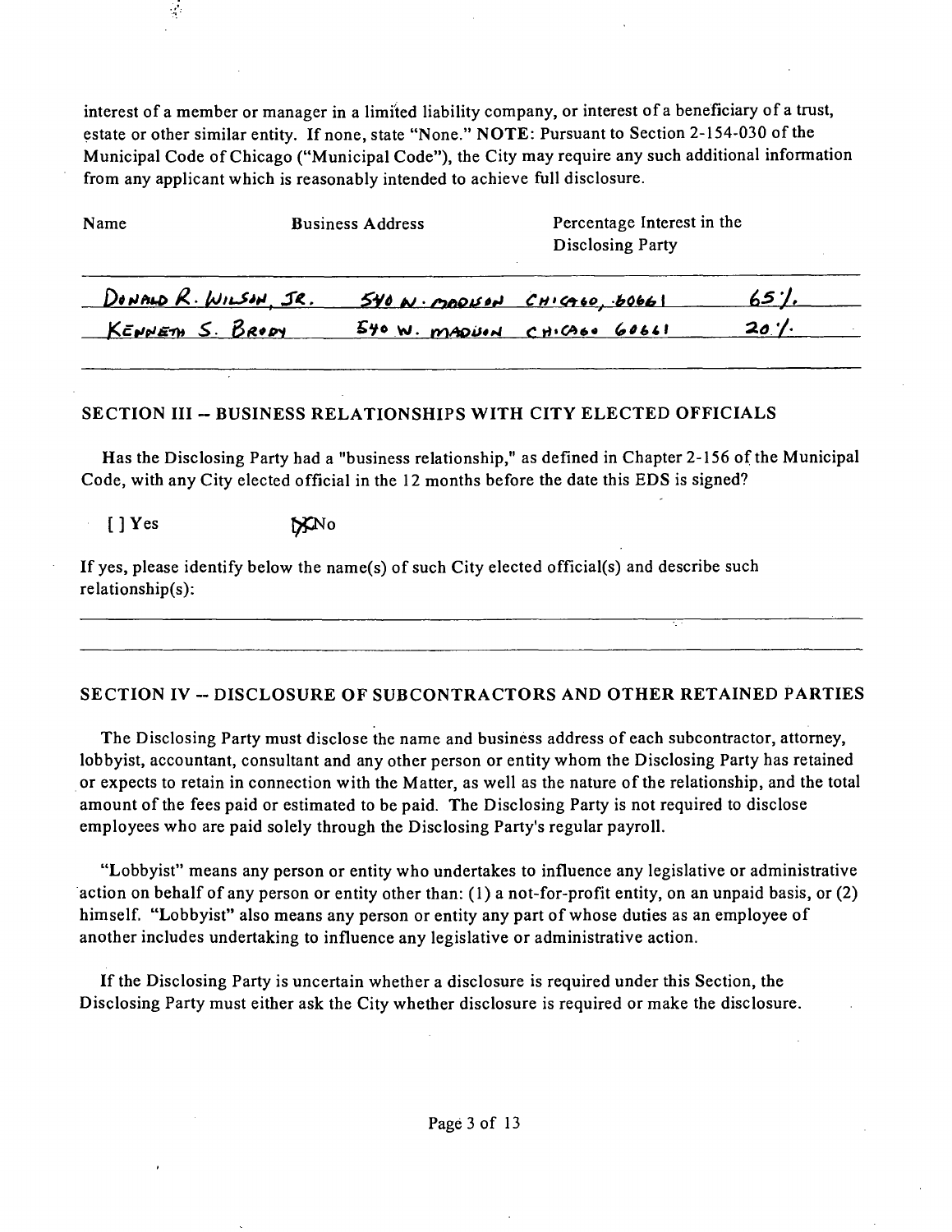interest of a member or manager in a limited liability company, or interest of a beneficiary of a trust, estate or other similar entity. If none, state "None." NOTE: Pursuant to Section 2-154-030 of the Municipal Code of Chicago ("Municipal Code"), the City may require any such additional information from any applicant which is reasonably intended to achieve full disclosure.

| Name                    | <b>Business Address</b> | Percentage Interest in the<br>Disclosing Party |                 |
|-------------------------|-------------------------|------------------------------------------------|-----------------|
| DONALD R. WILSON, JR.   |                         | $540$ N. MODISON CHICAGO, $60661$              | 65''            |
| <u>KENNETH S. BRODY</u> |                         | $540$ W. MADUON CHICAGO 60661                  | $20$ '/ $\cdot$ |

### SECTION III -- BUSINESS RELATIONSHIPS WITH CITY ELECTED OFFICIALS

Has the Disclosing Party had a "business relationship," as defined in Chapter 2-156 of the Municipal Code, with any City elected official in the 12 months before the date this EDS is signed?

 $[\ ]$  Yes  $\mathbb{R}^{N}$ o

If yes, please identify below the name(s) of such City elected official(s) and describe such relationship(s):

### SECTION IV -- DISCLOSURE OF SUBCONTRACTORS AND OTHER RETAINED PARTIES

The Disclosing Party must disclose the name and business address of each subcontractor, attorney, lobbyist, accountant, consultant and any other person or entity whom the Disclosing Party has retained or expects to retain in connection with the Matter, as well as the nature of the relationship, and the total amount of the fees paid or estimated to be paid. The Disclosing Party is not required to disclose employees who are paid solely through the Disclosing Party's regular payroll.

"Lobbyist" means any person or entity who undertakes to influence any legislative or administrative action on behalf of any person or entity other than: (1) a not-for-profit entity, on an unpaid basis, or (2) himself. "Lobbyist" also means any person or entity any part of whose duties as an employee of another includes undertaking to influence any legislative or administrative action.

Ifthe Disclosing Party is uncertain whether a disclosure is required under this Section, the Disclosing Party must either ask the City whether disclosure is required or make the disclosure.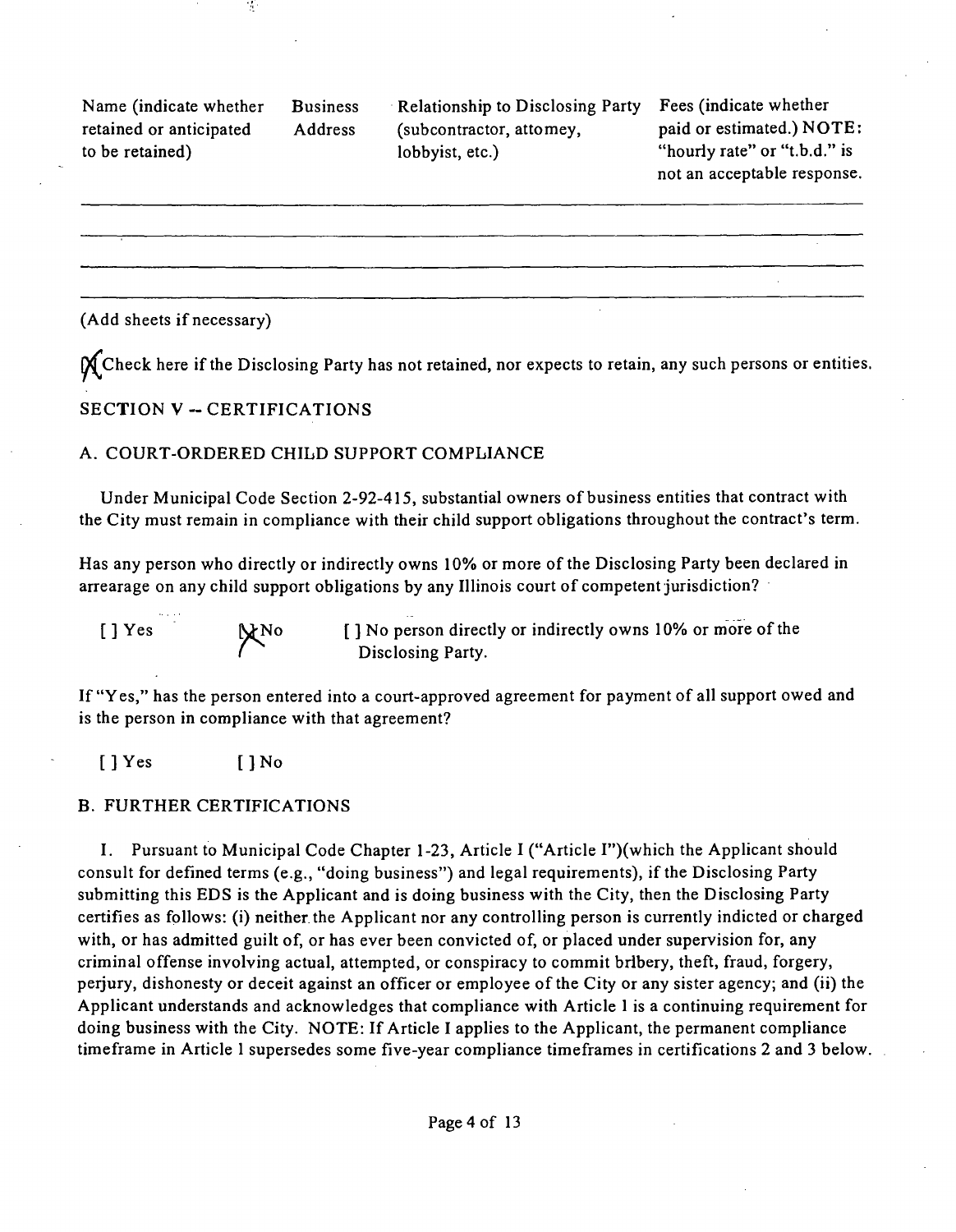Name (indicate whether Business retained or anticipated Address to be retained)

 $\mathcal{I}$ 

Relationship to Disclosing Party (subcontractor, attomey, lobbyist, etc.)

Fees (indicate whether paid or estimated.) NOTE: "hourly rate" or "t.b.d." is not an acceptable response.

(Add sheets if necessary)

 $\mathcal{X}$  Check here if the Disclosing Party has not retained, nor expects to retain, any such persons or entities.

### **SECTION V - CERTIFICATIONS**

### A. COURT-ORDERED CHILD SUPPORT COMPLIANCE

Under Municipal Code Section 2-92-415, substantial owners of business entities that contract with the City must remain in compliance with their child support obligations throughout the contract's term.

Has any person who directly or indirectly owns 10% or more of the Disclosing Party been declared in arrearage on any child support obligations by any Illinois court of competent jurisdiction?

[ ] Yes Mo [ ] No person directly or indirectly owns 10% or more of the Disclosing Party.

If "Yes," has the person entered into a court-approved agreement for payment of all support owed and is the person in compliance with that agreement?

[ ] Yes [ ] No

#### B. FURTHER CERTIFICATIONS

I. Pursuant to Municipal Code Chapter 1-23, Article I ("Article I")(which the Applicant should consult for defined terms (e.g., "doing business") and legal requirements), if the Disclosing Party submitting this EDS is the Applicant and is doing business with the City, then the Disclosing Party certifies as follows: (i) neither the Applicant nor any controlling person is currently indicted or charged with, or has admitted guilt of, or has ever been convicted of, or placed under supervision for, any criminal offense involving actual, attempted, or conspiracy to commit bribery, theft, fraud, forgery, perjury, dishonesty or deceit against an officer or employee of the City or any sister agency; and (ii) the Applicant understands and acknowledges that compliance with Article 1 is a continuing requirement for doing business with the City. NOTE: If Article I applies to the Applicant, the permanent compliance timeframe in Article 1 supersedes some five-year compliance timeframes in certifications 2 and 3 below.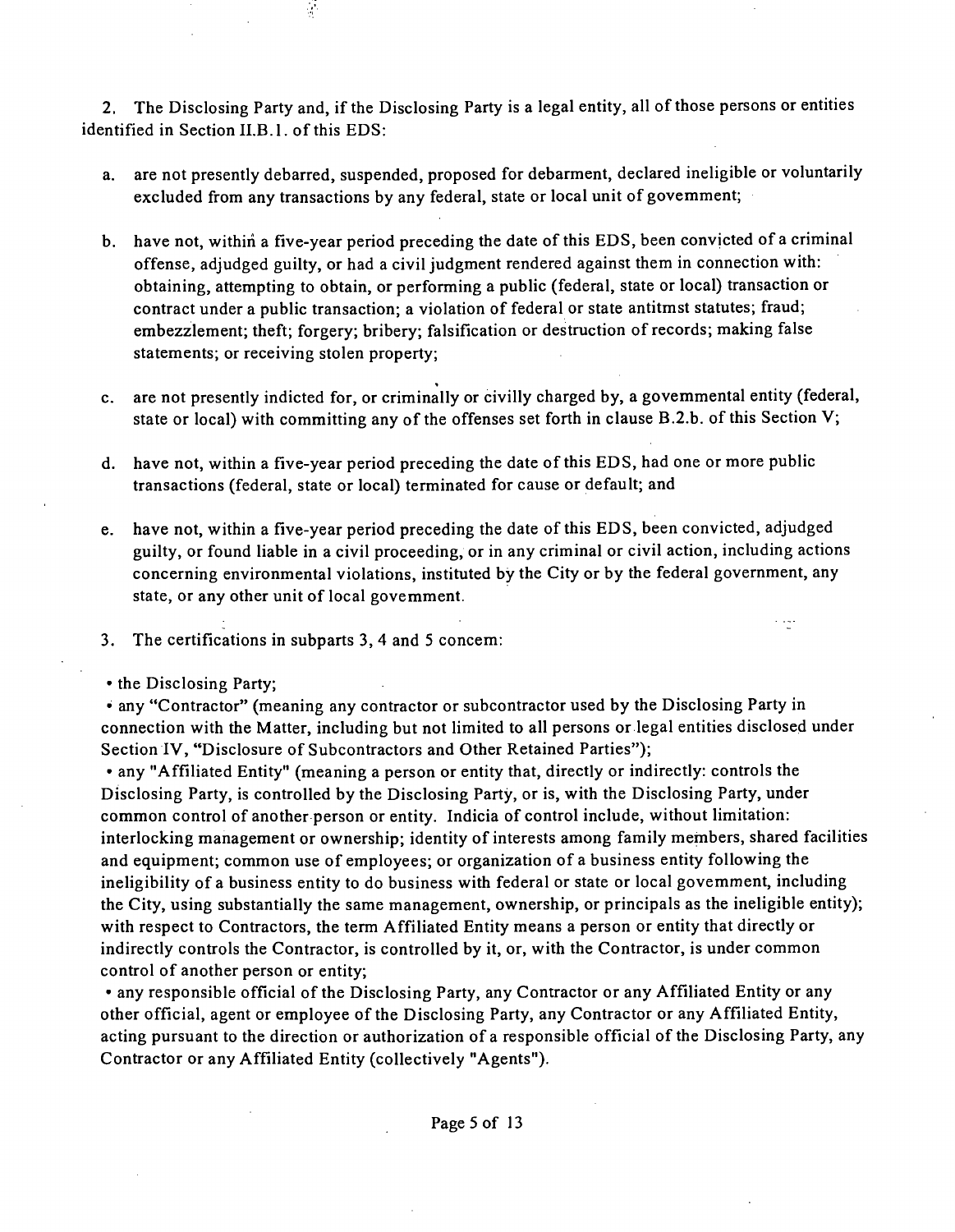2. The Disclosing Party and, if the Disclosing Party is a legal entity, all of those persons or entities identified in Section II.B.1. of this EDS:

- a. are not presently debarred, suspended, proposed for debarment, declared ineligible or voluntarily excluded from any transactions by any federal, state or local unit of govemment;
- b. have not, within a five-year period preceding the date of this EDS, been convicted of a criminal offense, adjudged guilty, or had a civil judgment rendered against them in connection with: obtaining, attempting to obtain, or performing a public (federal, state or local) transaction or contract under a public transaction; a violation of federal or state antitmst statutes; fraud; embezzlement; theft; forgery; bribery; falsification or destruction of records; making false statements; or receiving stolen property;
- c. are not presently indicted for, or criminally or civilly charged by, a govemmental entity (federal, state or local) with committing any of the offenses set forth in clause B.2.b. of this Section V;
- d. have not, within a five-year period preceding the date of this EDS, had one or more public transactions (federal, state or local) terminated for cause or default; and
- e. have not, within a five-year period preceding the date of this EDS, been convicted, adjudged guilty, or found liable in a civil proceeding, or in any criminal or civil action, including actions concerning environmental violations, instituted by the City or by the federal government, any state, or any other unit of local govemment.

t itzt

3. The certifications in subparts 3, 4 and 5 concem:

 $\mathcal{L}$ 

• the Disclosing Party;

• any "Contractor" (meaning any contractor or subcontractor used by the Disclosing Party in connection with the Matter, including but not limited to all persons or legal entities disclosed under Section IV, "Disclosure of Subcontractors and Other Retained Parties");

• any "Affiliated Entity" (meaning a person or entity that, directly or indirectly: controls the Disclosing Party, is controlled by the Disclosing Party, or is, with the Disclosing Party, under common control of another person or entity. Indicia of control include, without limitation: interlocking management or ownership; identity of interests among family members, shared facilities and equipment; common use of employees; or organization of a business entity following the ineligibility of a business entity to do business with federal or state or local govemment, including the City, using substantially the same management, ownership, or principals as the ineligible entity); with respect to Contractors, the term Affiliated Entity means a person or entity that directly or indirectly controls the Contractor, is controlled by it, or, with the Contractor, is under common control of another person or entity;

• any responsible official of the Disclosing Party, any Contractor or any Affiliated Entity or any other official, agent or employee ofthe Disclosing Party, any Contractor or any Affiliated Entity, acting pursuant to the direction or authorization of a responsible official of the Disclosing Party, any Contractor or any Affiliated Entity (collectively "Agents").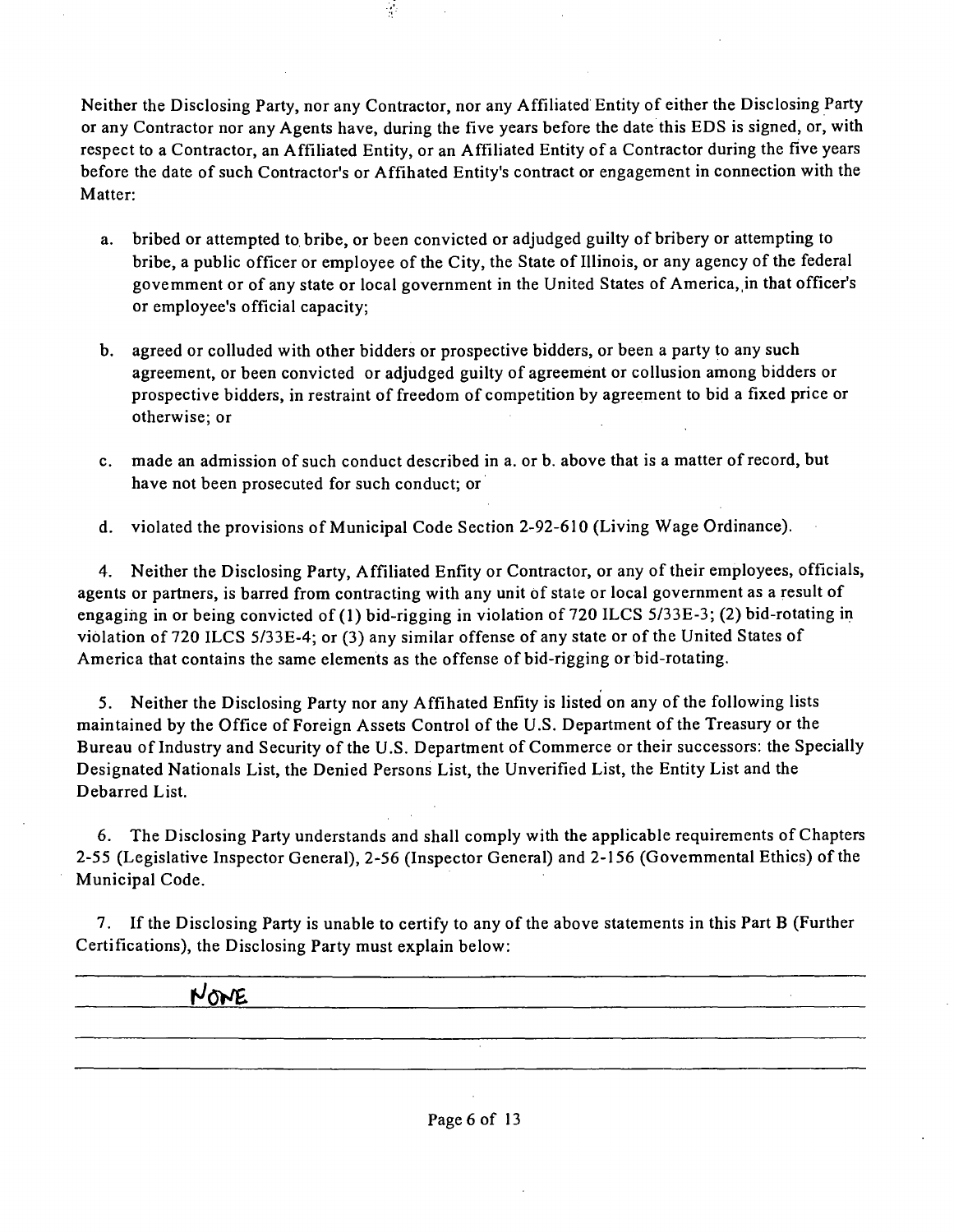Neither the Disclosing Party, nor any Contractor, nor any Affiliated Entity of either the Disclosing Party or any Contractor nor any Agents have, during the five years before the date this EDS is signed, or, with respect to a Contractor, an Affiliated Entity, or an Affiliated Entity of a Contractor during the five years before the date of such Contractor's or Affihated Entity's contract or engagement in connection with the Matter:

 $\frac{1}{2}$ 

- a. bribed or attempted to bribe, or been convicted or adjudged guilty of bribery or attempting to bribe, a public officer or employee of the City, the State of Illinois, or any agency of the federal govemment or of any state or local government in the United States of America, in that officer's or employee's official capacity;
- b. agreed or colluded with other bidders or prospective bidders, or been a party to any such agreement, or been convicted or adjudged guilty of agreement or collusion among bidders or prospective bidders, in restraint of freedom of competition by agreement to bid a fixed price or otherwise; or
- c. made an admission of such conduct described in a. or b. above that is a matter of record, but have not been prosecuted for such conduct; or
- d. violated the provisions of Municipal Code Secfion 2-92-610 (Living Wage Ordinance).

4. Neither the Disclosing Party, Affiliated Enfity or Contractor, or any of their employees, officials, agents or partners, is barred from contracting with any unit of state or local government as a result of engaging in or being convicted of (1) bid-rigging in violation of 720 ILCS 5/33E-3; (2) bid-rotating in violation of 720 ILCS 5/33E-4; or (3) any similar offense of any state or of the United States of America that contains the same elements as the offense of bid-rigging or bid-rotating.

5. Neither the Disclosing Party nor any Affihated Enfity is listed on any of the following lists maintained by the Office of Foreign Assets Control of the U.S. Department of the Treasury or the Bureau of Industry and Security of the U.S. Department of Commerce or their successors: the Specially Designated Nationals List, the Denied Persons List, the Unverified List, the Entity List and the Debarred List.

6. The Disclosing Party understands and shall comply with the applicable requirements of Chapters 2-55 (Legislative Inspector General), 2-56 (Inspector General) and 2-156 (Govemmental Ethics) of the Municipal Code.

7. If the Disclosing Party is unable to certify to any of the above statements in this Part B (Further Certifications), the Disclosing Party must explain below:

**r>^ow£**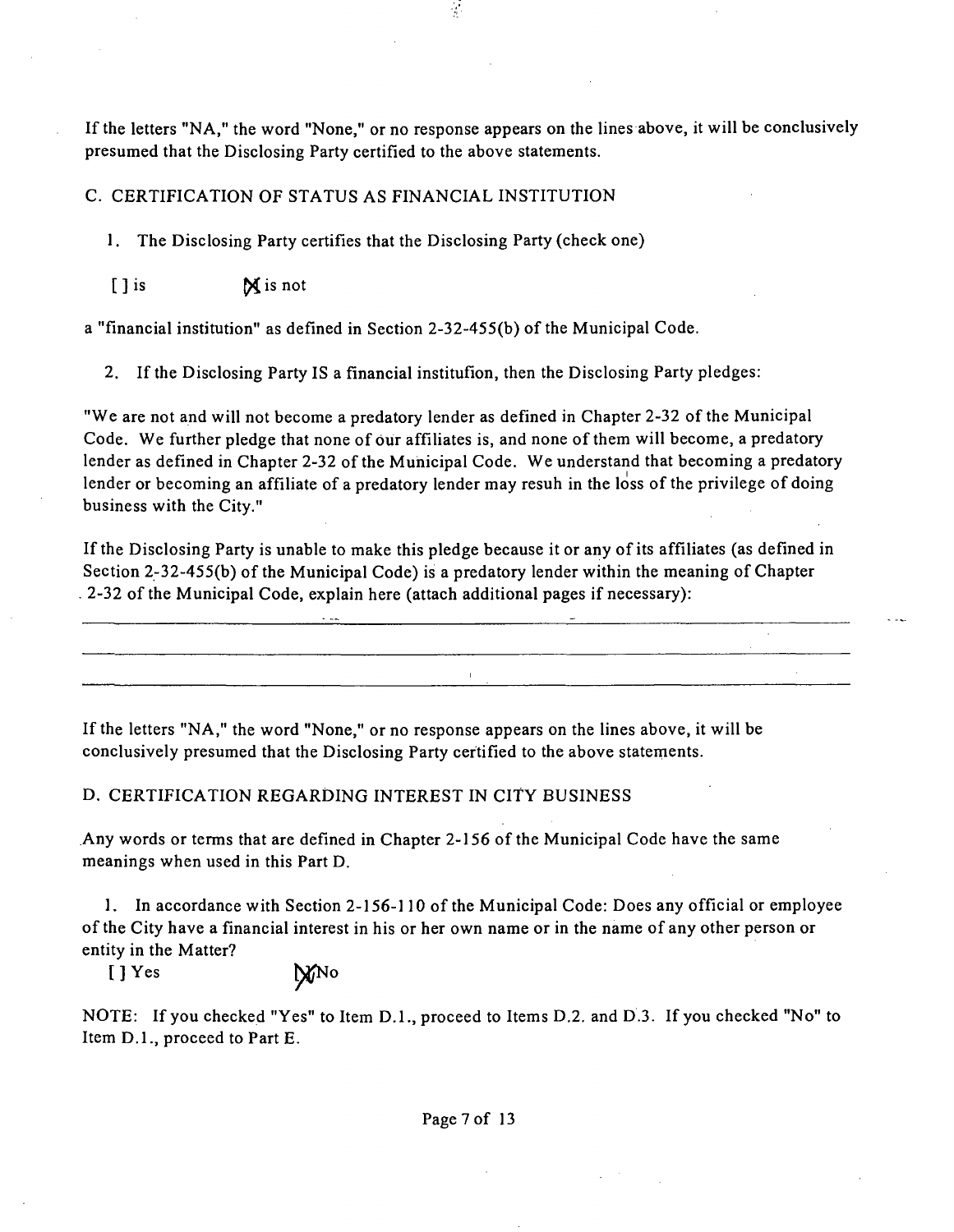If the letters "NA," the word "None," or no response appears on the lines above, it will be conclusively presumed that the Disclosing Party certified to the above statements.

 $\mathcal{L}$ 

#### C. CERTIFICATION OF STATUS AS FINANCIAL INSTITUTION

1. The Disclosing Party certifies that the Disclosing Party (check one)

[ ] is **M** is not

a "financial institution" as defined in Section  $2-32-455(b)$  of the Municipal Code.

2. If the Disclosing Party IS a financial institufion, then the Disclosing Party pledges:

"We are not and will not become a predatory lender as defined in Chapter 2-32 of the Municipal Code. We further pledge that none of our affiliates is, and none of them will become, a predatory lender as defined in Chapter 2-32 of the Municipal Code. We understand that becoming a predatory lender or becoming an affiliate of a predatory lender may resuh in the loss of the privilege of doing business with the City."

Ifthe Disclosing Party is unable to make this pledge because it or any of its affiliates (as defined in Section 2-32-455(b) of the Municipal Code) is a predatory lender within the meaning of Chapter  $2-32$  of the Municipal Code, explain here (attach additional pages if necessary):

If the letters "NA," the word "None," or no response appears on the lines above, it will be conclusively presumed that the Disclosing Party certified to the above statements.

#### D. CERTIFICATION REGARDING INTEREST IN CITY BUSINESS

Any words or terms that are defined in Chapter 2-156 of the Municipal Code have the same meanings when used in this Part D.

1. In accordance with Section 2-156-110 of the Municipal Code: Does any official or employee ofthe City have a financial interest in his or her own name or in the name of any other person or entity in the Matter?

[ ] Yes **[MNO** 

NOTE: If you checked "Yes" to Item D.L, proceed to Items D.2. and D.3. If you checked "No" to Item D.L, proceed to Part E.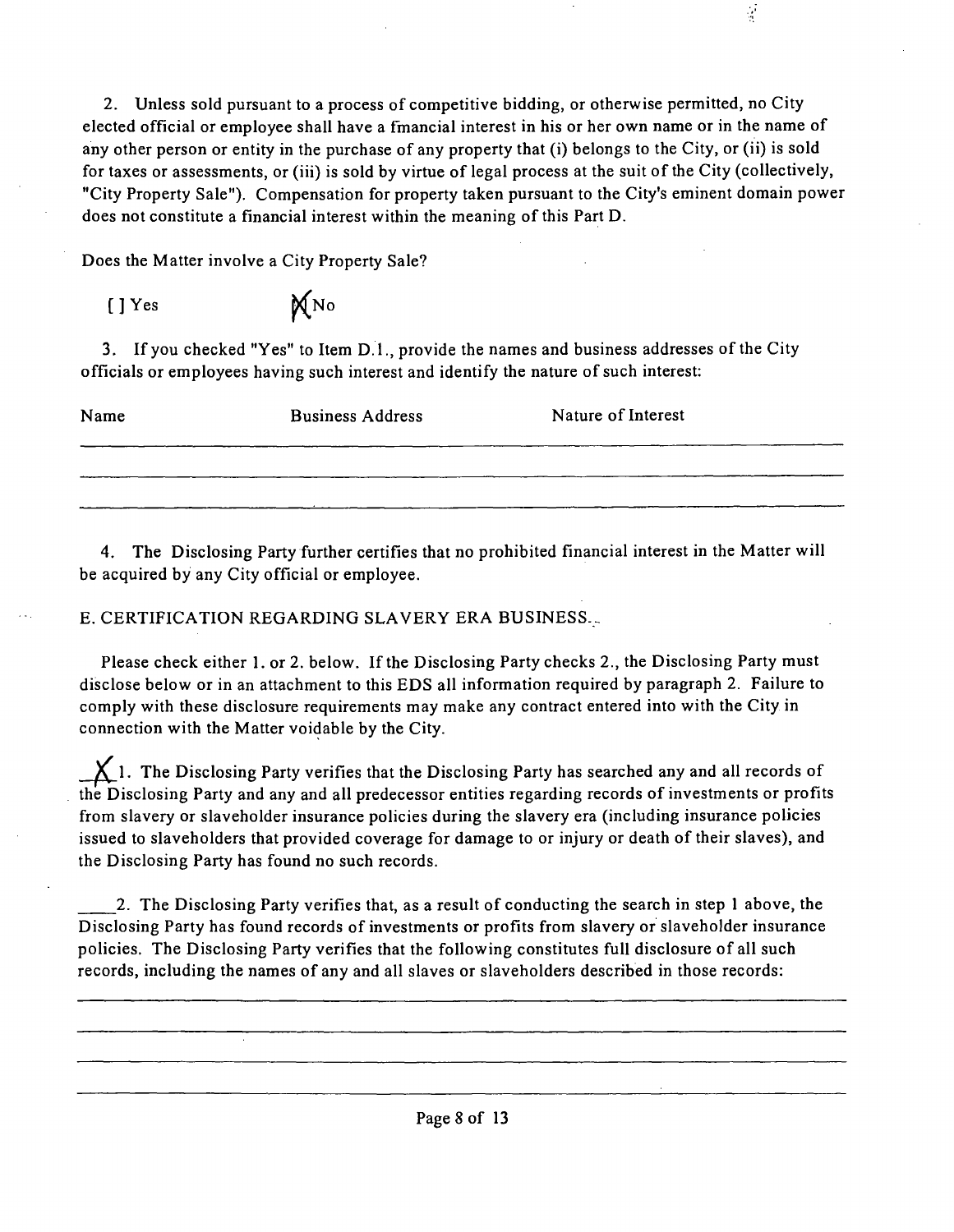2. Unless sold pursuant to a process of competitive bidding, or otherwise permitted, no City elected official or employee shall have a fmancial interest in his or her own name or in the name of any other person or entity in the purchase of any property that (i) belongs to the City, or (ii) is sold for taxes or assessments, or (iii) is sold by virtue of legal process at the suit of the City (collectively, "City Property Sale"). Compensation for property taken pursuant to the City's eminent domain power does not constitute a financial interest within the meaning of this Part D.

 $\frac{1}{2}$ 

Does the Matter involve a City Property Sale?

| [] Yes | MNO |
|--------|-----|
|--------|-----|

3. If you checked "Yes" to Item D.1., provide the names and business addresses of the City officials or employees having such interest and identify the nature of such interest:

| Name | <b>Business Address</b> | Nature of Interest |
|------|-------------------------|--------------------|
|      |                         |                    |
|      |                         |                    |

4. The Disclosing Party further certifies that no prohibited financial interest in the Matter will be acquired by any City official or employee.

E. CERTIFICATION REGARDING SLAVERY ERA BUSINESS.

Please check either 1. or 2. below. If the Disclosing Party checks 2., the Disclosing Party must disclose below or in an attachment to this EDS all information required by paragraph 2. Failure to comply with these disclosure requirements may make any contract entered into with the City in connection with the Matter voidable by the City.

 $\sum$  1. The Disclosing Party verifies that the Disclosing Party has searched any and all records of the Disclosing Party and any and all predecessor entities regarding records of investments or profits from slavery or slaveholder insurance policies during the slavery era (including insurance policies issued to slaveholders that provided coverage for damage to or injury or death of their slaves), and the Disclosing Party has found no such records.

2. The Disclosing Party verifies that, as a result of conducting the search in step 1 above, the Disclosing Party has found records of investments or profits from slavery or slaveholder insurance policies. The Disclosing Party verifies that the following constitutes full disclosure of all such records, including the names of any and all slaves or slaveholders described in those records: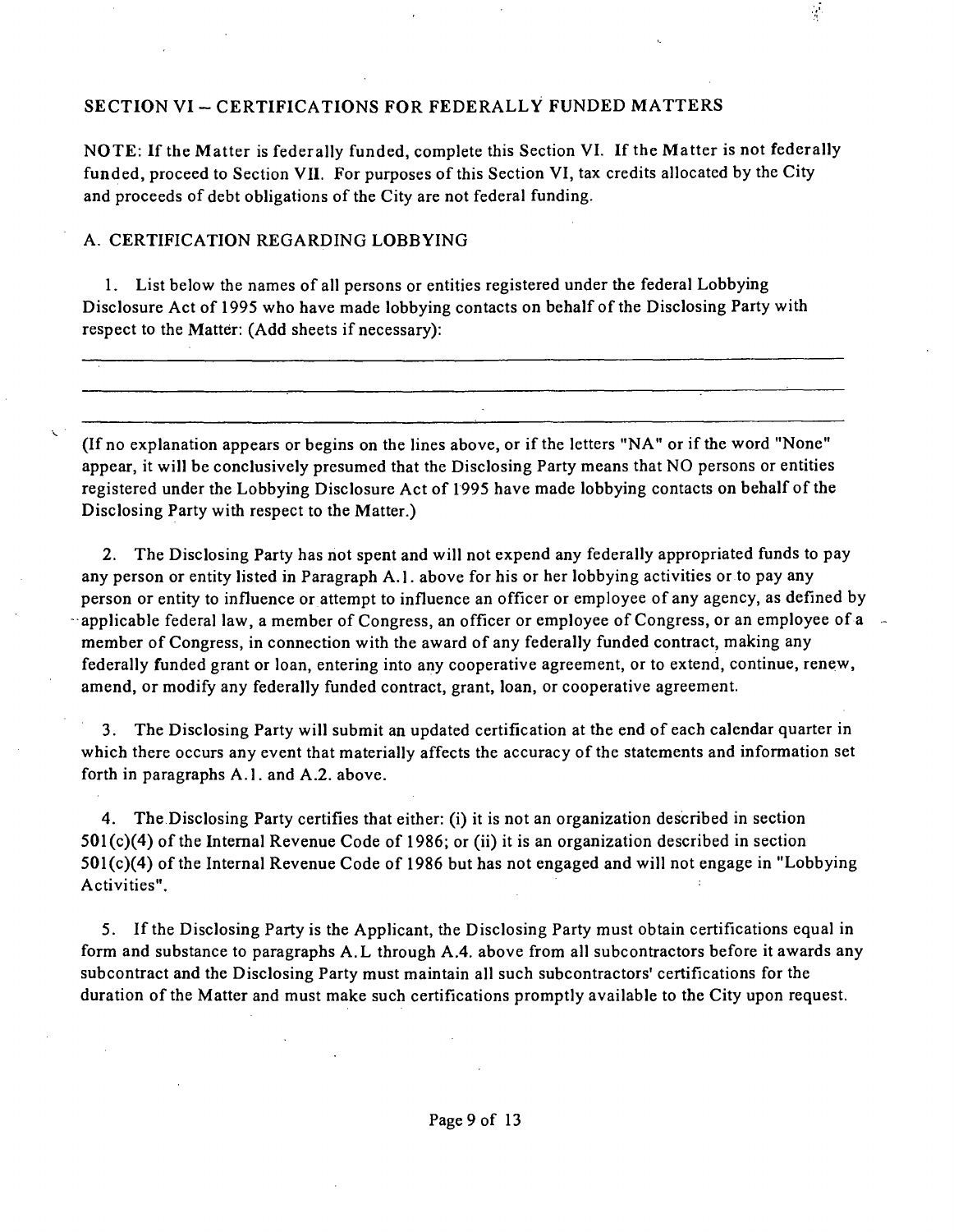### **SECTION VI - CERTIFICATIONS FOR FEDERALLY FUNDED MATTERS**

NOTE: If the Matter is federally funded, complete this Section VI. If the Matter is not federally funded, proceed to Section VII. For purposes of this Section VI, tax credits allocated by the City and proceeds of debt obligations of the City are not federal funding.

 $\frac{1}{2}$ 

#### A. CERTIFICATION REGARDING LOBBYING

1. List below the names of all persons or entities registered under the federal Lobbying Disclosure Act of 1995 who have made lobbying contacts on behalf of the Disclosing Party with respect to the Matter: (Add sheets if necessary):

(If no explanation appears or begins on the lines above, or if the letters "NA" or if the word "None" appear, it will be conclusively presumed that the Disclosing Party means that NO persons or entities registered under the Lobbying Disclosure Act of 1995 have made lobbying contacts on behalf of the Disclosing Party with respect to the Matter.)

2. The Disclosing Party has not spent and will not expend any federally appropriated funds to pay any person or entity listed in Paragraph A.l . above for his or her lobbying activities or to pay any person or entity to influence or attempt to influence an officer or employee of any agency, as defined by applicable federal law, a member of Congress, an officer or employee of Congress, or an employee of a member of Congress, in connection with the award of any federally funded contract, making any federally funded grant or loan, entering into any cooperative agreement, or to extend, continue, renew, amend, or modify any federally funded contract, grant, loan, or cooperative agreement.

3. The Disclosing Party will submit an updated certification at the end of each calendar quarter in which there occurs any event that materially affects the accuracy of the statements and information set forth in paragraphs A.1. and A.2. above.

4. The Disclosing Party certifies that either: (i) it is not an organization described in section  $501(c)(4)$  of the Internal Revenue Code of 1986; or (ii) it is an organization described in section  $501(c)(4)$  of the Internal Revenue Code of 1986 but has not engaged and will not engage in "Lobbying" Activities".

5. Ifthe Disclosing Party is the Applicant, the Disclosing Party must obtain certifications equal in form and substance to paragraphs A. L through A.4. above from all subcontractors before it awards any subcontract and the Disclosing Party must maintain all such subcontractors' certifications for the duration of the Matter and must make such certifications promptly available to the City upon request.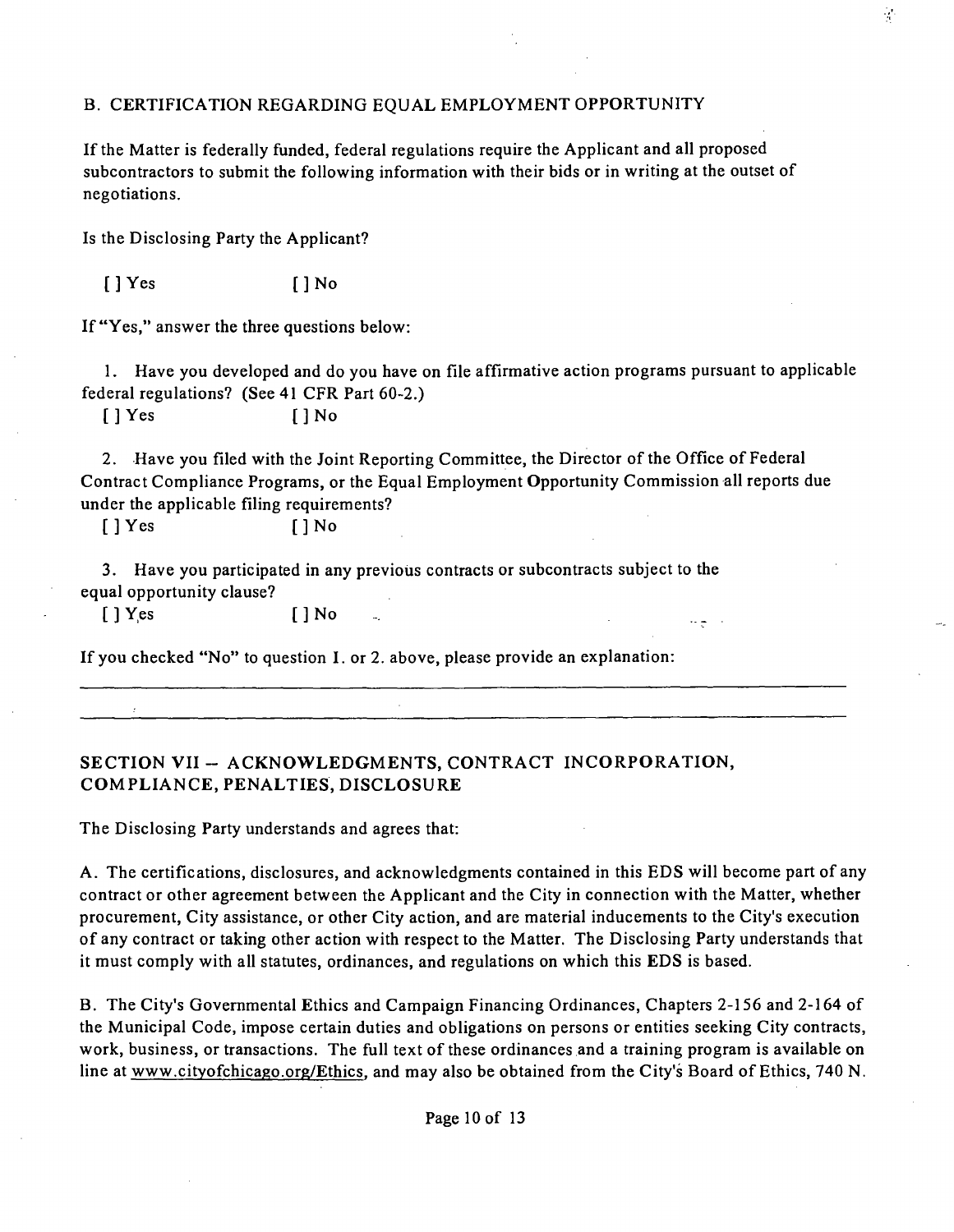### B. CERTIFICATION REGARDING EQUAL EMPLOYMENT OPPORTUNITY

Ifthe Matter is federally funded, federal regulations require the Applicant and all proposed subcontractors to submit the following information with their bids or in writing at the outset of negotiations.

Is the Disclosing Party the Applicant?

 $[$   $]$  Yes  $[$   $]$  No

If "Yes," answer the three questions below:

1. Have you developed and do you have on file affirmative action programs pursuant to applicable federal regulations? (See 41 CFR Part 60-2.)

[ ] Yes [ ] No

2. Have you filed with the Joint Reporting Committee, the Director of the Office of Federal Contract Compliance Programs, or the Equal Employment Opportunity Commission all reports due under the applicable filing requirements?

 $\mathcal{A}(\mathbf{a}) = \mathcal{A}$ 

 $[$   $]$   $Y$  es  $[$   $]$   $N$  o

3. Have you participated in any previous contracts or subcontracts subject to the equal opportunity clause?

[JYes []No

If you checked "No" to question I. or 2. above, please provide an explanation:

### **SECTION VII - ACKNOWLEDGMENTS, CONTRACT INCORPORATION, COMPLIANCE, PENALTIES, DISCLOSURE**

The Disclosing Party understands and agrees that:

A . The certifications, disclosures, and acknowledgments contained in this EDS will become part of any contract or other agreement between the Applicant and the City in connection with the Matter, whether procurement. City assistance, or other City action, and are material inducements to the City's execution of any contract or taking other action with respect to the Matter. The Disclosing Party understands that it must comply with all statutes, ordinances, and regulations on which this EDS is based.

B. The City's Govemmental Ethics and Campaign Financing Ordinances, Chapters 2-156 and 2-164 of the Municipal Code, impose certain duties and obligations on persons or entities seeking City contracts, work, business, or transactions. The full text of these ordinances and a training program is available on line at www.cityofchicago.org/Ethics, and may also be obtained from the City's Board of Ethics, 740 N.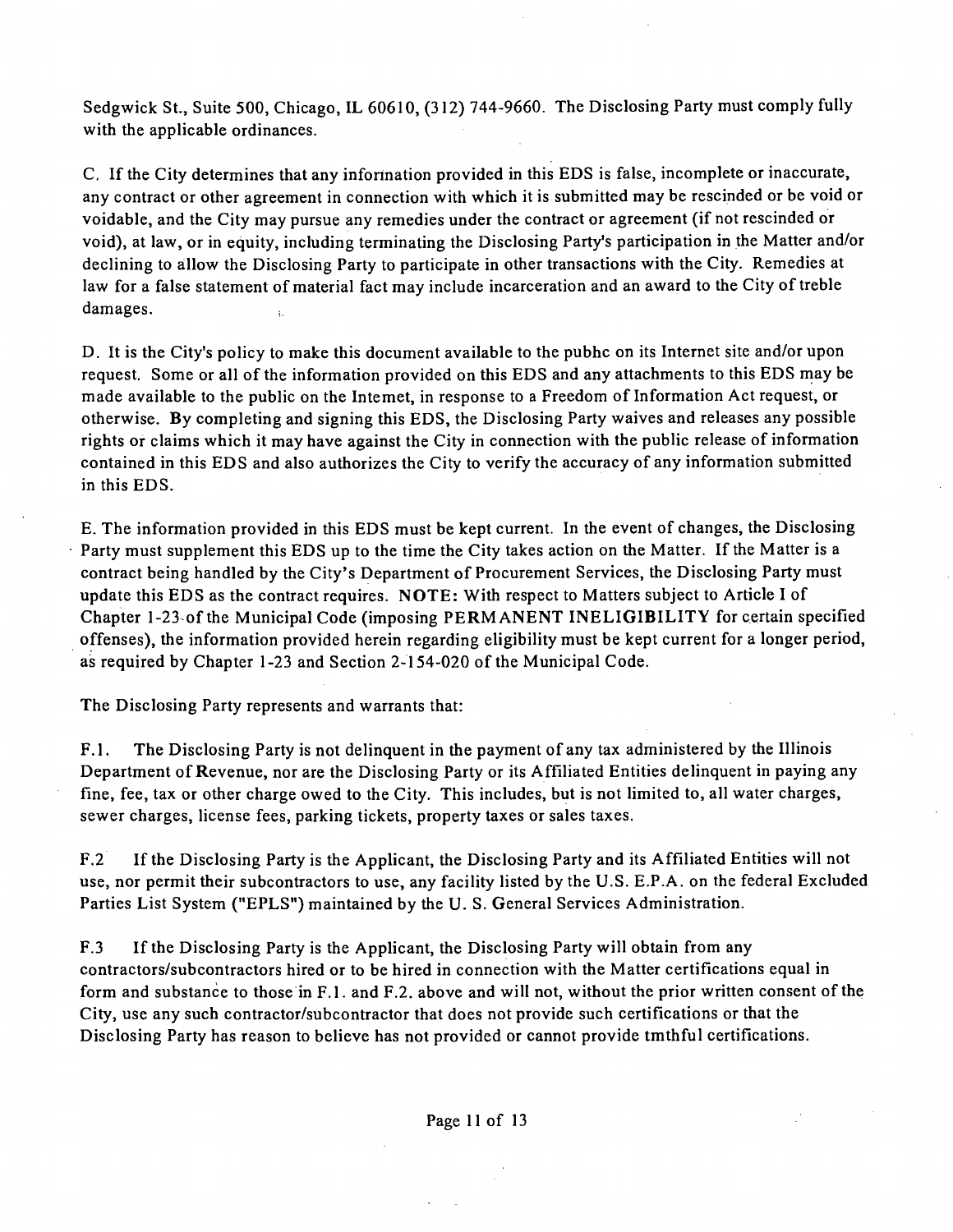Sedgwick St., Suite 500, Chicago, IL 60610, (312) 744-9660. The Disclosing Party must comply fully with the applicable ordinances.

C. If the City determines that any infonnation provided in this EDS is false, incomplete or inaccurate, any contract or other agreement in connection with which it is submitted may be rescinded or be void or voidable, and the City may pursue any remedies under the contract or agreement (if not rescinded or void), at law, or in equity, including terminating the Disclosing Party's participation in the Matter and/or declining to allow the Disclosing Party to participate in other transactions with the City. Remedies at law for a false statement of material fact may include incarceration and an award to the City of treble damages.

D. It is the City's policy to make this document available to the pubhc on its Internet site and/or upon request. Some or all of the information provided on this EDS and any attachments to this EDS may be made available to the public on the Intemet, in response to a Freedom of Information Act request, or otherwise. By completing and signing this EDS, the Disclosing Party waives and releases any possible rights or claims which it may have against the City in connection with the public release of information contained in this EDS and also authorizes the City to verify the accuracy of any information submitted in this EDS.

E. The information provided in this EDS must be kept current. In the event of changes, the Disclosing Party must supplement this EDS up to the time the City takes action on the Matter. If the Matter is a contract being handled by the City's Department of Procurement Services, the Disclosing Party must update this EDS as the contract requires. NOTE: With respect to Matters subject to Article I of Chapter 1-23 of the Municipal Code (imposing PERMANENT INELIGIBILITY for certain specified offenses), the information provided herein regarding eligibility must be kept current for a longer period, as required by Chapter 1-23 and Section 2-154-020 of the Municipal Code.

The Disclosing Party represents and warrants that:

F.1. The Disclosing Party is not delinquent in the payment of any tax administered by the Illinois Department of Revenue, nor are the Disclosing Party or its Affiliated Entities delinquent in paying any fine, fee, tax or other charge owed to the City. This includes, but is not limited to, all water charges, sewer charges, license fees, parking tickets, property taxes or sales taxes.

F.2 If the Disclosing Party is the Applicant, the Disclosing Party and its Affiliated Entities will not use, nor permit their subcontractors to use, any facility listed by the U.S. E.P.A. on the federal Excluded Parties List System ("EPLS") maintained by the U. S. General Services Administration.

F.3 If the Disclosing Party is the Applicant, the Disclosing Party will obtain from any contractors/subcontractors hired or to be hired in connection with the Matter certifications equal in form and substance to those in F.1. and F.2. above and will not, without the prior written consent of the City, use any such contractor/subcontractor that does not provide such certifications or that the Disclosing Party has reason to believe has not provided or cannot provide tmthful certifications.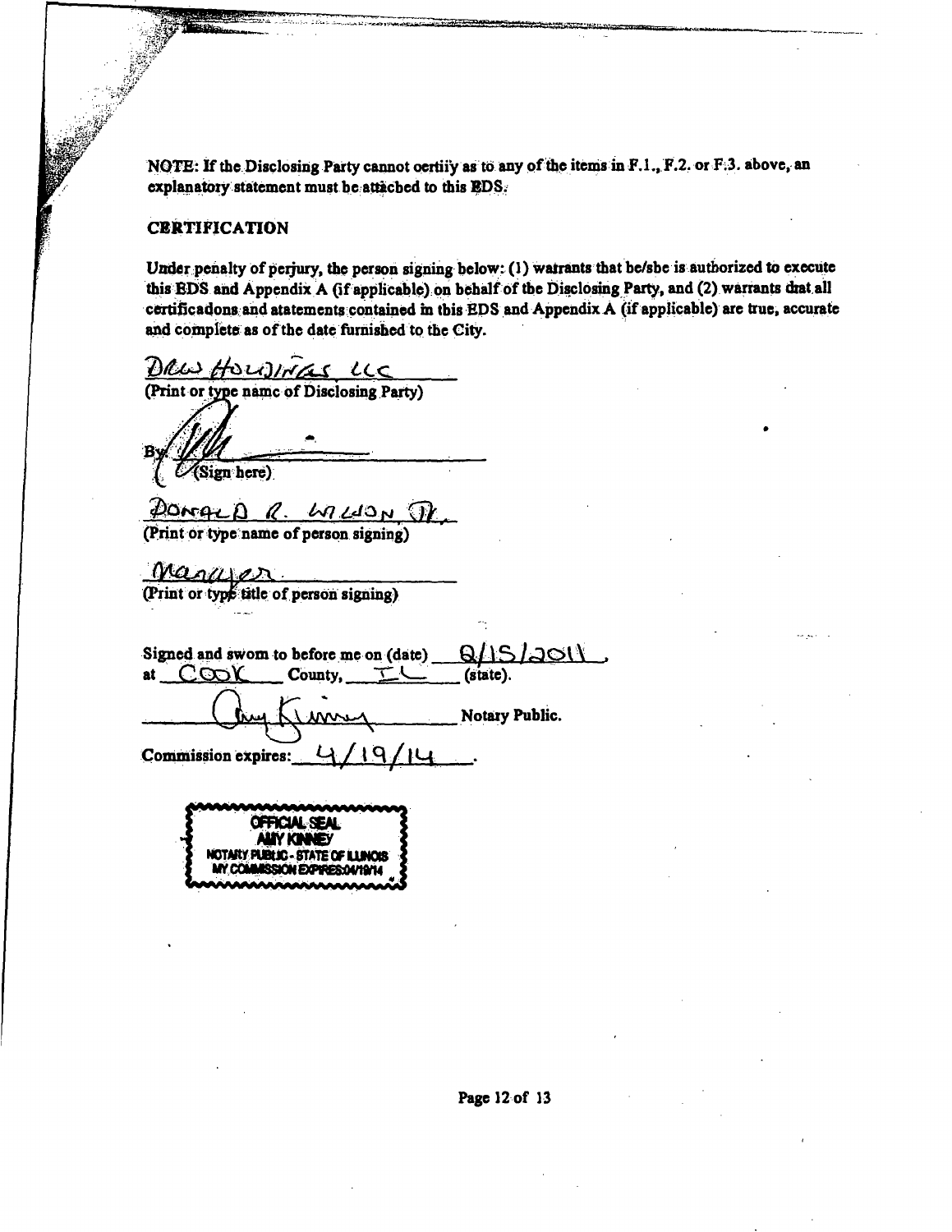**N01E: If the Disclosing Party cannot oertiiy as to any of the items in F.L, F.2. or Fi3. above, an**  explanatory statement must be attached to this **EDS**.

#### **CERTIFICATION**

**Sf** 

Under penalty of perjury, the person signing below: (1) wairants that be/sbe is authorized to execute this EDS and Appendix A (if applicable) on behalf of the Disclosing Party, and (2) warrants diat all certificadons and atatements contained in this EDS and Appendix A (if applicable) are true, accurate and complete as of the date furnished to the City.

DRW HOWINGS LLC (Print or type name of Disclosing Party)  $\mathcal{U}$ (Sign here) DOMALD  $R$ . LALION J (Print or type name of person signing) Maguen (Print or type title of person signing) Signed and swom to before me on  $(data)$   $Q/|S/2Q|$ <br>at  $C\infty$  County,  $L$  (state). at  $C\infty$ **)** County, **Notary Public.** Commission expires:  $\frac{1}{2}$ 

**OFFICIAL SEAL ALIY KINNEY MOTMty PUBtiC- STATE CF UUNOS**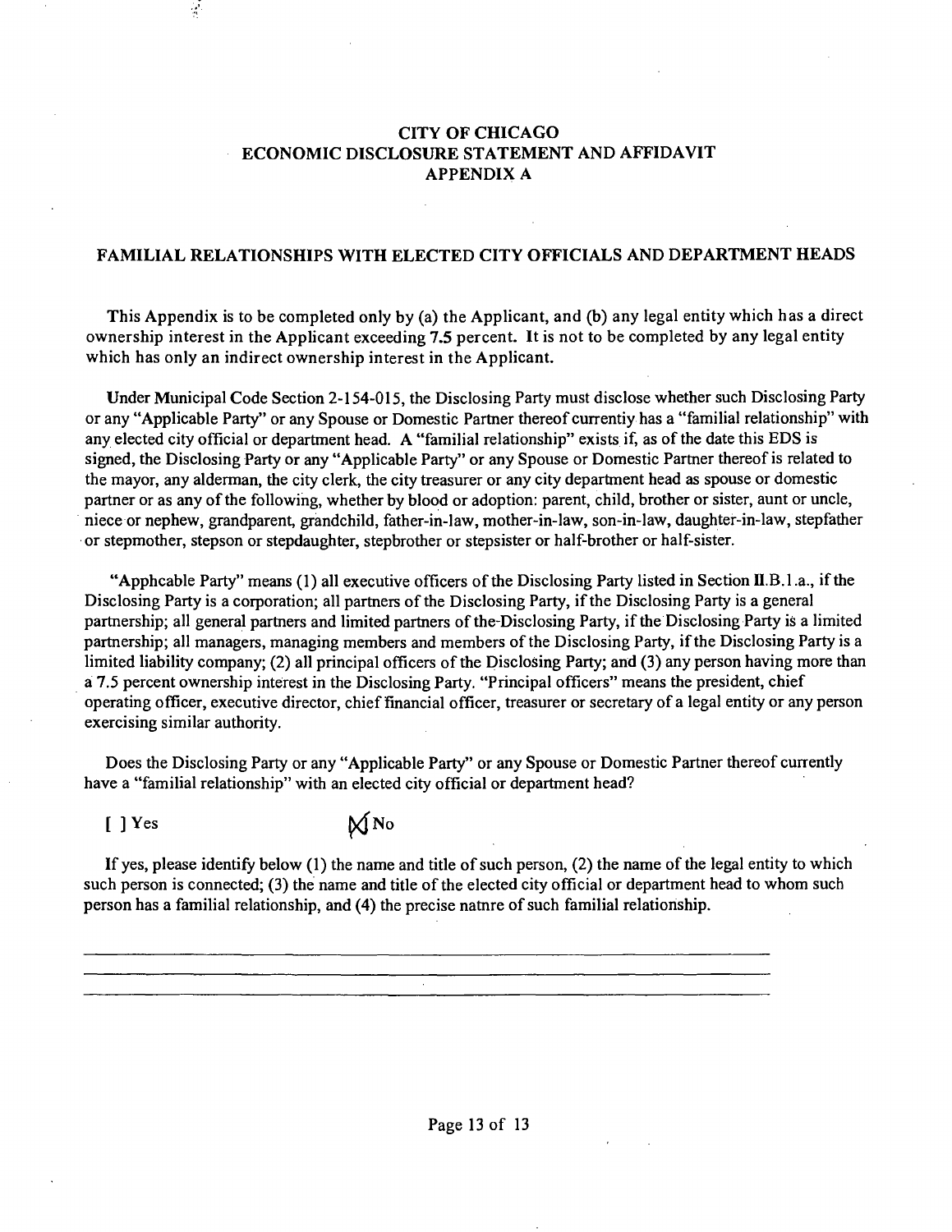### **CITY OF CHICAGO ECONOMIC DISCLOSURE STATEMENT AND AFFIDAVIT APPENDIX A**

#### **FAMILIAL RELATIONSHIPS WITH ELECTED CITY OFFICIALS AND DEPARTMENT HEADS**

**This Appendix is to be completed only by (a) the Applicant, and (b) any legal entity which has a direct ownership interest in the Applicant exceeding 7.5 percent. It is not to be completed by any legal entity which has only an indirect ownership interest in the Applicant.** 

Under Municipal Code Section 2-154-015, the Disclosing Party must disclose whether such Disclosing Party or any "Applicable Party" or any Spouse or Domestic Partaer thereof currentiy has a "familial relationship" with any elected city official or department head. A "familial relationship" exists if, as of the date this EDS is signed, the Disclosing Party or any "Applicable Party" or any Spouse or Domestic Partaer thereof is related to the mayor, any alderman, the city clerk, the city treasurer or any city department head as spouse or domestic partner or as any of the following, whether by blood or adoption: parent, child, brother or sister, aunt or uncle, niece or nephew, grandparent, grandchild, father-in-law, mother-in-law, son-in-law, daughter-in-law, stepfather or stepmother, stepson or stepdaughter, stepbrother or stepsister or half-brother or half-sister.

"Apphcable Party" means (1) all executive officers of the Disclosing Party listed in Section II.B.1.a., if the Disclosing Party is a corporation; all partners of the Disclosing Party, if the Disclosing Party is a general partaership; all general partaers and limited partners of the-Disclosing Party, if the Disclosing Party is a limited partnership; all managers, managing members and members of the Disclosing Party, if the Disclosing Party is a limited liability company; (2) all principal officers of the Disclosing Party; and (3) any person having more than a 7.5 percent ownership interest in the Disclosing Party. "Principal officers" means the president, chief operating officer, executive director, chief financial officer, treasurer or secretary of a legal entity or any person exercising similar authority.

Does the Disclosing Party or any "Applicable Party" or any Spouse or Domestic Partner thereof cunently have a "familial relationship" with an elected city official or department head?

 $[$  ] Yes  $\mathbb{M}$  No

 $\mathcal{L}$ 

If yes, please identify below (1) the name and title of such person, (2) the name of the legal entity to which such person is connected; (3) the name and title of the elected city official or department head to whom such person has a familial relationship, and (4) the precise natare of such familial relationship.

Page 13 of 13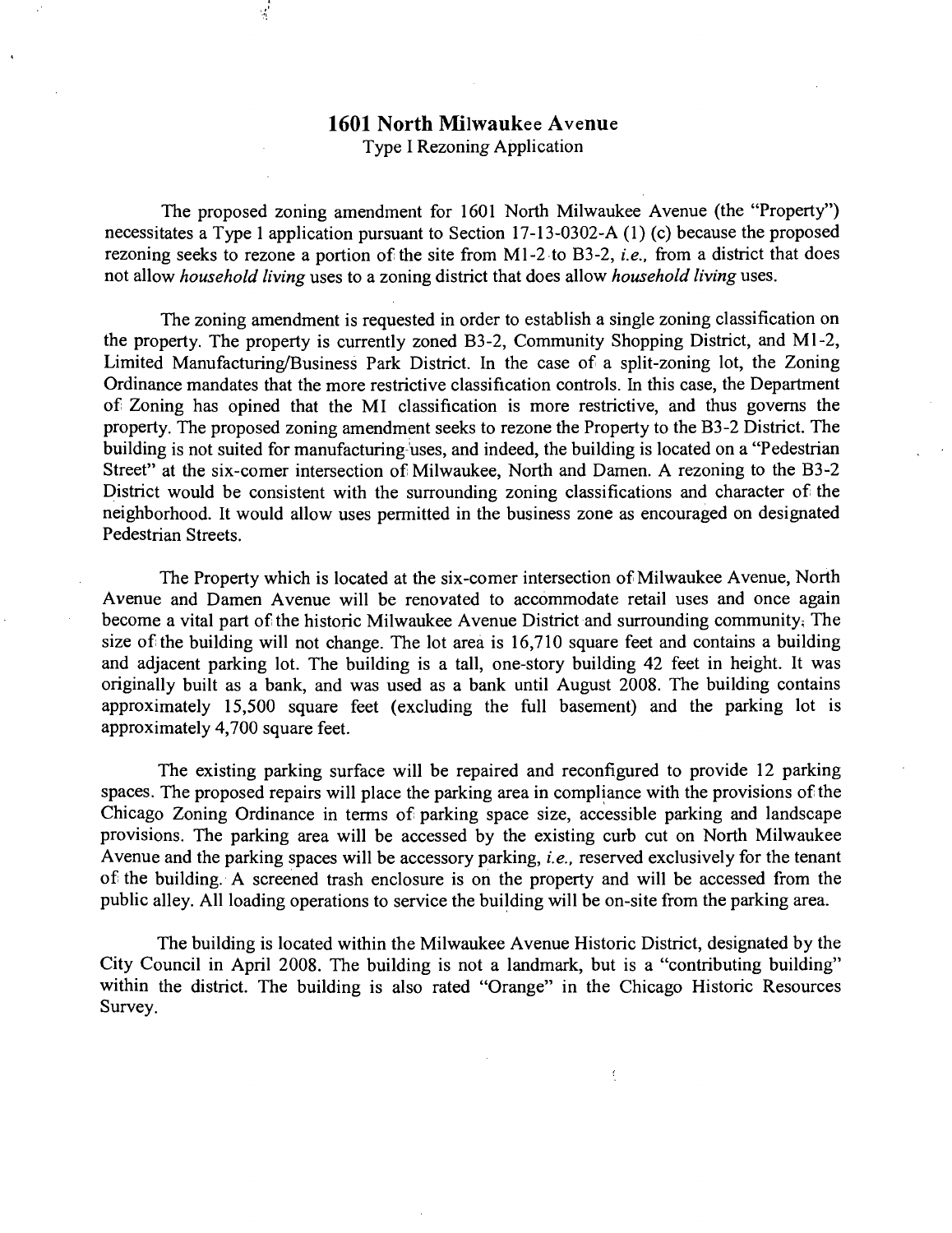### **1601 North Milwaukee Avenue**  Type I Rezoning Application

The proposed zoning amendment for 1601 North Milwaukee Avenue (the "Property") necessitates a Type 1 application pursuant to Section 17-13-0302-A (1) (c) because the proposed rezoning seeks to rezone a portion of the site from M1-2 to B3-2, *i.e.*, from a district that does not allow household living uses to a zoning district that does allow household living uses.

The zoning amendment is requested in order to establish a single zoning classification on the property. The property is currently zoned B3-2, Community Shopping District, and Ml-2, Limited Manufacturing/Business Park District. In the case of a split-zoning lot, the Zoning Ordinance mandates that the more restrictive classification controls. In this case, the Department of Zoning has opined that the MI classification is more restrictive, and thus governs the property. The proposed zoning amendment seeks to rezone the Property to the B3-2 District. The building is not suited for manufacturing uses, and indeed, the building is located on a "Pedestrian" Street" at the six-comer intersection of Milwaukee, North and Damen. A rezoning to the B3-2 District would be consistent with the surrounding zoning classifications and character of the neighborhood. It would allow uses permitted in the business zone as encouraged on designated Pedestrian Streets.

The Property which is located at the six-comer intersection of Milwaukee Avenue, North Avenue and Damen Avenue will be renovated to accommodate retail uses and once again become a vital part of the historic Milwaukee Avenue District and surrounding community: The size of the building will not change. The lot area is  $16,710$  square feet and contains a building and adjacent parking lot. The building is a tall, one-story building 42 feet in height. It was originally built as a bank, and was used as a bank until August 2008. The building contains approximately 15,500 square feet (excluding the full basement) and the parking lot is approximately 4,700 square feet.

The existing parking surface will be repaired and reconfigured to provide 12 parking spaces. The proposed repairs will place the parking area in compliance with the provisions of the Chicago Zoning Ordinance in terms of parking space size, accessible parking and landscape provisions. The parking area will be accessed by the existing curb cut on North Milwaukee Avenue and the parking spaces will be accessory parking, *i.e.*, reserved exclusively for the tenant of the building. A screened trash enclosure is on the property and will be accessed from the public alley. All loading operations to service the building will be on-site from the parking area.

The building is located within the Milwaukee Avenue Historic District, designated by the City Council in April 2008. The building is not a landmark, but is a "contributing building" within the district. The building is also rated "Orange" in the Chicago Historic Resources Survey.

K.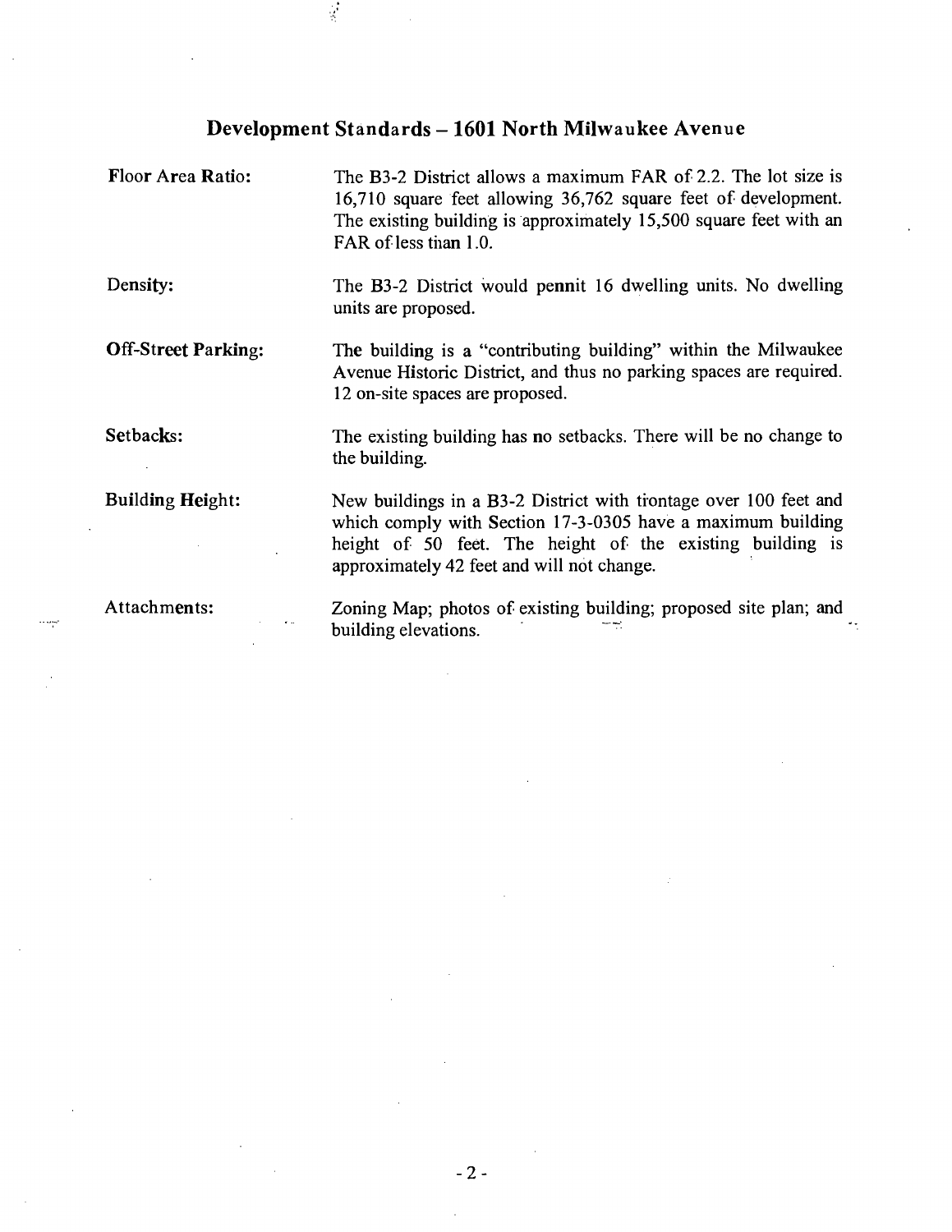## **Development Standards - 1601 North Milwaukee Avenue**

 $\frac{1}{2}$ 

 $\cdots$ 

| Floor Area Ratio:          | The B3-2 District allows a maximum FAR of 2.2. The lot size is<br>16,710 square feet allowing 36,762 square feet of development.<br>The existing building is approximately 15,500 square feet with an<br>FAR of less than 1.0.             |
|----------------------------|--------------------------------------------------------------------------------------------------------------------------------------------------------------------------------------------------------------------------------------------|
| Density:                   | The B3-2 District would pennit 16 dwelling units. No dwelling<br>units are proposed.                                                                                                                                                       |
| <b>Off-Street Parking:</b> | The building is a "contributing building" within the Milwaukee<br>Avenue Historic District, and thus no parking spaces are required.<br>12 on-site spaces are proposed.                                                                    |
| Setbacks:                  | The existing building has no setbacks. There will be no change to<br>the building.                                                                                                                                                         |
| <b>Building Height:</b>    | New buildings in a B3-2 District with trontage over 100 feet and<br>which comply with Section 17-3-0305 have a maximum building<br>height of 50 feet. The height of the existing building is<br>approximately 42 feet and will not change. |
| Attachments:               | Zoning Map; photos of existing building; proposed site plan; and<br>building elevations.                                                                                                                                                   |

**2 -**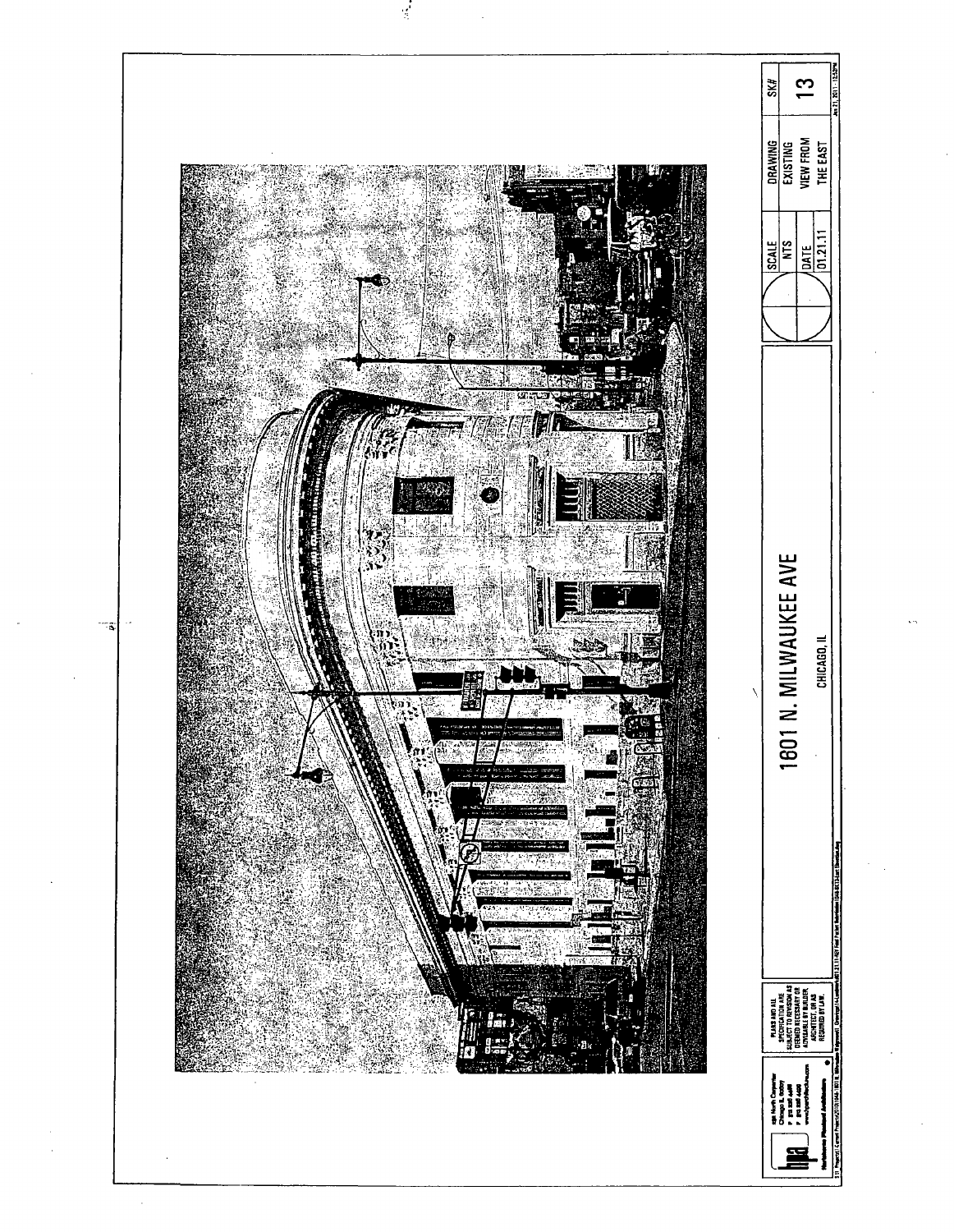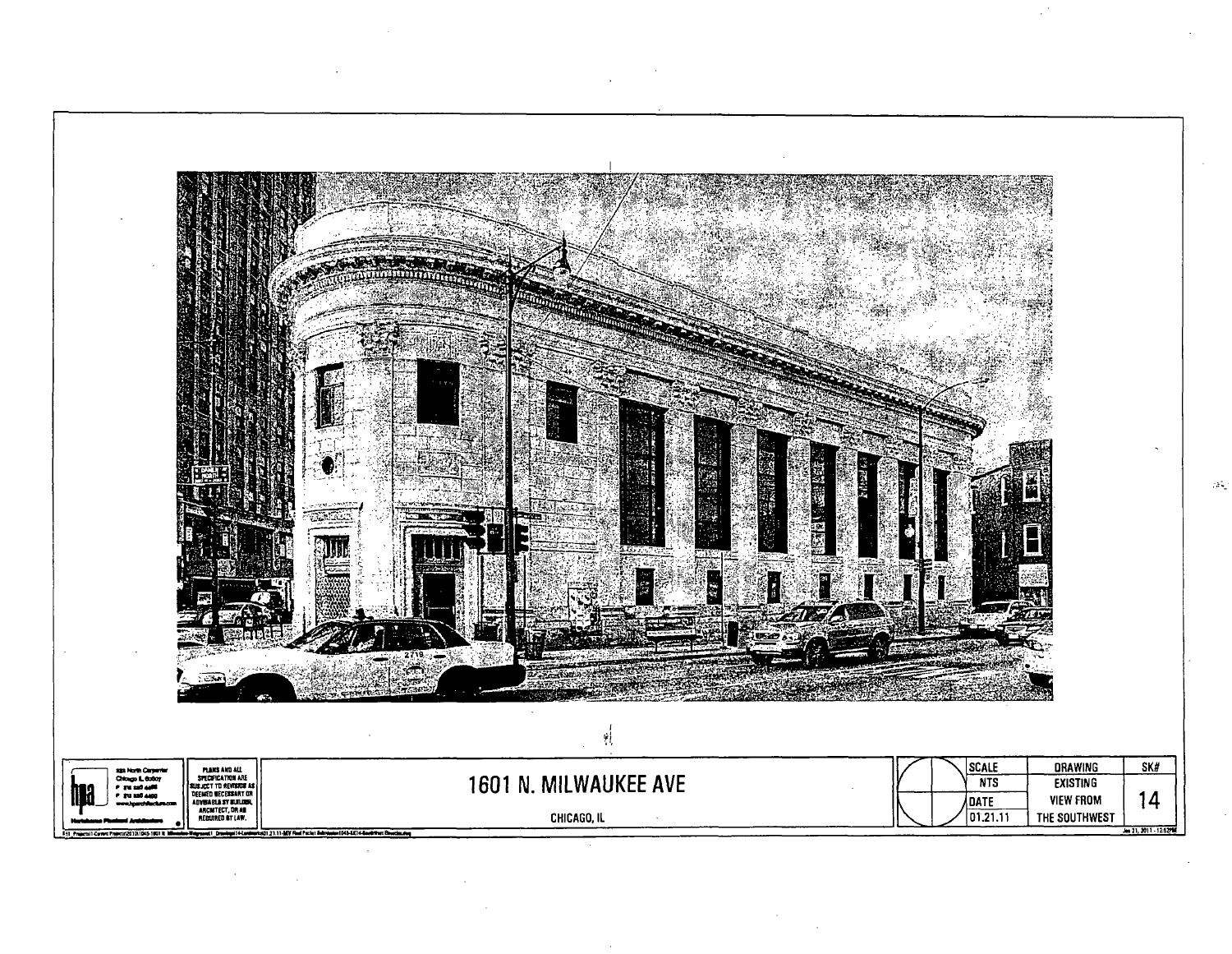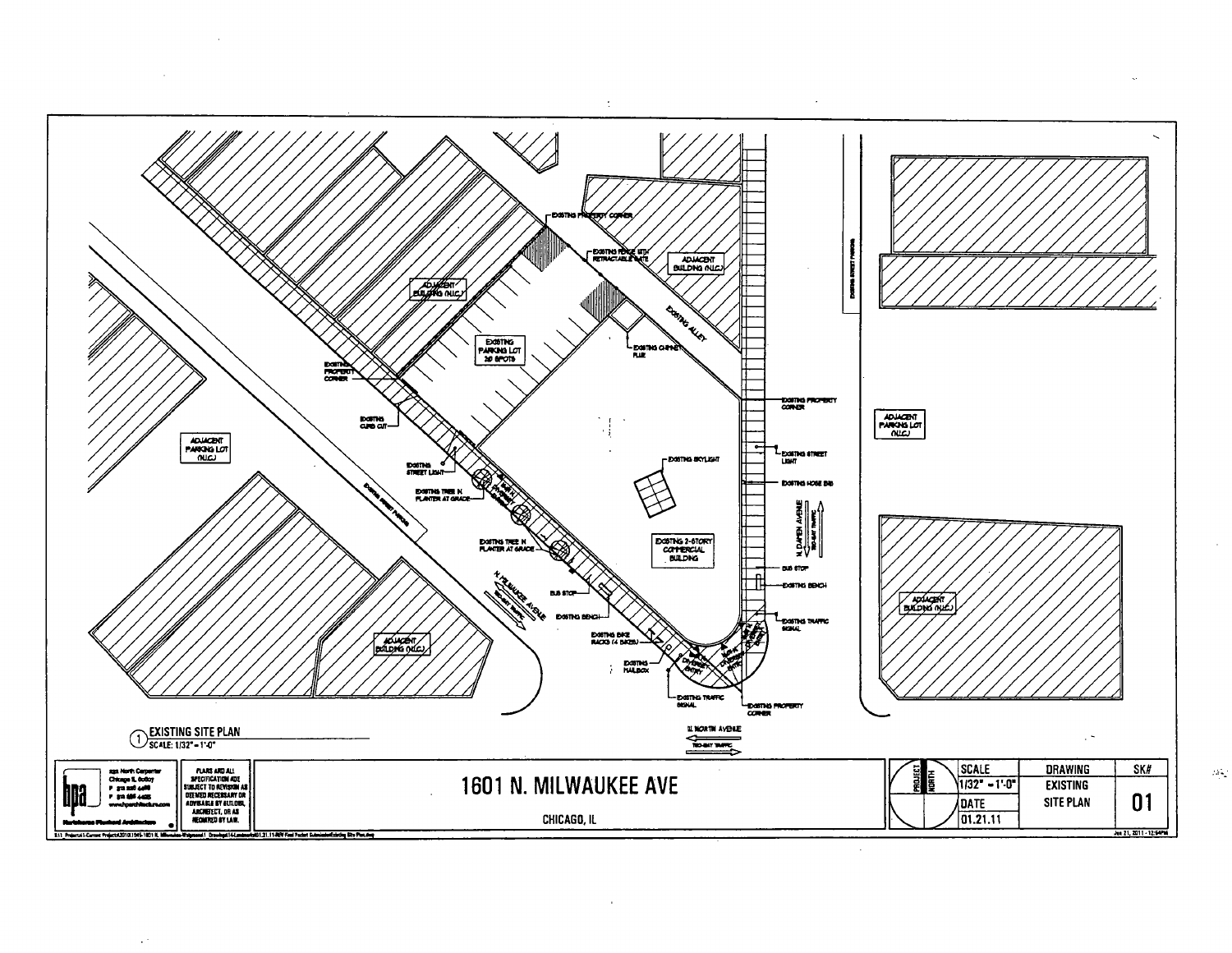

 $\sim$ 

 $\Delta$ 

 $\sim$   $\sim$ 

 $\mathcal{O}(\epsilon)$ 

 $\mathcal{O}(\varepsilon)$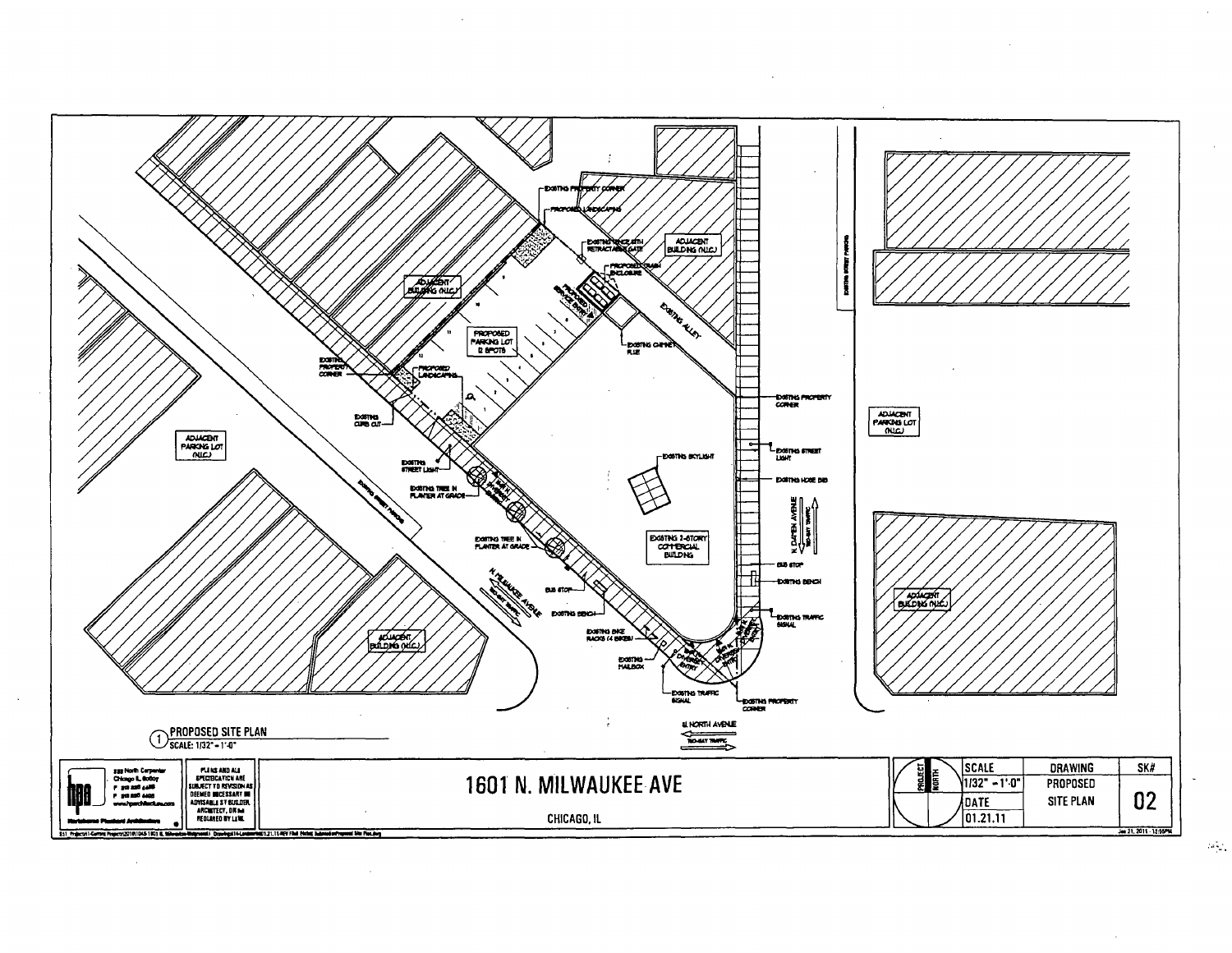

 $\mathcal{A}(\mathcal{C})$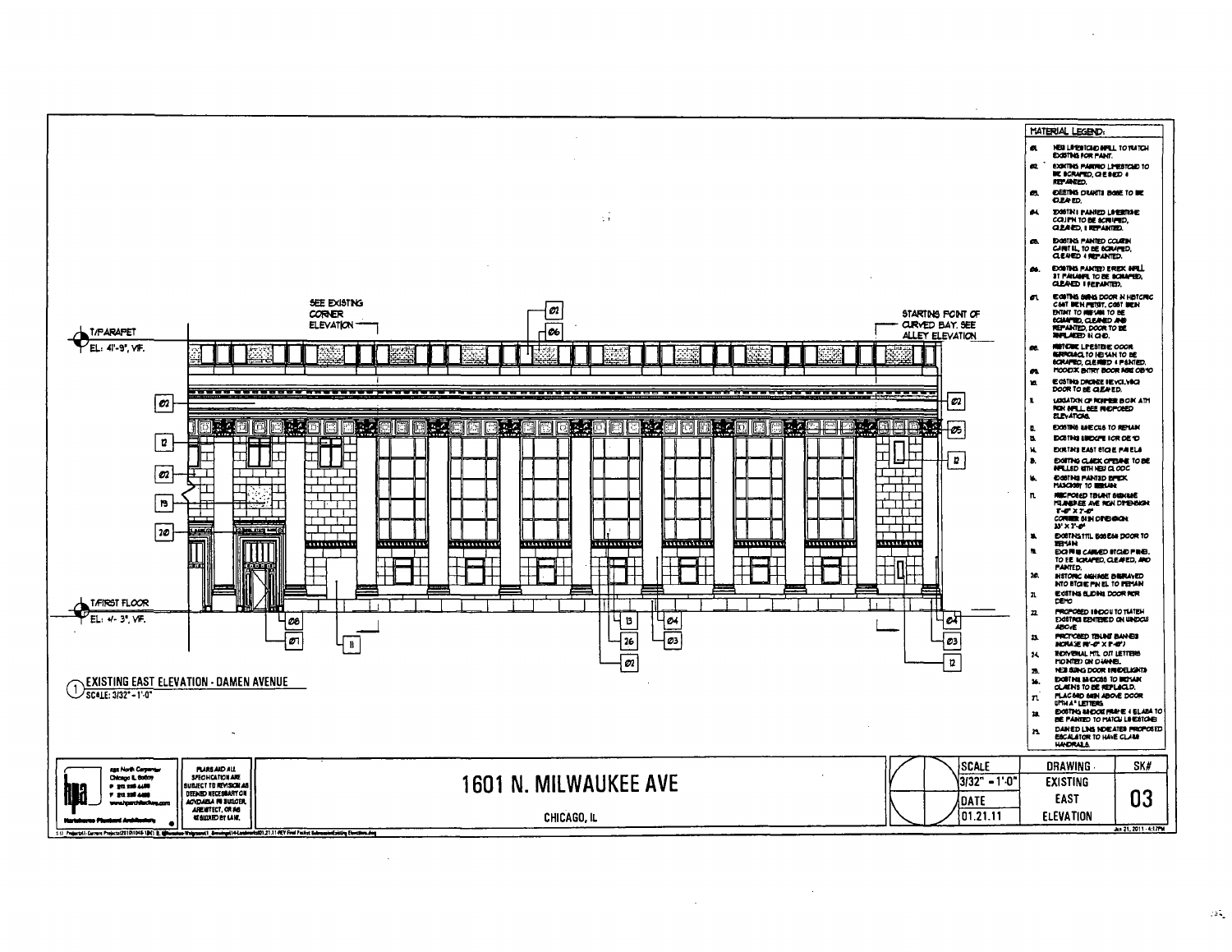